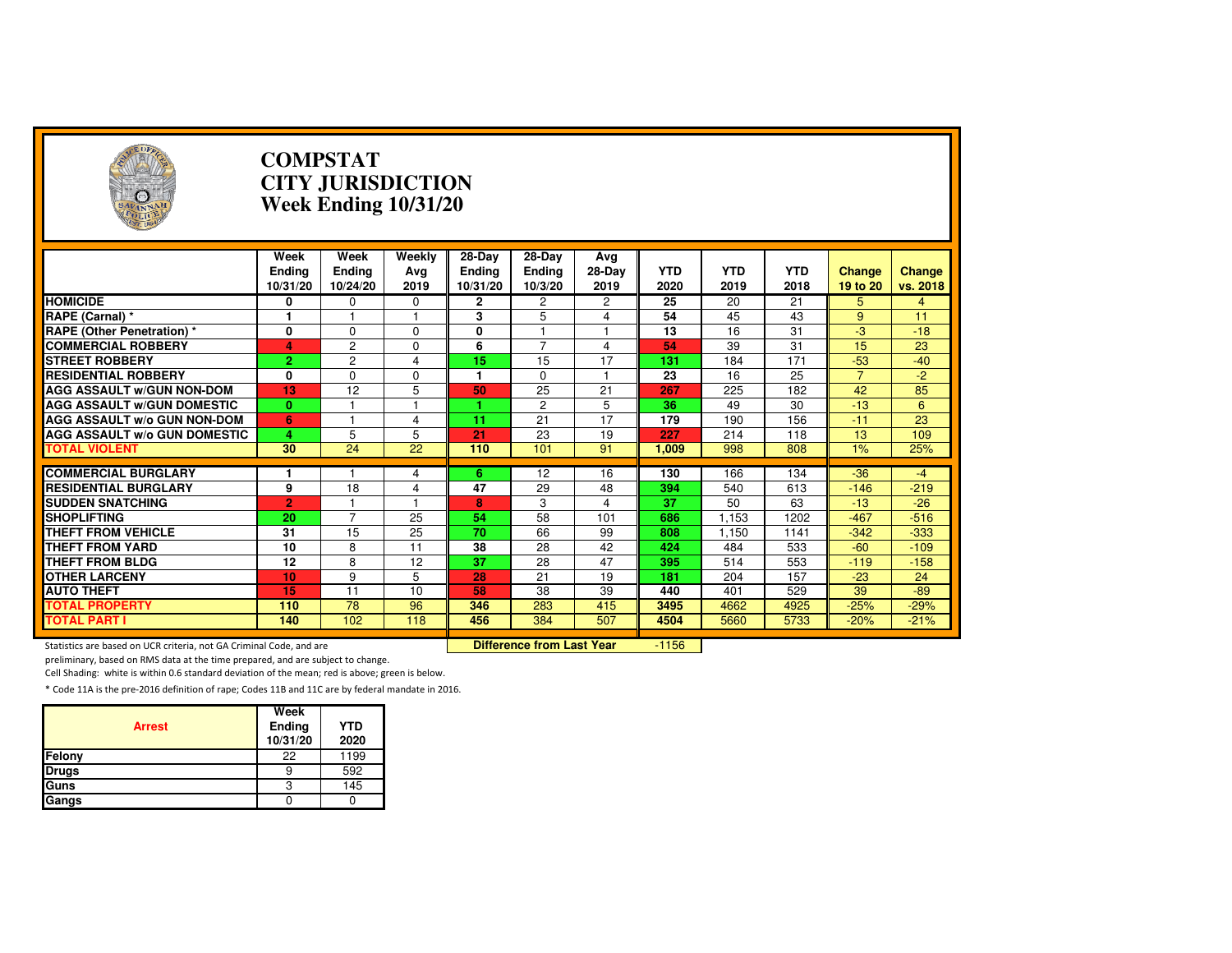| $\left( \frac{1}{2} \right)$                                        |                                   | <b>COMPSTAT</b><br><b>CITY JURISDICTION</b><br><b>Week Ending 10/31/20</b> |                       |                                       |                                       |                         |                    |                    |                    |                           |                           |  |
|---------------------------------------------------------------------|-----------------------------------|----------------------------------------------------------------------------|-----------------------|---------------------------------------|---------------------------------------|-------------------------|--------------------|--------------------|--------------------|---------------------------|---------------------------|--|
|                                                                     | Week<br><b>Ending</b><br>10/31/20 | Week<br>Ending<br>10/24/20                                                 | Weekly<br>Avg<br>2019 | $28-Dav$<br><b>Ending</b><br>10/31/20 | $28$ -Day<br><b>Ending</b><br>10/3/20 | Avg<br>$28-Dav$<br>2019 | <b>YTD</b><br>2020 | <b>YTD</b><br>2019 | <b>YTD</b><br>2018 | <b>Change</b><br>19 to 20 | <b>Change</b><br>vs. 2018 |  |
| <b>HOMICIDE</b>                                                     | 0                                 | $\mathbf 0$                                                                | 0                     | $\mathbf{2}$                          | 2                                     | 2                       | 25                 | 20                 | 21                 | 5                         | 4                         |  |
| RAPE (Carnal) *                                                     | 1                                 |                                                                            |                       | 3                                     | 5                                     | 4                       | 54                 | 45                 | 43                 | 9                         | 11                        |  |
| <b>RAPE (Other Penetration)*</b>                                    | $\mathbf{0}$                      | $\Omega$                                                                   | $\mathbf 0$           | $\mathbf{0}$                          | $\blacktriangleleft$                  | $\mathbf{1}$            | $\overline{13}$    | $\overline{16}$    | 31                 | -3                        | $-18$                     |  |
| <b>COMMERCIAL ROBBERY</b>                                           | 4                                 | $\overline{2}$                                                             | $\Omega$              | 6                                     | $\overline{7}$                        | 4                       | 54                 | 39                 | 31                 | 15                        | $\overline{23}$           |  |
| <b>STREET ROBBERY</b>                                               | $\overline{2}$                    | $\overline{c}$                                                             | 4                     | 15                                    | 15                                    | 17                      | 131                | 184                | 171                | $-53$                     | $-40$                     |  |
| <b>RESIDENTIAL ROBBERY</b>                                          | 0                                 | $\Omega$                                                                   | $\Omega$              | 1                                     | $\Omega$                              | $\overline{1}$          | 23                 | 16                 | 25                 | $\overline{7}$            | $-2$                      |  |
| <b>AGG ASSAULT w/GUN NON-DOM</b>                                    | 13                                | $\overline{12}$                                                            | 5                     | 50                                    | $\overline{25}$                       | $\overline{21}$         | 267                | 225                | 182                | 42                        | 85                        |  |
| <b>AGG ASSAULT w/GUN DOMESTIC</b>                                   | $\bf{0}$                          |                                                                            |                       |                                       | 2                                     | 5                       | 36                 | 49                 | 30                 | $-13$                     | 6                         |  |
| <b>AGG ASSAULT w/o GUN NON-DOM</b>                                  | 6                                 |                                                                            | 4                     | 11                                    | 21                                    | 17                      | 179                | 190                | 156                | $-11$                     | 23                        |  |
| <b>AGG ASSAULT w/o GUN DOMESTIC</b>                                 | 4                                 | 5                                                                          | 5                     | 21                                    | 23                                    | 19                      | 227                | 214                | 118                | 13                        | 109                       |  |
| <b>TOTAL VIOLENT</b>                                                | 30                                | 24                                                                         | 22                    | 110                                   | 101                                   | 91                      | 1.009              | 998                | 808                | 1%                        | 25%                       |  |
|                                                                     |                                   |                                                                            |                       |                                       |                                       |                         |                    |                    |                    |                           |                           |  |
| <b>COMMERCIAL BURGLARY</b>                                          |                                   |                                                                            | 4                     | 6                                     | 12                                    | 16                      | 130                | 166                | 134                | $-36$                     | $-4$                      |  |
| <b>RESIDENTIAL BURGLARY</b>                                         | 9                                 | 18                                                                         | $\overline{4}$        | 47                                    | 29                                    | 48                      | 394                | 540                | 613                | $-146$                    | $-219$                    |  |
| <b>SUDDEN SNATCHING</b>                                             | $\overline{2}$                    |                                                                            |                       | 8                                     | 3                                     | 4                       | $\overline{37}$    | 50                 | 63                 | $-13$                     | $-26$                     |  |
| <b>SHOPLIFTING</b>                                                  | 20                                | $\overline{7}$                                                             | 25                    | 54                                    | $\overline{58}$                       | 101                     | 686                | 1.153              | 1202               | $-467$                    | $-516$                    |  |
| <b>THEFT FROM VEHICLE</b>                                           | 31                                | 15                                                                         | 25                    | 70                                    | 66                                    | 99                      | 808                | 1,150              | 1141               | $-342$                    | $-333$                    |  |
| <b>THEFT FROM YARD</b>                                              | 10                                | 8                                                                          | 11                    | 38                                    | 28                                    | 42                      | 424                | 484                | 533                | $-60$                     | $-109$                    |  |
| <b>THEFT FROM BLDG</b>                                              | 12                                | 8                                                                          | 12                    | $\overline{37}$                       | 28                                    | 47                      | 395                | 514                | 553                | $-119$                    | $-158$                    |  |
| <b>OTHER LARCENY</b>                                                | 10                                | 9                                                                          | 5                     | 28                                    | 21                                    | 19                      | 181                | 204                | 157                | $-23$                     | 24                        |  |
| <b>AUTO THEFT</b>                                                   | 15                                | 11                                                                         | 10                    | 58                                    | 38                                    | 39                      | 440                | 401                | 529                | 39                        | $-89$                     |  |
| <b>TOTAL PROPERTY</b>                                               | 110                               | 78                                                                         | 96                    | 346                                   | 283                                   | 415                     | 3495               | 4662               | 4925               | $-25%$                    | $-29%$                    |  |
| <b>TOTAL PART I</b>                                                 | 140                               | 102                                                                        | 118                   | 456                                   | 384                                   | 507                     | 4504               | 5660               | 5733               | $-20%$                    | $-21%$                    |  |
| Statistics are based on UCR criteria, not GA Criminal Code, and are |                                   |                                                                            |                       |                                       | <b>Difference from Last Year</b>      |                         | $-1156$            |                    |                    |                           |                           |  |

preliminary, based on RMS data at the time prepared, and are subject to change.

Cell Shading: white is within 0.6 standard deviation of the mean; red is above; green is below.

| <b>Arrest</b> | Week<br>Ending<br>10/31/20 | <b>YTD</b><br>2020 |
|---------------|----------------------------|--------------------|
| Felony        | 22                         | 1199               |
| <b>Drugs</b>  | 9                          | 592                |
| Guns          | 3                          | 145                |
| Gangs         |                            |                    |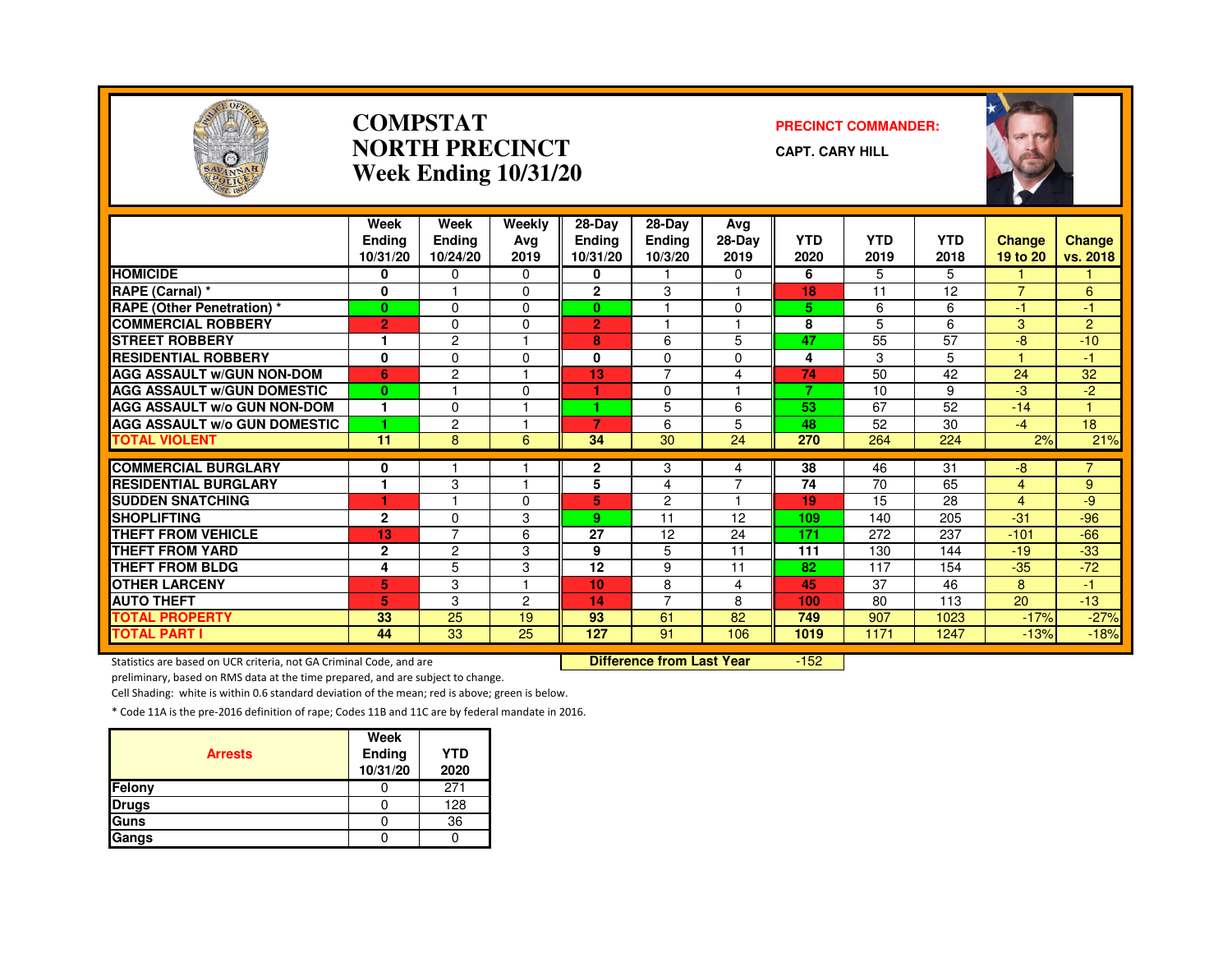

#### **COMPSTATNORTH PRECINCTWeek Ending 10/31/20**

#### **PRECINCT COMMANDER:**

**CAPT. CARY HILL**



|                                     | Week<br><b>Endina</b><br>10/31/20 | Week<br>Ending<br>10/24/20 | Weekly<br>Ava<br>2019 | $28-Dav$<br><b>Ending</b><br>10/31/20 | 28-Day<br><b>Ending</b><br>10/3/20 | Avg<br>28-Day<br>2019 | <b>YTD</b><br>2020 | <b>YTD</b><br>2019 | <b>YTD</b><br>2018 | <b>Change</b><br>19 to 20 | <b>Change</b><br>vs. 2018 |
|-------------------------------------|-----------------------------------|----------------------------|-----------------------|---------------------------------------|------------------------------------|-----------------------|--------------------|--------------------|--------------------|---------------------------|---------------------------|
| <b>HOMICIDE</b>                     | 0                                 | $\Omega$                   | $\Omega$              | 0                                     |                                    | 0                     | 6                  | 5                  | 5.                 |                           |                           |
| RAPE (Carnal) *                     | $\mathbf 0$                       |                            | $\Omega$              | $\overline{2}$                        | 3                                  |                       | 18                 | 11                 | 12                 | $\overline{7}$            | 6                         |
| RAPE (Other Penetration) *          | $\mathbf{0}$                      | $\Omega$                   | $\Omega$              | $\mathbf{0}$                          |                                    | $\Omega$              | 5                  | 6                  | 6                  | $-1$                      | $\overline{1}$            |
| <b>COMMERCIAL ROBBERY</b>           | $\overline{2}$                    | $\Omega$                   | $\Omega$              | $\overline{2}$                        |                                    |                       | 8                  | 5                  | 6                  | 3                         | $\overline{2}$            |
| <b>STREET ROBBERY</b>               |                                   | $\overline{c}$             |                       | 8                                     | 6                                  | 5                     | 47                 | 55                 | 57                 | $-8$                      | $-10$                     |
| <b>RESIDENTIAL ROBBERY</b>          | 0                                 | $\Omega$                   | $\Omega$              | 0                                     | $\Omega$                           | $\Omega$              | 4                  | 3                  | 5.                 |                           | -1                        |
| <b>AGG ASSAULT W/GUN NON-DOM</b>    | 6                                 | $\overline{2}$             |                       | 13                                    | 7                                  | 4                     | 74                 | 50                 | 42                 | 24                        | 32                        |
| <b>AGG ASSAULT W/GUN DOMESTIC</b>   | $\bf{0}$                          |                            | $\Omega$              |                                       | $\Omega$                           | н                     | $\overline{7}$     | 10                 | 9                  | $-3$                      | $-2$                      |
| <b>AGG ASSAULT w/o GUN NON-DOM</b>  | 1                                 | $\Omega$                   |                       | 4.                                    | 5                                  | 6                     | 53                 | 67                 | 52                 | $-14$                     | 1                         |
| <b>AGG ASSAULT W/o GUN DOMESTIC</b> | 1                                 | 2                          |                       | 7                                     | 6                                  | 5                     | 48                 | 52                 | 30                 | $-4$                      | 18                        |
| <b>TOTAL VIOLENT</b>                | 11                                | 8                          | 6                     | 34                                    | 30                                 | 24                    | 270                | 264                | 224                | 2%                        | 21%                       |
| <b>COMMERCIAL BURGLARY</b>          |                                   |                            |                       |                                       |                                    |                       | 38                 | 46                 | 31                 | $-8$                      | $\overline{7}$            |
| <b>RESIDENTIAL BURGLARY</b>         | 0<br>1                            |                            |                       | $\mathbf{2}$                          | 3                                  | 4<br>7                | 74                 |                    |                    |                           |                           |
|                                     |                                   | 3                          | $\Omega$              | 5                                     | 4                                  | 1                     |                    | 70                 | 65                 | 4                         | 9                         |
| <b>SUDDEN SNATCHING</b>             | ۴                                 |                            |                       | 5                                     | $\overline{2}$                     |                       | 19                 | 15                 | 28                 | $\overline{4}$            | -9                        |
| <b>SHOPLIFTING</b>                  | $\mathbf{2}$                      | $\Omega$<br>$\overline{7}$ | 3                     | 9                                     | 11                                 | 12                    | 109                | 140                | 205                | $-31$                     | $-96$                     |
| <b>THEFT FROM VEHICLE</b>           | 13                                |                            | 6                     | 27                                    | 12                                 | 24                    | 171                | 272                | 237                | $-101$                    | $-66$                     |
| <b>THEFT FROM YARD</b>              | $\mathbf{2}$                      | $\overline{c}$             | 3                     | 9                                     | 5                                  | 11                    | 111                | 130                | 144                | $-19$                     | $-33$                     |
| <b>THEFT FROM BLDG</b>              | 4                                 | 5                          | 3                     | 12                                    | 9                                  | 11                    | 82                 | 117                | 154                | $-35$                     | $-72$                     |
| <b>OTHER LARCENY</b>                | 5                                 | 3                          |                       | 10                                    | 8                                  | 4                     | 45                 | 37                 | 46                 | 8                         | 47                        |
| <b>AUTO THEFT</b>                   | 5                                 | 3                          | 2                     | 14                                    | $\overline{7}$                     | 8                     | 100                | 80                 | 113                | 20                        | $-13$                     |
| <b>TOTAL PROPERTY</b>               | 33                                | 25                         | 19                    | 93                                    | 61                                 | 82                    | 749                | 907                | 1023               | $-17%$                    | $-27%$                    |
| <b>TOTAL PART I</b>                 | 44                                | $\overline{33}$            | 25                    | 127                                   | 91                                 | 106                   | 1019               | 1171               | 1247               | $-13%$                    | $-18%$                    |

Statistics are based on UCR criteria, not GA Criminal Code, and are **Difference from Last Year** 

 $-152$ 

preliminary, based on RMS data at the time prepared, and are subject to change.

Cell Shading: white is within 0.6 standard deviation of the mean; red is above; green is below.

| <b>Arrests</b> | Week<br>Ending<br>10/31/20 | <b>YTD</b><br>2020 |
|----------------|----------------------------|--------------------|
| Felony         |                            | 271                |
| <b>Drugs</b>   |                            | 128                |
| Guns           |                            | 36                 |
| Gangs          |                            |                    |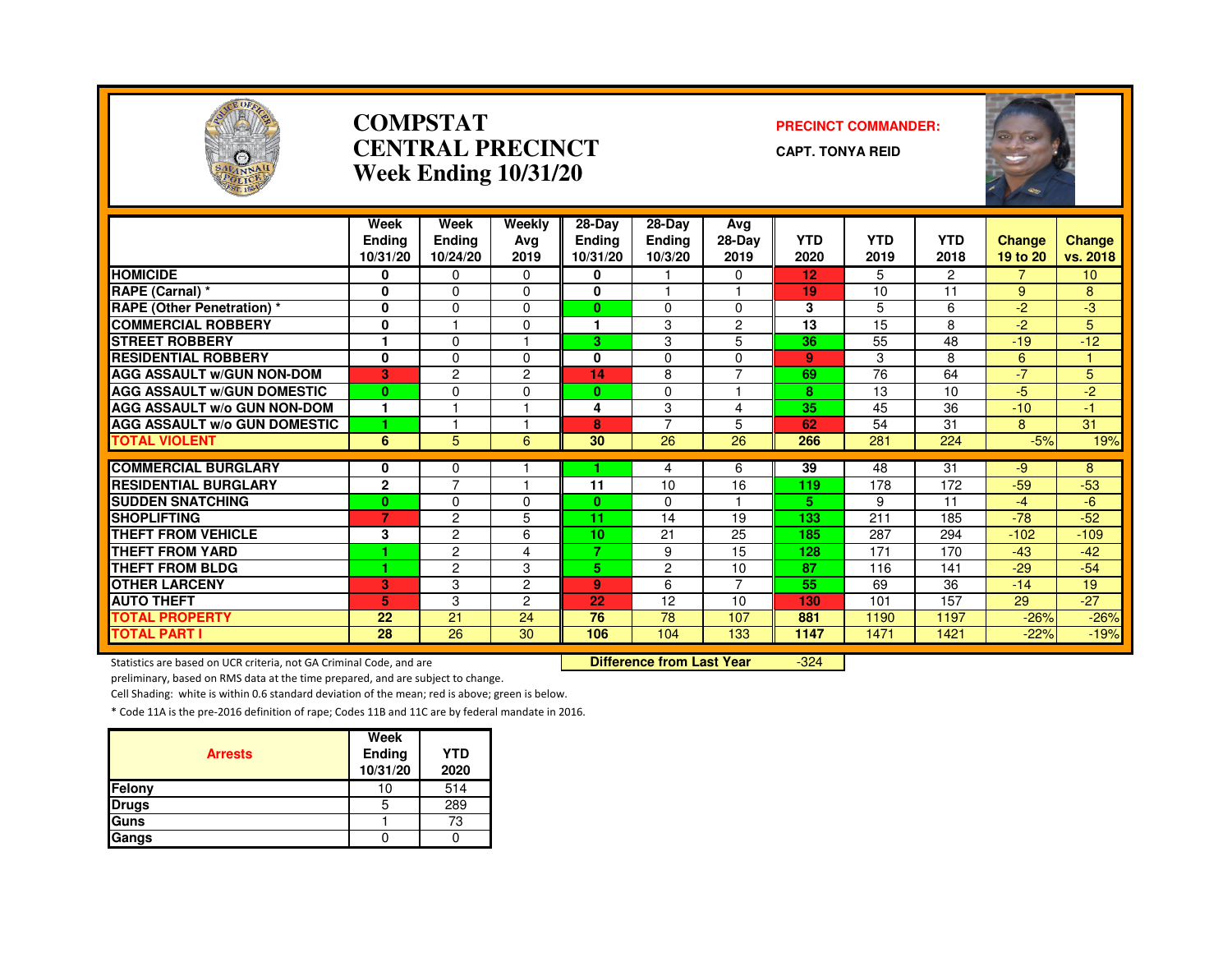

#### **COMPSTATCENTRAL PRECINCTWeek Ending 10/31/20**

#### **PRECINCT COMMANDER:**

**CAPT. TONYA REID**



|                                                                     | Week              | Week                    | Weekly                           | 28-Day        | 28-Day         | Avg            |            |            |                |          |                 |
|---------------------------------------------------------------------|-------------------|-------------------------|----------------------------------|---------------|----------------|----------------|------------|------------|----------------|----------|-----------------|
|                                                                     | <b>Endina</b>     | <b>Ending</b>           | Avg                              | <b>Endina</b> | Ending         | 28-Day         | <b>YTD</b> | <b>YTD</b> | <b>YTD</b>     | Change   | <b>Change</b>   |
|                                                                     | 10/31/20          | 10/24/20                | 2019                             | 10/31/20      | 10/3/20        | 2019           | 2020       | 2019       | 2018           | 19 to 20 | vs. 2018        |
| <b>HOMICIDE</b>                                                     | 0                 | 0                       | 0                                | 0             |                | 0              | 12         | 5          | $\overline{2}$ |          | 10 <sup>°</sup> |
| RAPE (Carnal) *                                                     | $\mathbf{0}$      | $\Omega$                | $\Omega$                         | 0             |                |                | 19         | 10         | 11             | 9        | 8               |
| <b>RAPE (Other Penetration) *</b>                                   | 0                 | $\mathbf 0$             | $\Omega$                         | $\mathbf{0}$  | $\mathbf 0$    | $\mathbf 0$    | 3          | 5          | 6              | $-2$     | $-3$            |
| <b>COMMERCIAL ROBBERY</b>                                           | 0                 | $\overline{\mathbf{1}}$ | $\Omega$                         | 1             | 3              | $\overline{c}$ | 13         | 15         | 8              | $-2$     | 5               |
| <b>STREET ROBBERY</b>                                               |                   | $\Omega$                |                                  | 3             | 3              | 5              | 36         | 55         | 48             | $-19$    | $-12$           |
| <b>RESIDENTIAL ROBBERY</b>                                          | $\mathbf 0$       | 0                       | $\Omega$                         | 0             | 0              | 0              | 9          | 3          | 8              | 6        |                 |
| <b>AGG ASSAULT W/GUN NON-DOM</b>                                    | 3                 | $\overline{c}$          | $\overline{2}$                   | 14            | 8              | $\overline{7}$ | 69         | 76         | 64             | $-7$     | 5               |
| <b>AGG ASSAULT W/GUN DOMESTIC</b>                                   | $\bf{0}$          | $\Omega$                | $\Omega$                         | $\bf{0}$      | $\Omega$       |                | 8          | 13         | 10             | -5       | $-2$            |
| <b>AGG ASSAULT W/o GUN NON-DOM</b>                                  | $\mathbf{1}$      |                         |                                  | 4             | 3              | 4              | 35         | 45         | 36             | $-10$    | -1.             |
| <b>AGG ASSAULT W/o GUN DOMESTIC</b>                                 | 1                 |                         |                                  | 8             | $\overline{7}$ | 5              | 62         | 54         | 31             | 8        | 31              |
| <b>TOTAL VIOLENT</b>                                                | 6                 | 5                       | 6                                | 30            | 26             | 26             | 266        | 281        | 224            | $-5%$    | 19%             |
| <b>COMMERCIAL BURGLARY</b>                                          |                   | $\Omega$                |                                  |               |                |                | 39         | 48         | 31             | $-9$     | 8               |
| <b>RESIDENTIAL BURGLARY</b>                                         | 0<br>$\mathbf{2}$ | $\overline{7}$          |                                  | 11            | 4<br>10        | 6<br>16        | 119        | 178        | 172            | $-59$    | $-53$           |
|                                                                     |                   |                         |                                  |               |                |                |            |            |                | $-4$     |                 |
| <b>SUDDEN SNATCHING</b><br><b>SHOPLIFTING</b>                       | $\bf{0}$          | $\Omega$                | $\Omega$                         | $\bf{0}$      | $\Omega$       |                | 5.         | 9          | 11             |          | $-6$            |
|                                                                     | 7                 | $\overline{c}$          | 5                                | 11            | 14             | 19             | 133        | 211        | 185            | $-78$    | $-52$           |
| <b>THEFT FROM VEHICLE</b>                                           | 3                 | $\overline{c}$          | 6                                | 10<br>7.      | 21             | 25             | 185        | 287        | 294            | $-102$   | $-109$          |
| THEFT FROM YARD                                                     | 1                 | $\overline{c}$          | 4                                |               | 9              | 15             | 128        | 171        | 170            | $-43$    | $-42$           |
| <b>THEFT FROM BLDG</b>                                              | 1                 | $\overline{c}$          | 3                                | 5.            | 2              | 10             | 87         | 116        | 141            | $-29$    | $-54$           |
| <b>OTHER LARCENY</b>                                                | 3                 | 3                       | $\overline{2}$                   | 9             | 6              | $\overline{7}$ | 55         | 69         | 36             | $-14$    | 19              |
| <b>AUTO THEFT</b>                                                   | 5                 | 3                       | $\overline{c}$                   | 22            | 12             | 10             | 130        | 101        | 157            | 29       | $-27$           |
| <b>TOTAL PROPERTY</b>                                               | 22                | 21                      | 24                               | 76            | 78             | 107            | 881        | 1190       | 1197           | $-26%$   | $-26%$          |
| <b>TOTAL PART I</b>                                                 | 28                | 26                      | 30                               | 106           | 104            | 133            | 1147       | 1471       | 1421           | $-22%$   | $-19%$          |
| Statistics are based on UCR criteria, not GA Criminal Code, and are |                   |                         | <b>Difference from Last Year</b> |               | $-324$         |                |            |            |                |          |                 |

Statistics are based on UCR criteria, not GA Criminal Code, and are **Difference from Last Year** 

preliminary, based on RMS data at the time prepared, and are subject to change.

Cell Shading: white is within 0.6 standard deviation of the mean; red is above; green is below.

| <b>Arrests</b> | Week<br>Ending<br>10/31/20 | <b>YTD</b><br>2020 |
|----------------|----------------------------|--------------------|
| <b>Felony</b>  | 10                         | 514                |
| <b>Drugs</b>   | 5                          | 289                |
| <b>Guns</b>    |                            | 73                 |
| Gangs          |                            |                    |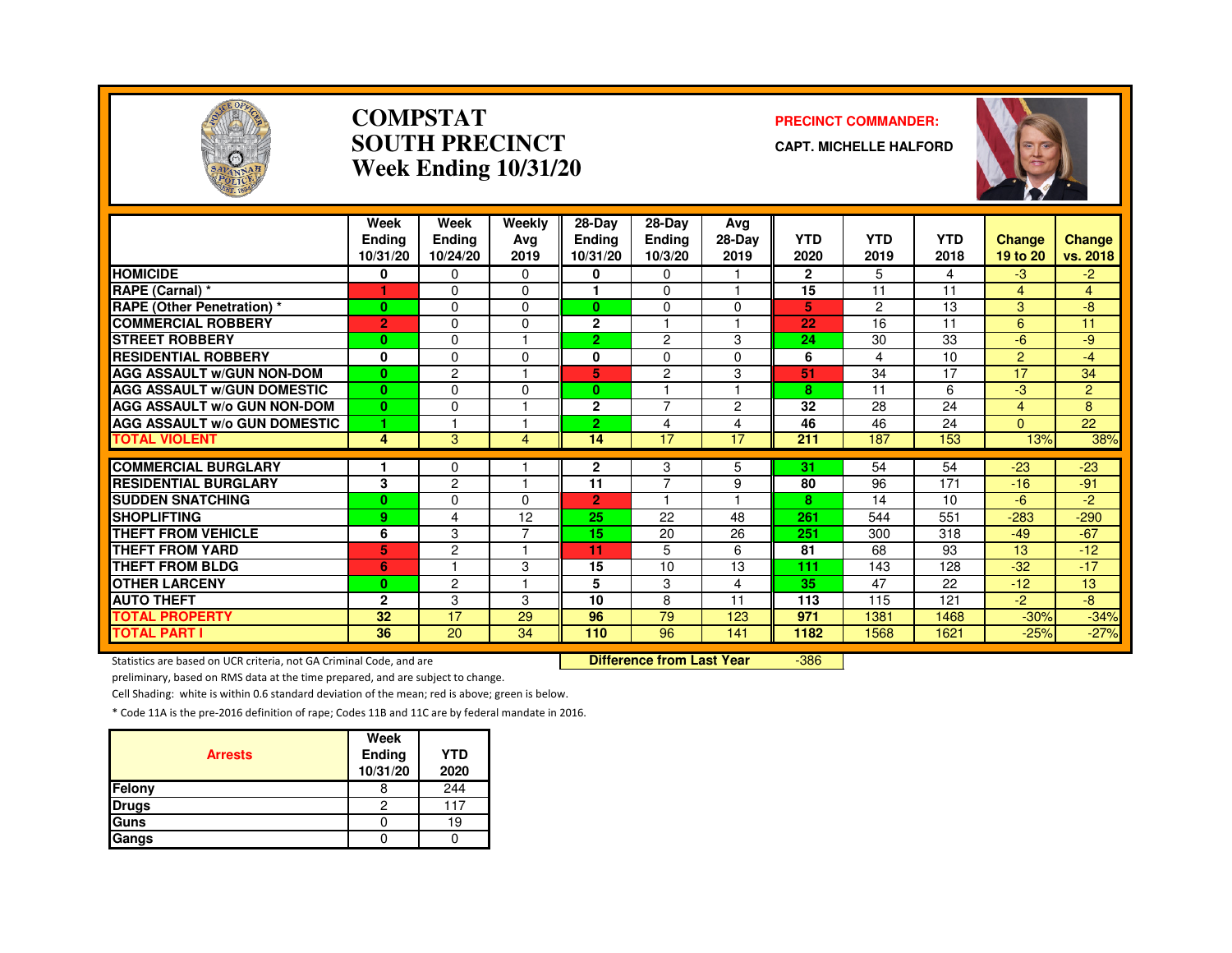

#### **COMPSTATSOUTH PRECINCTWeek Ending 10/31/20**

#### **PRECINCT COMMANDER:**

**CAPT. MICHELLE HALFORD**



|                                                           | Week<br><b>Endina</b><br>10/31/20 | Week<br>Ending<br>10/24/20 | Weekly<br>Avg<br>2019 | 28-Day<br><b>Ending</b><br>10/31/20 | 28-Day<br><b>Ending</b><br>10/3/20 | Avg<br>$28-Dav$<br>2019 | <b>YTD</b><br>2020 | <b>YTD</b><br>2019 | <b>YTD</b><br>2018 | <b>Change</b><br>19 to 20 | <b>Change</b><br>vs. 2018 |
|-----------------------------------------------------------|-----------------------------------|----------------------------|-----------------------|-------------------------------------|------------------------------------|-------------------------|--------------------|--------------------|--------------------|---------------------------|---------------------------|
| <b>HOMICIDE</b>                                           | 0                                 | $\Omega$                   | $\Omega$              | 0                                   | $\mathbf{0}$                       |                         | $\mathbf{2}$       | 5                  | 4                  | $-3$                      | $-2$                      |
| RAPE (Carnal) *                                           |                                   | $\Omega$                   | $\Omega$              |                                     | $\Omega$                           |                         | 15                 | 11                 | 11                 | $\overline{4}$            | $\overline{4}$            |
| <b>RAPE (Other Penetration)*</b>                          | $\bf{0}$                          | $\Omega$                   | $\Omega$              | $\mathbf{0}$                        | $\Omega$                           | $\Omega$                | 5                  | 2                  | 13                 | 3                         | -8                        |
| <b>COMMERCIAL ROBBERY</b>                                 | $\overline{2}$                    | $\Omega$                   | $\Omega$              | $\overline{2}$                      |                                    |                         | 22                 | 16                 | 11                 | 6                         | 11                        |
| <b>STREET ROBBERY</b>                                     | $\bf{0}$                          | $\Omega$                   |                       | $\overline{2}$                      | $\overline{2}$                     | 3                       | 24                 | 30                 | 33                 | $-6$                      | -9                        |
| <b>RESIDENTIAL ROBBERY</b>                                | 0                                 | $\Omega$                   | $\Omega$              | 0                                   | $\Omega$                           | $\Omega$                | 6                  | 4                  | 10                 | 2                         | $-4$                      |
| <b>AGG ASSAULT W/GUN NON-DOM</b>                          | $\bf{0}$                          | $\mathbf{2}$               |                       | 5                                   | 2                                  | 3                       | 51                 | 34                 | $\overline{17}$    | $\overline{17}$           | 34                        |
| <b>AGG ASSAULT W/GUN DOMESTIC</b>                         | $\bf{0}$                          | $\Omega$                   | $\Omega$              | 0                                   |                                    |                         | 8                  | 11                 | 6                  | -3                        | $\overline{2}$            |
| <b>AGG ASSAULT w/o GUN NON-DOM</b>                        | $\bf{0}$                          | $\Omega$                   |                       | $\mathbf{2}$                        | $\overline{7}$                     | $\overline{2}$          | 32                 | 28                 | 24                 | $\overline{4}$            | 8                         |
| <b>AGG ASSAULT w/o GUN DOMESTIC</b>                       | 4                                 |                            |                       | $\overline{2}$                      | 4                                  | 4                       | 46                 | 46                 | 24                 | $\Omega$                  | 22                        |
| <b>TOTAL VIOLENT</b>                                      | 4                                 | 3                          | 4                     | 14                                  | 17                                 | 17                      | 211                | 187                | 153                | 13%                       | 38%                       |
|                                                           |                                   |                            |                       |                                     |                                    |                         |                    |                    |                    |                           |                           |
| <b>COMMERCIAL BURGLARY</b><br><b>RESIDENTIAL BURGLARY</b> | 3                                 | 0<br>$\overline{c}$        |                       | 2<br>11                             | 3<br>$\overline{7}$                | 5                       | 31<br>80           | 54<br>96           | 54<br>171          | $-23$<br>$-16$            | $-23$<br>$-91$            |
|                                                           |                                   |                            | $\Omega$              | $\overline{2}$                      |                                    | 9                       | 8                  |                    |                    |                           |                           |
| <b>SUDDEN SNATCHING</b><br><b>SHOPLIFTING</b>             | $\bf{0}$                          | 0<br>4                     |                       | 25                                  | 22                                 | 48                      | 261                | 14                 | 10<br>551          | -6<br>$-283$              | -2<br>$-290$              |
| THEFT FROM VEHICLE                                        | 9                                 |                            | 12<br>7               |                                     |                                    |                         |                    | 544                |                    |                           |                           |
| <b>THEFT FROM YARD</b>                                    | 6                                 | 3                          |                       | 15                                  | 20                                 | 26                      | 251<br>81          | 300                | 318                | $-49$                     | $-67$                     |
|                                                           | 5                                 | $\overline{c}$             |                       | 11                                  | 5                                  | 6                       |                    | 68                 | 93                 | 13                        | $-12$                     |
| <b>THEFT FROM BLDG</b>                                    | 6                                 |                            | 3                     | 15                                  | 10                                 | 13                      | 111                | 143                | 128                | $-32$                     | $-17$                     |
| <b>OTHER LARCENY</b>                                      | $\bf{0}$                          | $\overline{c}$             |                       | 5                                   | 3                                  | 4                       | 35                 | 47                 | 22                 | $-12$                     | 13                        |
| <b>AUTO THEFT</b>                                         | $\overline{2}$                    | 3                          | 3                     | 10                                  | 8                                  | 11                      | 113                | 115                | 121                | $-2$                      | -8                        |
| <b>TOTAL PROPERTY</b>                                     | 32                                | 17                         | 29                    | 96                                  | 79                                 | 123                     | 971                | 1381               | 1468               | $-30%$                    | $-34%$                    |
| <b>TOTAL PART I</b>                                       | 36                                | 20                         | 34                    | 110                                 | 96                                 | 141                     | 1182               | 1568               | 1621               | $-25%$                    | $-27%$                    |

Statistics are based on UCR criteria, not GA Criminal Code, and are **Difference from Last Year** 

-386

preliminary, based on RMS data at the time prepared, and are subject to change.

Cell Shading: white is within 0.6 standard deviation of the mean; red is above; green is below.

| <b>Arrests</b> | Week<br>Ending<br>10/31/20 | <b>YTD</b><br>2020 |
|----------------|----------------------------|--------------------|
| Felony         |                            | 244                |
| <b>Drugs</b>   | 2                          | 117                |
| Guns           |                            | 19                 |
| Gangs          |                            |                    |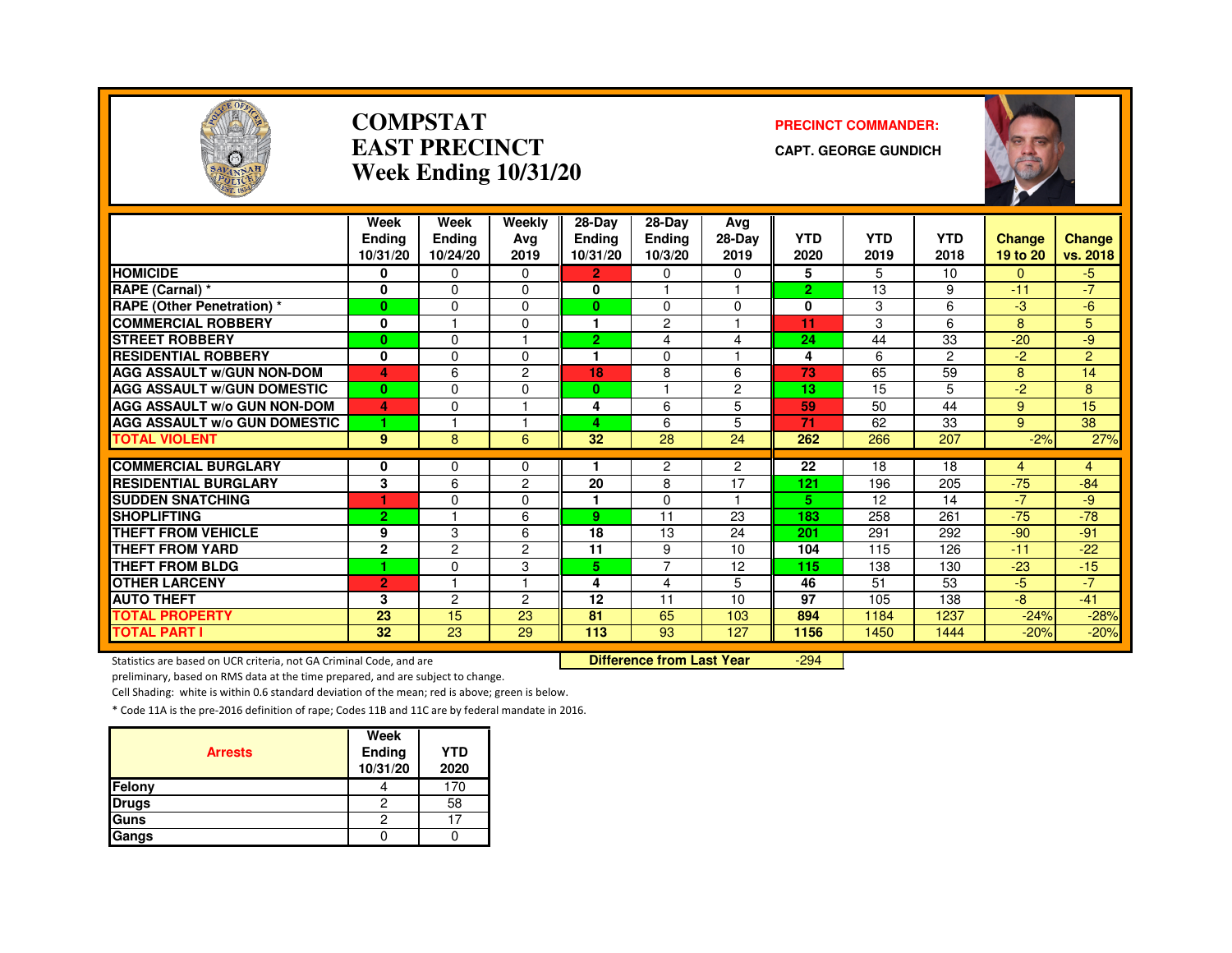

#### **COMPSTATEAST PRECINCTWeek Ending 10/31/20**

#### **PRECINCT COMMANDER:**

**CAPT. GEORGE GUNDICH**



|                                     | Week<br><b>Endina</b><br>10/31/20 | Week<br><b>Ending</b><br>10/24/20 | Weekly<br>Avg<br>2019 | $28-Dav$<br><b>Endina</b><br>10/31/20 | 28-Day<br><b>Endina</b><br>10/3/20 | Avg<br>28-Day<br>2019 | <b>YTD</b><br>2020 | <b>YTD</b><br>2019 | <b>YTD</b><br>2018 | Change<br>19 to 20 | Change<br>vs. 2018 |
|-------------------------------------|-----------------------------------|-----------------------------------|-----------------------|---------------------------------------|------------------------------------|-----------------------|--------------------|--------------------|--------------------|--------------------|--------------------|
| <b>HOMICIDE</b>                     | 0                                 | 0                                 | $\Omega$              | $\overline{2}$                        | 0                                  | $\Omega$              | 5                  | 5                  | 10                 | $\Omega$           | $-5$               |
| RAPE (Carnal) *                     | 0                                 | $\Omega$                          | $\Omega$              | 0                                     |                                    |                       | $\overline{2}$     | 13                 | 9                  | $-11$              | $-7$               |
| <b>RAPE (Other Penetration) *</b>   | $\bf{0}$                          | $\Omega$                          | $\Omega$              | $\mathbf{0}$                          | $\Omega$                           | $\Omega$              | 0                  | 3                  | 6                  | -3                 | -6                 |
| <b>COMMERCIAL ROBBERY</b>           | 0                                 |                                   | 0                     |                                       | 2                                  |                       | 11                 | 3                  | 6                  | 8                  | 5                  |
| <b>STREET ROBBERY</b>               | $\bf{0}$                          | $\Omega$                          |                       | $\overline{2}$                        | 4                                  | 4                     | 24                 | 44                 | 33                 | $-20$              | -9                 |
| <b>RESIDENTIAL ROBBERY</b>          | 0                                 | $\Omega$                          | $\Omega$              |                                       | $\Omega$                           |                       | 4                  | 6                  | 2                  | $-2$               | $\overline{2}$     |
| <b>AGG ASSAULT W/GUN NON-DOM</b>    | 4                                 | 6                                 | $\overline{c}$        | 18                                    | 8                                  | 6                     | 73                 | 65                 | 59                 | 8                  | 14                 |
| <b>AGG ASSAULT W/GUN DOMESTIC</b>   | $\bf{0}$                          | $\Omega$                          | $\Omega$              | $\mathbf{0}$                          |                                    | $\overline{2}$        | 13                 | 15                 | 5                  | $-2$               | 8                  |
| <b>AGG ASSAULT w/o GUN NON-DOM</b>  | 4                                 | $\Omega$                          |                       | 4                                     | 6                                  | 5                     | 59                 | 50                 | 44                 | 9                  | 15                 |
| <b>AGG ASSAULT W/o GUN DOMESTIC</b> | 1                                 |                                   |                       | 4                                     | 6                                  | 5                     | 71                 | 62                 | 33                 | 9                  | 38                 |
| <b>TOTAL VIOLENT</b>                | 9                                 | 8                                 | 6                     | 32                                    | 28                                 | 24                    | 262                | 266                | 207                | $-2%$              | 27%                |
| <b>COMMERCIAL BURGLARY</b>          |                                   |                                   |                       |                                       |                                    |                       |                    | 18                 | 18                 |                    |                    |
| <b>RESIDENTIAL BURGLARY</b>         | 0                                 | 0                                 | 0                     | 20                                    | 2                                  | $\overline{2}$<br>17  | 22<br>121          |                    | 205                | 4<br>$-75$         | $\overline{4}$     |
|                                     | 3                                 | 6                                 | $\overline{2}$        |                                       | 8                                  | н                     |                    | 196                |                    |                    | $-84$              |
| <b>SUDDEN SNATCHING</b>             | и                                 | $\Omega$                          | 0                     |                                       | 0                                  |                       | 5                  | 12                 | 14                 | $-7$               | -9                 |
| <b>SHOPLIFTING</b>                  | $\overline{2}$                    |                                   | 6                     | 9                                     | 11                                 | 23                    | 183                | 258                | 261                | $-75$              | $-78$              |
| <b>THEFT FROM VEHICLE</b>           | 9                                 | 3                                 | 6                     | 18                                    | 13                                 | 24                    | 201                | 291                | 292                | $-90$              | $-91$              |
| <b>THEFT FROM YARD</b>              | $\mathbf 2$                       | $\overline{c}$                    | 2                     | 11                                    | 9                                  | 10                    | 104                | 115                | 126                | $-11$              | $-22$              |
| <b>THEFT FROM BLDG</b>              | ٠                                 | $\Omega$                          | 3                     | 5.                                    | $\overline{7}$                     | 12                    | 115                | 138                | 130                | $-23$              | $-15$              |
| <b>OTHER LARCENY</b>                | $\overline{2}$                    |                                   |                       | 4                                     | 4                                  | 5                     | 46                 | 51                 | 53                 | $-5$               | $-7$               |
| <b>AUTO THEFT</b>                   | 3                                 | 2                                 | $\overline{2}$        | 12                                    | 11                                 | 10                    | 97                 | 105                | 138                | $-8$               | $-41$              |
| <b>TOTAL PROPERTY</b>               | 23                                | 15                                | 23                    | 81                                    | 65                                 | 103                   | 894                | 1184               | 1237               | $-24%$             | $-28%$             |
| <b>TOTAL PART I</b>                 | 32                                | 23                                | 29                    | 113                                   | 93                                 | 127                   | 1156               | 1450               | 1444               | $-20%$             | $-20%$             |

Statistics are based on UCR criteria, not GA Criminal Code, and are **Difference from Last Year** 

-294

preliminary, based on RMS data at the time prepared, and are subject to change.

Cell Shading: white is within 0.6 standard deviation of the mean; red is above; green is below.

| <b>Arrests</b> | Week<br>Ending<br>10/31/20 | <b>YTD</b><br>2020 |
|----------------|----------------------------|--------------------|
| Felony         |                            | 170                |
| <b>Drugs</b>   | 2                          | 58                 |
| Guns           | 2                          |                    |
| Gangs          |                            |                    |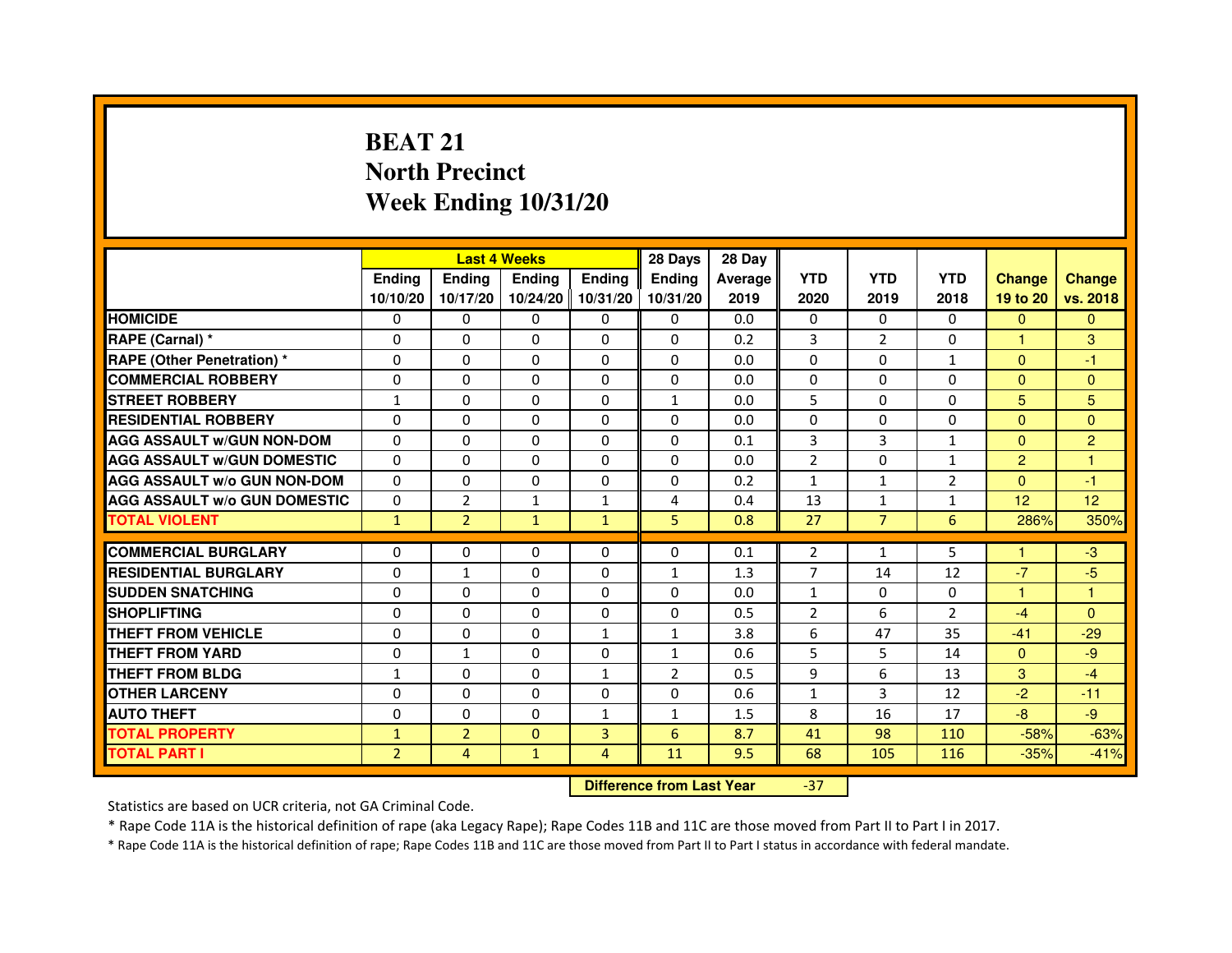# **BEAT 21 North PrecinctWeek Ending 10/31/20**

|                                     |                | <b>Last 4 Weeks</b> |                                  |                | 28 Days        | 28 Day  |                |                |              |                |                |
|-------------------------------------|----------------|---------------------|----------------------------------|----------------|----------------|---------|----------------|----------------|--------------|----------------|----------------|
|                                     | <b>Ending</b>  | Ending              | <b>Ending</b>                    | <b>Ending</b>  | <b>Ending</b>  | Average | <b>YTD</b>     | <b>YTD</b>     | <b>YTD</b>   | <b>Change</b>  | <b>Change</b>  |
|                                     | 10/10/20       | 10/17/20            | 10/24/20                         | 10/31/20       | 10/31/20       | 2019    | 2020           | 2019           | 2018         | 19 to 20       | vs. 2018       |
| <b>HOMICIDE</b>                     | 0              | 0                   | 0                                | 0              | 0              | 0.0     | $\Omega$       | $\Omega$       | 0            | $\Omega$       | $\mathbf{0}$   |
| RAPE (Carnal) *                     | 0              | $\mathbf{0}$        | 0                                | 0              | 0              | 0.2     | 3              | 2              | 0            | 1              | 3              |
| <b>RAPE (Other Penetration) *</b>   | 0              | 0                   | 0                                | $\mathbf{0}$   | $\Omega$       | 0.0     | $\Omega$       | $\mathbf{0}$   | $\mathbf{1}$ | $\mathbf{0}$   | $-1$           |
| <b>COMMERCIAL ROBBERY</b>           | $\mathbf 0$    | 0                   | $\Omega$                         | $\mathbf{0}$   | $\mathbf{0}$   | 0.0     | $\mathbf{0}$   | $\mathbf{0}$   | $\Omega$     | $\Omega$       | $\mathbf{0}$   |
| <b>STREET ROBBERY</b>               | 1              | $\Omega$            | $\Omega$                         | $\Omega$       | $\mathbf{1}$   | 0.0     | 5              | $\Omega$       | $\Omega$     | 5              | 5              |
| <b>RESIDENTIAL ROBBERY</b>          | 0              | 0                   | $\Omega$                         | 0              | $\Omega$       | 0.0     | $\Omega$       | $\Omega$       | $\Omega$     | $\Omega$       | $\Omega$       |
| <b>AGG ASSAULT W/GUN NON-DOM</b>    | $\Omega$       | $\Omega$            | 0                                | $\Omega$       | $\Omega$       | 0.1     | 3              | 3              | $\mathbf{1}$ | $\mathbf{0}$   | $\overline{2}$ |
| <b>AGG ASSAULT W/GUN DOMESTIC</b>   | $\Omega$       | $\Omega$            | $\Omega$                         | $\Omega$       | $\Omega$       | 0.0     | $\overline{2}$ | $\Omega$       | $\mathbf{1}$ | $\overline{2}$ | $\mathbf{1}$   |
| <b>AGG ASSAULT W/o GUN NON-DOM</b>  | $\Omega$       | $\Omega$            | $\Omega$                         | $\Omega$       | $\Omega$       | 0.2     | $\mathbf{1}$   | $\mathbf{1}$   | 2            | $\Omega$       | $-1$           |
| <b>AGG ASSAULT W/o GUN DOMESTIC</b> | $\Omega$       | $\overline{2}$      | $\mathbf{1}$                     | 1              | 4              | 0.4     | 13             | $\mathbf{1}$   | $\mathbf{1}$ | 12             | 12             |
| <b>TOTAL VIOLENT</b>                | $\mathbf{1}$   | $\overline{2}$      | $\mathbf{1}$                     | $\mathbf{1}$   | 5              | 0.8     | 27             | $\overline{7}$ | 6            | 286%           | 350%           |
| <b>COMMERCIAL BURGLARY</b>          | 0              | 0                   | 0                                | 0              | 0              | 0.1     | 2              | $\mathbf{1}$   | 5            | 1              | $-3$           |
| <b>RESIDENTIAL BURGLARY</b>         | 0              | $\mathbf{1}$        | $\Omega$                         | $\mathbf{0}$   | $\mathbf{1}$   | 1.3     | $\overline{7}$ | 14             | 12           | $-7$           | $-5$           |
| <b>SUDDEN SNATCHING</b>             | 0              | $\Omega$            | $\Omega$                         | $\Omega$       | $\Omega$       | 0.0     | $\mathbf{1}$   | $\Omega$       | $\Omega$     | $\mathbf{1}$   | $\mathbf{1}$   |
| <b>SHOPLIFTING</b>                  | 0              | $\mathbf{0}$        | 0                                | $\mathbf{0}$   | $\mathbf{0}$   | 0.5     | 2              | 6              | 2            | $-4$           | $\Omega$       |
| THEFT FROM VEHICLE                  | 0              | 0                   | 0                                | $\mathbf{1}$   | $\mathbf{1}$   | 3.8     | 6              | 47             | 35           | $-41$          | $-29$          |
| <b>THEFT FROM YARD</b>              | $\mathbf 0$    | $\mathbf{1}$        | $\Omega$                         | $\Omega$       | $\mathbf{1}$   | 0.6     | 5              | 5              | 14           | $\Omega$       | $-9$           |
| <b>THEFT FROM BLDG</b>              | 1              | $\Omega$            | 0                                | $\mathbf{1}$   | $\overline{2}$ | 0.5     | 9              | 6              | 13           | 3              | $-4$           |
| <b>OTHER LARCENY</b>                | 0              | $\Omega$            | $\Omega$                         | $\Omega$       | $\Omega$       | 0.6     | $\mathbf{1}$   | 3              | 12           | $-2$           | $-11$          |
| <b>AUTO THEFT</b>                   | $\Omega$       | 0                   | $\Omega$                         | $\mathbf{1}$   | $\mathbf{1}$   | 1.5     | 8              | 16             | 17           | $-8$           | $-9$           |
| <b>TOTAL PROPERTY</b>               | $\mathbf{1}$   | $\overline{2}$      | $\Omega$                         | 3              | 6              | 8.7     | 41             | 98             | 110          | $-58%$         | $-63%$         |
| <b>TOTAL PART I</b>                 | $\overline{2}$ | 4                   | $\mathbf{1}$                     | $\overline{4}$ | 11             | 9.5     | 68             | 105            | 116          | $-35%$         | $-41%$         |
|                                     |                |                     | <b>Difference from Last Year</b> |                | $-37$          |         |                |                |              |                |                |

Statistics are based on UCR criteria, not GA Criminal Code.

\* Rape Code 11A is the historical definition of rape (aka Legacy Rape); Rape Codes 11B and 11C are those moved from Part II to Part I in 2017.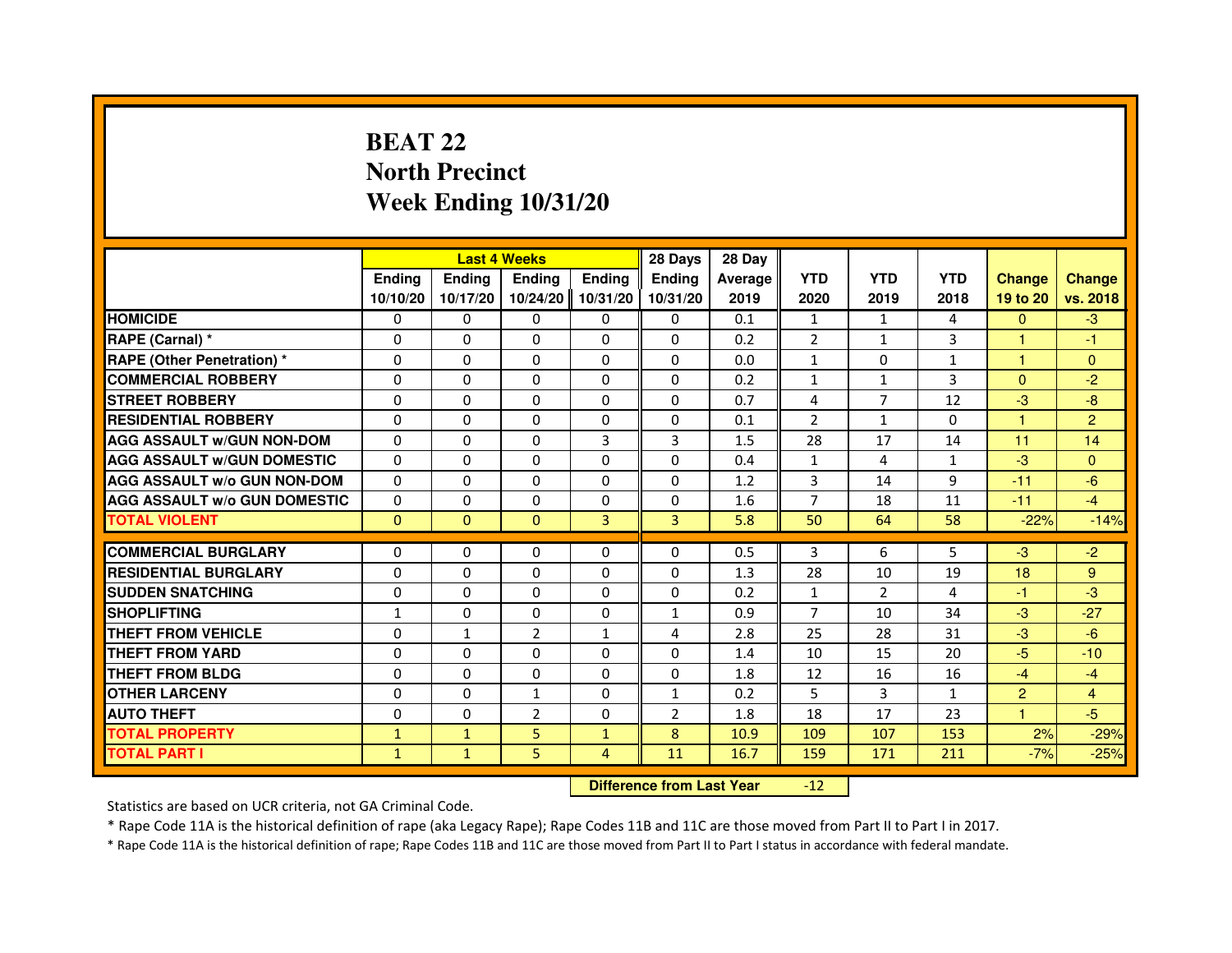## **BEAT 22 North PrecinctWeek Ending 10/31/20**

|                                     |               |               | <b>Last 4 Weeks</b>              |                | 28 Days        | 28 Day  |                |                |              |                |                |
|-------------------------------------|---------------|---------------|----------------------------------|----------------|----------------|---------|----------------|----------------|--------------|----------------|----------------|
|                                     | <b>Ending</b> | <b>Ending</b> | <b>Ending</b>                    | <b>Ending</b>  | <b>Endina</b>  | Average | <b>YTD</b>     | <b>YTD</b>     | <b>YTD</b>   | <b>Change</b>  | <b>Change</b>  |
|                                     | 10/10/20      | 10/17/20      | 10/24/20                         | 10/31/20       | 10/31/20       | 2019    | 2020           | 2019           | 2018         | 19 to 20       | vs. 2018       |
| <b>HOMICIDE</b>                     | $\Omega$      | $\Omega$      | $\Omega$                         | $\Omega$       | 0              | 0.1     | $\mathbf{1}$   | $\mathbf{1}$   | 4            | $\Omega$       | $-3$           |
| RAPE (Carnal) *                     | 0             | 0             | 0                                | 0              | 0              | 0.2     | $\overline{2}$ | $\mathbf{1}$   | 3            | 1              | $-1$           |
| <b>RAPE (Other Penetration) *</b>   | $\Omega$      | $\Omega$      | $\Omega$                         | $\Omega$       | $\Omega$       | 0.0     | $\mathbf{1}$   | $\Omega$       | $\mathbf{1}$ | $\mathbf{1}$   | $\mathbf{0}$   |
| <b>COMMERCIAL ROBBERY</b>           | $\Omega$      | $\Omega$      | $\Omega$                         | $\Omega$       | $\Omega$       | 0.2     | $\mathbf{1}$   | $\mathbf{1}$   | 3            | $\Omega$       | $-2$           |
| <b>STREET ROBBERY</b>               | $\Omega$      | $\Omega$      | $\Omega$                         | $\Omega$       | $\Omega$       | 0.7     | 4              | $\overline{7}$ | 12           | $-3$           | -8             |
| <b>RESIDENTIAL ROBBERY</b>          | $\Omega$      | $\Omega$      | 0                                | $\Omega$       | 0              | 0.1     | $\overline{2}$ | $\mathbf{1}$   | $\Omega$     | 1              | $\overline{2}$ |
| <b>AGG ASSAULT W/GUN NON-DOM</b>    | $\Omega$      | $\Omega$      | $\Omega$                         | $\overline{3}$ | 3              | 1.5     | 28             | 17             | 14           | 11             | 14             |
| <b>AGG ASSAULT w/GUN DOMESTIC</b>   | $\Omega$      | $\Omega$      | $\Omega$                         | $\Omega$       | $\Omega$       | 0.4     | $\mathbf{1}$   | 4              | $\mathbf{1}$ | $-3$           | $\Omega$       |
| <b>AGG ASSAULT W/o GUN NON-DOM</b>  | $\Omega$      | 0             | 0                                | 0              | 0              | 1.2     | 3              | 14             | 9            | $-11$          | $-6$           |
| <b>AGG ASSAULT W/o GUN DOMESTIC</b> | $\Omega$      | 0             | 0                                | $\Omega$       | $\Omega$       | 1.6     | $\overline{7}$ | 18             | 11           | $-11$          | $-4$           |
| <b>TOTAL VIOLENT</b>                | $\mathbf{0}$  | $\mathbf{0}$  | $\mathbf{0}$                     | 3              | 3              | 5.8     | 50             | 64             | 58           | $-22%$         | $-14%$         |
| <b>COMMERCIAL BURGLARY</b>          | 0             | 0             | 0                                | 0              | 0              | 0.5     | 3              | 6              | 5            | $-3$           | $-2$           |
| <b>RESIDENTIAL BURGLARY</b>         | $\Omega$      | $\Omega$      | $\Omega$                         | $\Omega$       | $\Omega$       | 1.3     | 28             | 10             | 19           | 18             | 9              |
| <b>SUDDEN SNATCHING</b>             | $\Omega$      | $\Omega$      | $\Omega$                         | $\Omega$       | $\Omega$       | 0.2     | $\mathbf{1}$   | $\overline{2}$ | 4            | $-1$           | $-3$           |
| <b>SHOPLIFTING</b>                  | $\mathbf{1}$  | 0             | 0                                | 0              | $\mathbf{1}$   | 0.9     | 7              | 10             | 34           | $-3$           | $-27$          |
| THEFT FROM VEHICLE                  | $\Omega$      | $\mathbf{1}$  | $\overline{2}$                   | $\mathbf{1}$   | 4              | 2.8     | 25             | 28             | 31           | $-3$           | $-6$           |
| THEFT FROM YARD                     | $\Omega$      | 0             | $\Omega$                         | 0              | 0              | 1.4     | 10             | 15             | 20           | $-5$           | $-10$          |
| <b>THEFT FROM BLDG</b>              | $\Omega$      | $\Omega$      | $\Omega$                         | $\Omega$       | $\Omega$       | 1.8     | 12             | 16             | 16           | $-4$           | $-4$           |
| <b>OTHER LARCENY</b>                | $\Omega$      | $\Omega$      | $\mathbf{1}$                     | $\Omega$       | $\mathbf{1}$   | 0.2     | 5              | 3              | $\mathbf{1}$ | $\overline{2}$ | $\overline{4}$ |
| <b>AUTO THEFT</b>                   | $\Omega$      | $\Omega$      | $\overline{2}$                   | $\Omega$       | $\overline{2}$ | 1.8     | 18             | 17             | 23           | $\mathbf{1}$   | $-5$           |
| <b>TOTAL PROPERTY</b>               | $\mathbf{1}$  | $\mathbf{1}$  | 5                                | $\mathbf{1}$   | 8              | 10.9    | 109            | 107            | 153          | 2%             | $-29%$         |
| <b>TOTAL PART I</b>                 | $\mathbf{1}$  | $\mathbf{1}$  | 5                                | 4              | 11             | 16.7    | 159            | 171            | 211          | $-7%$          | $-25%$         |
|                                     |               |               | <b>Difference from Last Year</b> |                | $-12$          |         |                |                |              |                |                |

 **Difference from Last Year**

Statistics are based on UCR criteria, not GA Criminal Code.

\* Rape Code 11A is the historical definition of rape (aka Legacy Rape); Rape Codes 11B and 11C are those moved from Part II to Part I in 2017.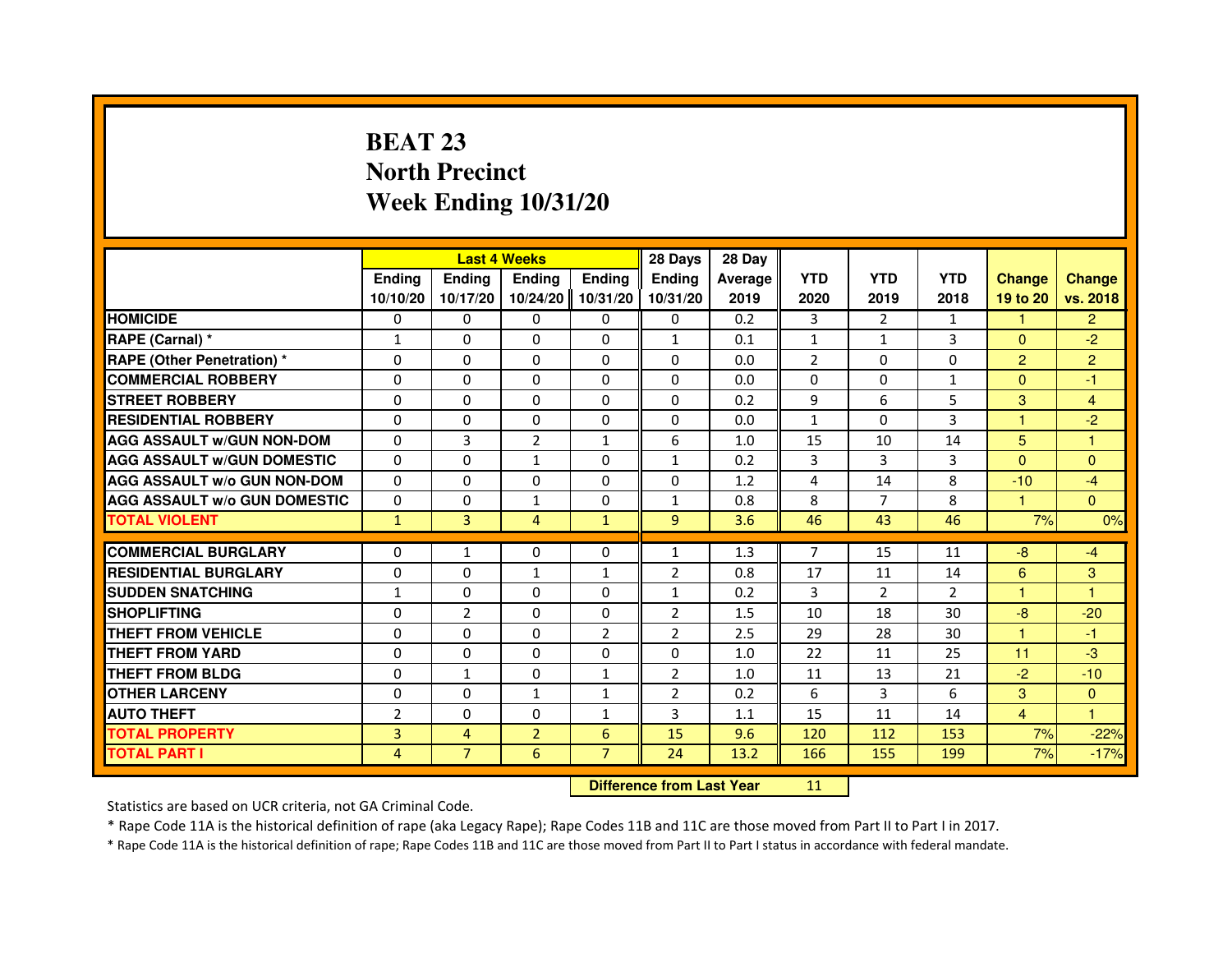# **BEAT 23 North PrecinctWeek Ending 10/31/20**

|                                     |                |                | <b>Last 4 Weeks</b>              |                | 28 Days        | 28 Day  |                |                |                |                |                |
|-------------------------------------|----------------|----------------|----------------------------------|----------------|----------------|---------|----------------|----------------|----------------|----------------|----------------|
|                                     | <b>Ending</b>  | Ending         | <b>Ending</b>                    | <b>Ending</b>  | <b>Ending</b>  | Average | <b>YTD</b>     | <b>YTD</b>     | <b>YTD</b>     | <b>Change</b>  | <b>Change</b>  |
|                                     | 10/10/20       | 10/17/20       | 10/24/20                         | 10/31/20       | 10/31/20       | 2019    | 2020           | 2019           | 2018           | 19 to 20       | vs. 2018       |
| <b>HOMICIDE</b>                     | 0              | $\Omega$       | $\Omega$                         | 0              | 0              | 0.2     | 3              | $\overline{2}$ | $\mathbf{1}$   | $\mathbf{1}$   | $\overline{2}$ |
| RAPE (Carnal) *                     | $\mathbf{1}$   | 0              | 0                                | 0              | $\mathbf{1}$   | 0.1     | $\mathbf{1}$   | $\mathbf{1}$   | 3              | $\Omega$       | $-2$           |
| RAPE (Other Penetration) *          | $\Omega$       | 0              | $\Omega$                         | $\Omega$       | $\Omega$       | 0.0     | $\overline{2}$ | $\Omega$       | $\Omega$       | $\overline{2}$ | $\overline{2}$ |
| <b>COMMERCIAL ROBBERY</b>           | $\Omega$       | $\Omega$       | $\Omega$                         | $\Omega$       | $\Omega$       | 0.0     | $\Omega$       | $\Omega$       | $\mathbf{1}$   | $\Omega$       | $-1$           |
| <b>STREET ROBBERY</b>               | $\Omega$       | $\Omega$       | $\Omega$                         | $\Omega$       | $\Omega$       | 0.2     | 9              | 6              | 5              | 3              | $\overline{4}$ |
| <b>RESIDENTIAL ROBBERY</b>          | 0              | 0              | 0                                | 0              | 0              | 0.0     | $\mathbf{1}$   | $\Omega$       | 3              | 1              | $-2$           |
| <b>AGG ASSAULT W/GUN NON-DOM</b>    | $\Omega$       | 3              | $\overline{2}$                   | $\mathbf{1}$   | 6              | 1.0     | 15             | 10             | 14             | 5              | $\mathbf{1}$   |
| <b>AGG ASSAULT W/GUN DOMESTIC</b>   | $\Omega$       | $\Omega$       | $\mathbf{1}$                     | $\Omega$       | $\mathbf{1}$   | 0.2     | 3              | 3              | 3              | $\Omega$       | $\Omega$       |
| <b>AGG ASSAULT W/o GUN NON-DOM</b>  | $\Omega$       | $\Omega$       | $\Omega$                         | $\Omega$       | $\Omega$       | 1.2     | 4              | 14             | 8              | $-10$          | $-4$           |
| <b>AGG ASSAULT W/o GUN DOMESTIC</b> | $\Omega$       | $\Omega$       | $\mathbf{1}$                     | $\Omega$       | $\mathbf{1}$   | 0.8     | 8              | $\overline{7}$ | 8              | 1              | $\Omega$       |
| <b>TOTAL VIOLENT</b>                | $\mathbf{1}$   | 3              | $\overline{4}$                   | $\mathbf{1}$   | 9              | 3.6     | 46             | 43             | 46             | 7%             | 0%             |
| <b>COMMERCIAL BURGLARY</b>          | 0              | 1              | 0                                | 0              | $\mathbf{1}$   | 1.3     | 7              | 15             | 11             | $-8$           | $-4$           |
| <b>RESIDENTIAL BURGLARY</b>         | 0              | $\Omega$       | 1                                | 1              | $\overline{2}$ | 0.8     | 17             | 11             | 14             | 6              | 3              |
| <b>SUDDEN SNATCHING</b>             | $\mathbf{1}$   | $\Omega$       | $\Omega$                         | $\Omega$       | $\mathbf{1}$   | 0.2     | 3              | $\overline{2}$ | $\overline{2}$ | $\mathbf{1}$   | $\mathbf{1}$   |
| <b>SHOPLIFTING</b>                  | 0              | $\overline{2}$ | 0                                | 0              | $\overline{2}$ | 1.5     | 10             | 18             | 30             | $-8$           | $-20$          |
| THEFT FROM VEHICLE                  | 0              | $\Omega$       | 0                                | $\overline{2}$ | $\overline{2}$ | 2.5     | 29             | 28             | 30             | 1              | $-1$           |
| <b>THEFT FROM YARD</b>              | $\Omega$       | $\Omega$       | $\Omega$                         | $\Omega$       | $\Omega$       | 1.0     | 22             | 11             | 25             | 11             | $-3$           |
| <b>THEFT FROM BLDG</b>              | $\Omega$       | $\mathbf{1}$   | $\Omega$                         | $\mathbf{1}$   | $\overline{2}$ | 1.0     | 11             | 13             | 21             | $-2$           | $-10$          |
| <b>OTHER LARCENY</b>                | 0              | $\Omega$       | 1                                | 1              | $\overline{2}$ | 0.2     | 6              | 3              | 6              | 3              | $\Omega$       |
| <b>AUTO THEFT</b>                   | $\overline{2}$ | $\Omega$       | $\Omega$                         | $\mathbf{1}$   | 3              | 1.1     | 15             | 11             | 14             | $\overline{4}$ | $\mathbf{1}$   |
| <b>TOTAL PROPERTY</b>               | $\overline{3}$ | $\overline{4}$ | $\overline{2}$                   | $6\phantom{1}$ | 15             | 9.6     | 120            | 112            | 153            | 7%             | $-22%$         |
| <b>TOTAL PART I</b>                 | 4              | $\overline{7}$ | 6                                | $\overline{7}$ | 24             | 13.2    | 166            | 155            | 199            | 7%             | $-17%$         |
|                                     |                |                | <b>Difference from Last Year</b> |                | 11             |         |                |                |                |                |                |

 **Difference from Last Year**

Statistics are based on UCR criteria, not GA Criminal Code.

\* Rape Code 11A is the historical definition of rape (aka Legacy Rape); Rape Codes 11B and 11C are those moved from Part II to Part I in 2017.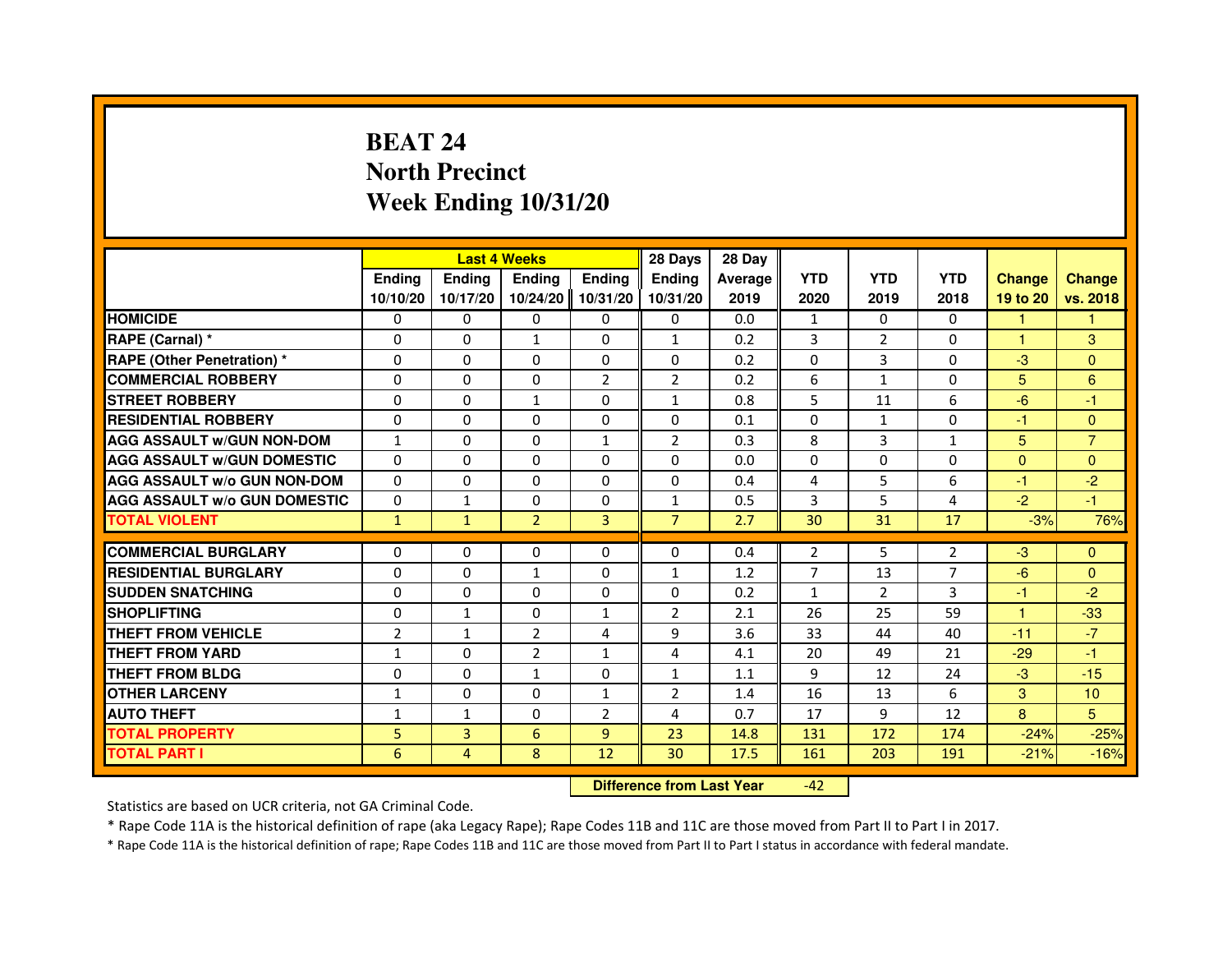# **BEAT 24 North PrecinctWeek Ending 10/31/20**

|                                     |                | <b>Last 4 Weeks</b> |                                  |                | 28 Days        | 28 Day  |              |                |                |                |                  |
|-------------------------------------|----------------|---------------------|----------------------------------|----------------|----------------|---------|--------------|----------------|----------------|----------------|------------------|
|                                     | <b>Ending</b>  | Ending              | <b>Ending</b>                    | Ending         | Ending         | Average | <b>YTD</b>   | <b>YTD</b>     | <b>YTD</b>     | <b>Change</b>  | <b>Change</b>    |
|                                     | 10/10/20       | 10/17/20            | 10/24/20                         | 10/31/20       | 10/31/20       | 2019    | 2020         | 2019           | 2018           | 19 to 20       | vs. 2018         |
| <b>HOMICIDE</b>                     | 0              | $\Omega$            | $\mathbf{0}$                     | 0              | 0              | 0.0     | $\mathbf{1}$ | $\Omega$       | $\Omega$       | 1.             | 1                |
| RAPE (Carnal) *                     | 0              | $\mathbf{0}$        | $\mathbf{1}$                     | 0              | $\mathbf{1}$   | 0.2     | 3            | 2              | 0              | 1              | 3                |
| RAPE (Other Penetration) *          | $\Omega$       | 0                   | $\Omega$                         | $\Omega$       | $\Omega$       | 0.2     | $\Omega$     | 3              | 0              | $-3$           | $\overline{0}$   |
| <b>COMMERCIAL ROBBERY</b>           | $\Omega$       | $\Omega$            | $\Omega$                         | $\overline{2}$ | $\overline{2}$ | 0.2     | 6            | $\mathbf{1}$   | $\Omega$       | 5              | 6                |
| <b>STREET ROBBERY</b>               | $\Omega$       | $\Omega$            | $\mathbf{1}$                     | $\Omega$       | $\mathbf{1}$   | 0.8     | 5            | 11             | 6              | $-6$           | $-1$             |
| <b>RESIDENTIAL ROBBERY</b>          | 0              | 0                   | 0                                | 0              | 0              | 0.1     | 0            | $\mathbf{1}$   | 0              | $-1$           | $\overline{0}$   |
| <b>AGG ASSAULT w/GUN NON-DOM</b>    | $\mathbf{1}$   | $\Omega$            | $\Omega$                         | $\mathbf{1}$   | $\overline{2}$ | 0.3     | 8            | 3              | $\mathbf{1}$   | 5 <sup>5</sup> | $\overline{7}$   |
| <b>AGG ASSAULT W/GUN DOMESTIC</b>   | $\Omega$       | $\Omega$            | $\Omega$                         | $\Omega$       | $\Omega$       | 0.0     | $\Omega$     | $\Omega$       | $\Omega$       | $\Omega$       | $\mathbf{0}$     |
| <b>AGG ASSAULT W/o GUN NON-DOM</b>  | $\Omega$       | $\Omega$            | $\Omega$                         | $\Omega$       | $\Omega$       | 0.4     | 4            | 5              | 6              | $-1$           | $-2$             |
| <b>AGG ASSAULT w/o GUN DOMESTIC</b> | $\Omega$       | $\mathbf{1}$        | 0                                | $\Omega$       | $\mathbf{1}$   | 0.5     | 3            | 5              | 4              | $-2$           | $-1$             |
| <b>TOTAL VIOLENT</b>                | $\mathbf{1}$   | $\mathbf{1}$        | $\overline{2}$                   | 3              | $\overline{7}$ | 2.7     | 30           | 31             | 17             | $-3%$          | 76%              |
| <b>COMMERCIAL BURGLARY</b>          | 0              | 0                   | 0                                | 0              | 0              | 0.4     | 2            | 5              | 2              | $-3$           | $\mathbf{0}$     |
| <b>RESIDENTIAL BURGLARY</b>         | $\Omega$       | $\Omega$            | $\mathbf{1}$                     | $\Omega$       | $\mathbf{1}$   | 1.2     | 7            | 13             | $\overline{7}$ | $-6$           | $\mathbf{0}$     |
| <b>SUDDEN SNATCHING</b>             | $\Omega$       | $\Omega$            | $\Omega$                         | $\Omega$       | $\Omega$       | 0.2     | $\mathbf{1}$ | $\overline{2}$ | 3              | $-1$           | $-2$             |
| <b>SHOPLIFTING</b>                  | 0              | $\mathbf{1}$        | 0                                | 1              | $\overline{2}$ | 2.1     | 26           | 25             | 59             | $\mathbf{1}$   | $-33$            |
| THEFT FROM VEHICLE                  | $\overline{2}$ | $\mathbf{1}$        | $\overline{2}$                   | $\overline{4}$ | 9              | 3.6     | 33           | 44             | 40             | $-11$          | $-7$             |
| <b>THEFT FROM YARD</b>              | $\mathbf{1}$   | $\Omega$            | $\overline{2}$                   | $\mathbf{1}$   | 4              | 4.1     | 20           | 49             | 21             | $-29$          | $-1$             |
| <b>THEFT FROM BLDG</b>              | $\Omega$       | $\Omega$            | $\mathbf{1}$                     | $\Omega$       | $\mathbf{1}$   | 1.1     | 9            | 12             | 24             | $-3$           | $-15$            |
| <b>OTHER LARCENY</b>                | 1              | $\Omega$            | $\Omega$                         | 1              | $\overline{2}$ | 1.4     | 16           | 13             | 6              | 3              | 10 <sup>10</sup> |
| <b>AUTO THEFT</b>                   | $\mathbf{1}$   | $\mathbf{1}$        | $\Omega$                         | $\overline{2}$ | 4              | 0.7     | 17           | 9              | 12             | 8              | 5                |
| <b>TOTAL PROPERTY</b>               | 5              | 3                   | 6                                | 9              | 23             | 14.8    | 131          | 172            | 174            | $-24%$         | $-25%$           |
| <b>TOTAL PART I</b>                 | 6              | $\overline{4}$      | 8                                | 12             | 30             | 17.5    | 161          | 203            | 191            | $-21%$         | $-16%$           |
|                                     |                |                     | <b>Difference from Last Year</b> |                | $-42$          |         |              |                |                |                |                  |

 **Difference from Last Year**

Statistics are based on UCR criteria, not GA Criminal Code.

\* Rape Code 11A is the historical definition of rape (aka Legacy Rape); Rape Codes 11B and 11C are those moved from Part II to Part I in 2017.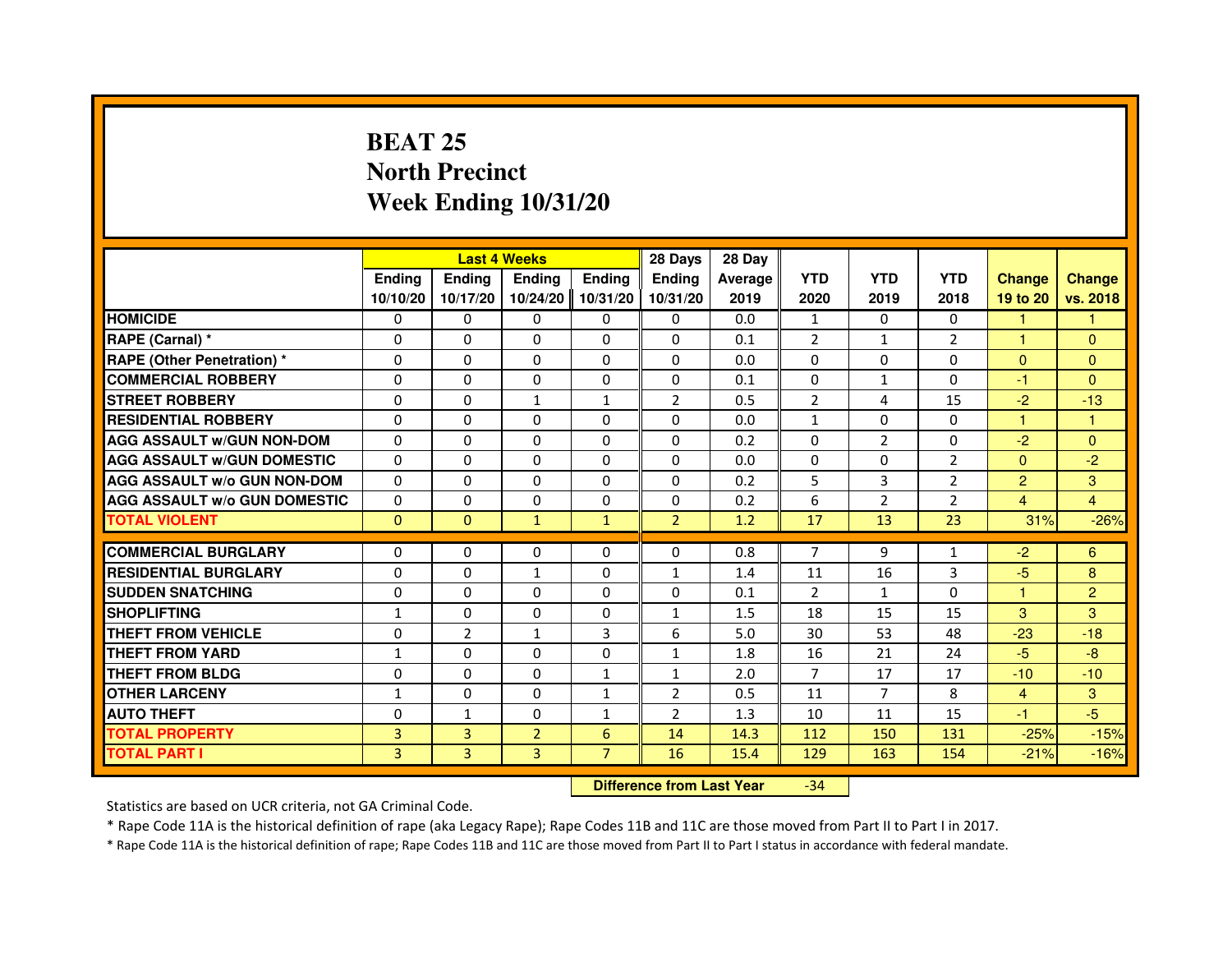## **BEAT 25 North PrecinctWeek Ending 10/31/20**

|                                     |                |                | <b>Last 4 Weeks</b>              |                | 28 Days        | 28 Day  |                |                |                |                |                |
|-------------------------------------|----------------|----------------|----------------------------------|----------------|----------------|---------|----------------|----------------|----------------|----------------|----------------|
|                                     | <b>Ending</b>  | <b>Ending</b>  | <b>Ending</b>                    | <b>Ending</b>  | <b>Ending</b>  | Average | <b>YTD</b>     | <b>YTD</b>     | <b>YTD</b>     | <b>Change</b>  | <b>Change</b>  |
|                                     | 10/10/20       | 10/17/20       | 10/24/20                         | 10/31/20       | 10/31/20       | 2019    | 2020           | 2019           | 2018           | 19 to 20       | vs. 2018       |
| <b>HOMICIDE</b>                     | 0              | $\Omega$       | $\Omega$                         | $\Omega$       | 0              | 0.0     | $\mathbf{1}$   | $\Omega$       | $\Omega$       | $\mathbf{1}$   | $\mathbf{1}$   |
| RAPE (Carnal) *                     | 0              | $\Omega$       | $\Omega$                         | $\Omega$       | 0              | 0.1     | $\overline{2}$ | $\mathbf{1}$   | $\overline{2}$ | 1              | $\Omega$       |
| <b>RAPE (Other Penetration) *</b>   | $\Omega$       | $\Omega$       | $\Omega$                         | $\Omega$       | $\Omega$       | 0.0     | $\Omega$       | $\Omega$       | $\Omega$       | $\Omega$       | $\overline{0}$ |
| <b>COMMERCIAL ROBBERY</b>           | 0              | $\Omega$       | $\Omega$                         | $\Omega$       | $\Omega$       | 0.1     | $\Omega$       | $\mathbf{1}$   | $\Omega$       | $-1$           | $\overline{0}$ |
| <b>STREET ROBBERY</b>               | 0              | $\Omega$       | $\mathbf{1}$                     | $\mathbf{1}$   | $\overline{2}$ | 0.5     | 2              | 4              | 15             | $-2$           | $-13$          |
| <b>RESIDENTIAL ROBBERY</b>          | 0              | $\Omega$       | 0                                | $\Omega$       | $\Omega$       | 0.0     | 1              | $\mathbf{0}$   | $\mathbf{0}$   | 1              | 1              |
| <b>AGG ASSAULT W/GUN NON-DOM</b>    | $\Omega$       | $\Omega$       | $\Omega$                         | $\Omega$       | $\Omega$       | 0.2     | $\Omega$       | $\overline{2}$ | $\Omega$       | $-2$           | $\Omega$       |
| <b>AGG ASSAULT W/GUN DOMESTIC</b>   | $\Omega$       | $\Omega$       | $\Omega$                         | $\Omega$       | $\Omega$       | 0.0     | $\Omega$       | $\Omega$       | $\overline{2}$ | $\Omega$       | $-2$           |
| <b>AGG ASSAULT w/o GUN NON-DOM</b>  | 0              | 0              | $\mathbf{0}$                     | 0              | 0              | 0.2     | 5              | 3              | 2              | $\overline{2}$ | 3              |
| <b>AGG ASSAULT W/o GUN DOMESTIC</b> | $\Omega$       | 0              | 0                                | 0              | $\Omega$       | 0.2     | 6              | $\overline{2}$ | $\overline{2}$ | 4              | $\overline{4}$ |
| <b>TOTAL VIOLENT</b>                | $\mathbf 0$    | $\mathbf{0}$   | $\mathbf{1}$                     | $\mathbf{1}$   | $\overline{2}$ | 1.2     | 17             | 13             | 23             | 31%            | $-26%$         |
| <b>COMMERCIAL BURGLARY</b>          | 0              | 0              | 0                                | $\Omega$       | 0              | 0.8     | 7              | 9              | $\mathbf{1}$   | $-2$           | 6              |
| <b>RESIDENTIAL BURGLARY</b>         | $\Omega$       | $\Omega$       | $\mathbf{1}$                     | $\Omega$       | 1              | 1.4     | 11             | 16             | 3              | $-5$           | 8              |
| <b>SUDDEN SNATCHING</b>             | $\Omega$       | $\Omega$       | $\Omega$                         | $\Omega$       | $\Omega$       | 0.1     | $\mathfrak{p}$ | $\mathbf{1}$   | $\Omega$       | $\mathbf{1}$   | $\overline{2}$ |
| <b>SHOPLIFTING</b>                  | 1              | 0              | $\mathbf{0}$                     | 0              | 1              | 1.5     | 18             | 15             | 15             | 3              | 3              |
| THEFT FROM VEHICLE                  | 0              | $\overline{2}$ | $\mathbf{1}$                     | 3              | 6              | 5.0     | 30             | 53             | 48             | $-23$          | $-18$          |
| <b>THEFT FROM YARD</b>              | $\mathbf{1}$   | 0              | $\Omega$                         | 0              | $\mathbf{1}$   | 1.8     | 16             | 21             | 24             | $-5$           | $-8$           |
| <b>THEFT FROM BLDG</b>              | $\Omega$       | $\Omega$       | $\Omega$                         | $\mathbf{1}$   | $\mathbf{1}$   | 2.0     | $\overline{7}$ | 17             | 17             | $-10$          | $-10$          |
| <b>OTHER LARCENY</b>                | 1              | $\Omega$       | $\Omega$                         | $\mathbf{1}$   | $\overline{2}$ | 0.5     | 11             | $\overline{7}$ | 8              | $\overline{4}$ | 3              |
| <b>AUTO THEFT</b>                   | $\Omega$       | $\mathbf{1}$   | $\Omega$                         | $\mathbf{1}$   | $\overline{2}$ | 1.3     | 10             | 11             | 15             | $-1$           | $-5$           |
| <b>TOTAL PROPERTY</b>               | $\overline{3}$ | 3              | $\overline{2}$                   | $6\phantom{1}$ | 14             | 14.3    | 112            | 150            | 131            | $-25%$         | $-15%$         |
| <b>TOTAL PART I</b>                 | 3              | 3              | 3                                | $\overline{7}$ | 16             | 15.4    | 129            | 163            | 154            | $-21%$         | $-16%$         |
|                                     |                |                | <b>Difference from Last Year</b> |                | $-34$          |         |                |                |                |                |                |

Statistics are based on UCR criteria, not GA Criminal Code.

\* Rape Code 11A is the historical definition of rape (aka Legacy Rape); Rape Codes 11B and 11C are those moved from Part II to Part I in 2017.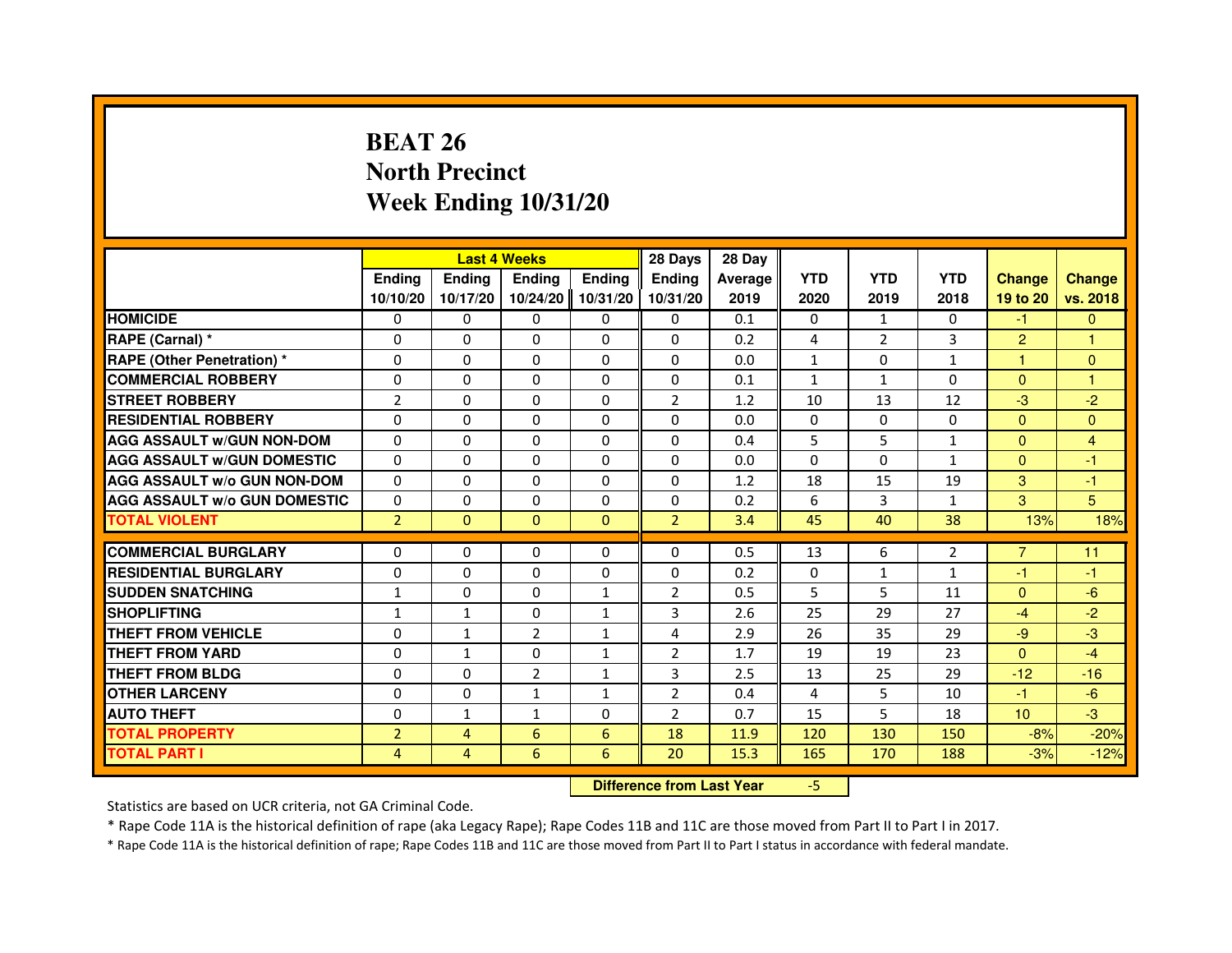# **BEAT 26 North PrecinctWeek Ending 10/31/20**

|                                     |                |                | <b>Last 4 Weeks</b>              |               | 28 Days        | 28 Day  |              |                |                |                |               |
|-------------------------------------|----------------|----------------|----------------------------------|---------------|----------------|---------|--------------|----------------|----------------|----------------|---------------|
|                                     | <b>Ending</b>  | <b>Ending</b>  | <b>Ending</b>                    | <b>Ending</b> | <b>Ending</b>  | Average | <b>YTD</b>   | <b>YTD</b>     | <b>YTD</b>     | <b>Change</b>  | <b>Change</b> |
|                                     | 10/10/20       | 10/17/20       | 10/24/20                         | 10/31/20      | 10/31/20       | 2019    | 2020         | 2019           | 2018           | 19 to 20       | vs. 2018      |
| <b>HOMICIDE</b>                     | $\Omega$       | $\Omega$       | $\Omega$                         | $\Omega$      | 0              | 0.1     | $\Omega$     | $\mathbf{1}$   | $\Omega$       | $-1$           | $\mathbf{0}$  |
| RAPE (Carnal) *                     | 0              | 0              | 0                                | $\Omega$      | 0              | 0.2     | 4            | $\overline{2}$ | 3              | $\overline{2}$ | 1             |
| <b>RAPE (Other Penetration) *</b>   | $\Omega$       | $\Omega$       | $\Omega$                         | $\Omega$      | $\Omega$       | 0.0     | $\mathbf{1}$ | $\Omega$       | $\mathbf{1}$   | $\mathbf{1}$   | $\mathbf{0}$  |
| <b>COMMERCIAL ROBBERY</b>           | $\Omega$       | $\Omega$       | $\Omega$                         | $\Omega$      | 0              | 0.1     | $\mathbf{1}$ | $\mathbf{1}$   | $\Omega$       | $\Omega$       | $\mathbf{1}$  |
| <b>STREET ROBBERY</b>               | $\overline{2}$ | $\Omega$       | $\Omega$                         | $\Omega$      | $\overline{2}$ | 1.2     | 10           | 13             | 12             | $-3$           | $-2$          |
| <b>RESIDENTIAL ROBBERY</b>          | $\Omega$       | $\Omega$       | $\Omega$                         | $\Omega$      | $\Omega$       | 0.0     | $\Omega$     | $\Omega$       | $\Omega$       | $\Omega$       | $\Omega$      |
| <b>AGG ASSAULT W/GUN NON-DOM</b>    | $\Omega$       | $\Omega$       | $\Omega$                         | $\Omega$      | $\Omega$       | 0.4     | 5            | 5              | 1              | $\Omega$       | 4             |
| <b>AGG ASSAULT W/GUN DOMESTIC</b>   | $\Omega$       | $\Omega$       | $\Omega$                         | $\Omega$      | $\Omega$       | 0.0     | $\Omega$     | $\Omega$       | 1              | $\Omega$       | $-1$          |
| <b>AGG ASSAULT W/o GUN NON-DOM</b>  | $\Omega$       | 0              | 0                                | 0             | 0              | 1.2     | 18           | 15             | 19             | 3              | $-1$          |
| <b>AGG ASSAULT W/o GUN DOMESTIC</b> | $\Omega$       | 0              | 0                                | $\Omega$      | $\Omega$       | 0.2     | 6            | 3              | $\mathbf{1}$   | 3              | 5             |
| <b>TOTAL VIOLENT</b>                | $\overline{2}$ | $\mathbf 0$    | $\mathbf{0}$                     | $\mathbf{0}$  | $\overline{2}$ | 3.4     | 45           | 40             | 38             | 13%            | 18%           |
| <b>COMMERCIAL BURGLARY</b>          | 0              | 0              | 0                                | 0             | 0              | 0.5     | 13           | 6              | $\overline{2}$ | $\overline{7}$ | 11            |
| <b>RESIDENTIAL BURGLARY</b>         | $\Omega$       | $\Omega$       | $\Omega$                         | $\Omega$      | $\Omega$       | 0.2     | $\Omega$     | $\mathbf{1}$   | $\mathbf{1}$   | $-1$           | $-1$          |
| <b>SUDDEN SNATCHING</b>             | $\mathbf{1}$   | $\Omega$       | $\Omega$                         | $\mathbf{1}$  | $\overline{2}$ | 0.5     | 5            | 5              | 11             | $\Omega$       | $-6$          |
| <b>SHOPLIFTING</b>                  | $\mathbf{1}$   | 1              | 0                                | 1             | 3              | 2.6     | 25           | 29             | 27             | $-4$           | $-2$          |
| THEFT FROM VEHICLE                  | $\Omega$       | $\mathbf{1}$   | $\overline{2}$                   | $\mathbf{1}$  | 4              | 2.9     | 26           | 35             | 29             | $-9$           | $-3$          |
| THEFT FROM YARD                     | 0              | $\mathbf{1}$   | 0                                | $\mathbf{1}$  | $\overline{2}$ | 1.7     | 19           | 19             | 23             | $\Omega$       | $-4$          |
| <b>THEFT FROM BLDG</b>              | $\Omega$       | $\Omega$       | $\overline{2}$                   | $\mathbf{1}$  | 3              | 2.5     | 13           | 25             | 29             | $-12$          | $-16$         |
| <b>OTHER LARCENY</b>                | $\Omega$       | $\Omega$       | $\mathbf{1}$                     | $\mathbf{1}$  | 2              | 0.4     | 4            | 5              | 10             | $-1$           | $-6$          |
| <b>AUTO THEFT</b>                   | $\Omega$       | $\mathbf{1}$   | $\mathbf{1}$                     | $\Omega$      | $\overline{2}$ | 0.7     | 15           | 5              | 18             | 10             | $-3$          |
| <b>TOTAL PROPERTY</b>               | $\overline{2}$ | $\overline{4}$ | 6                                | 6             | 18             | 11.9    | 120          | 130            | 150            | $-8%$          | $-20%$        |
| <b>TOTAL PART I</b>                 | $\overline{4}$ | 4              | 6                                | 6             | 20             | 15.3    | 165          | 170            | 188            | $-3%$          | $-12%$        |
|                                     |                |                | <b>Difference from Last Year</b> |               | $-5$           |         |              |                |                |                |               |

 **Difference from Last Year**

Statistics are based on UCR criteria, not GA Criminal Code.

\* Rape Code 11A is the historical definition of rape (aka Legacy Rape); Rape Codes 11B and 11C are those moved from Part II to Part I in 2017.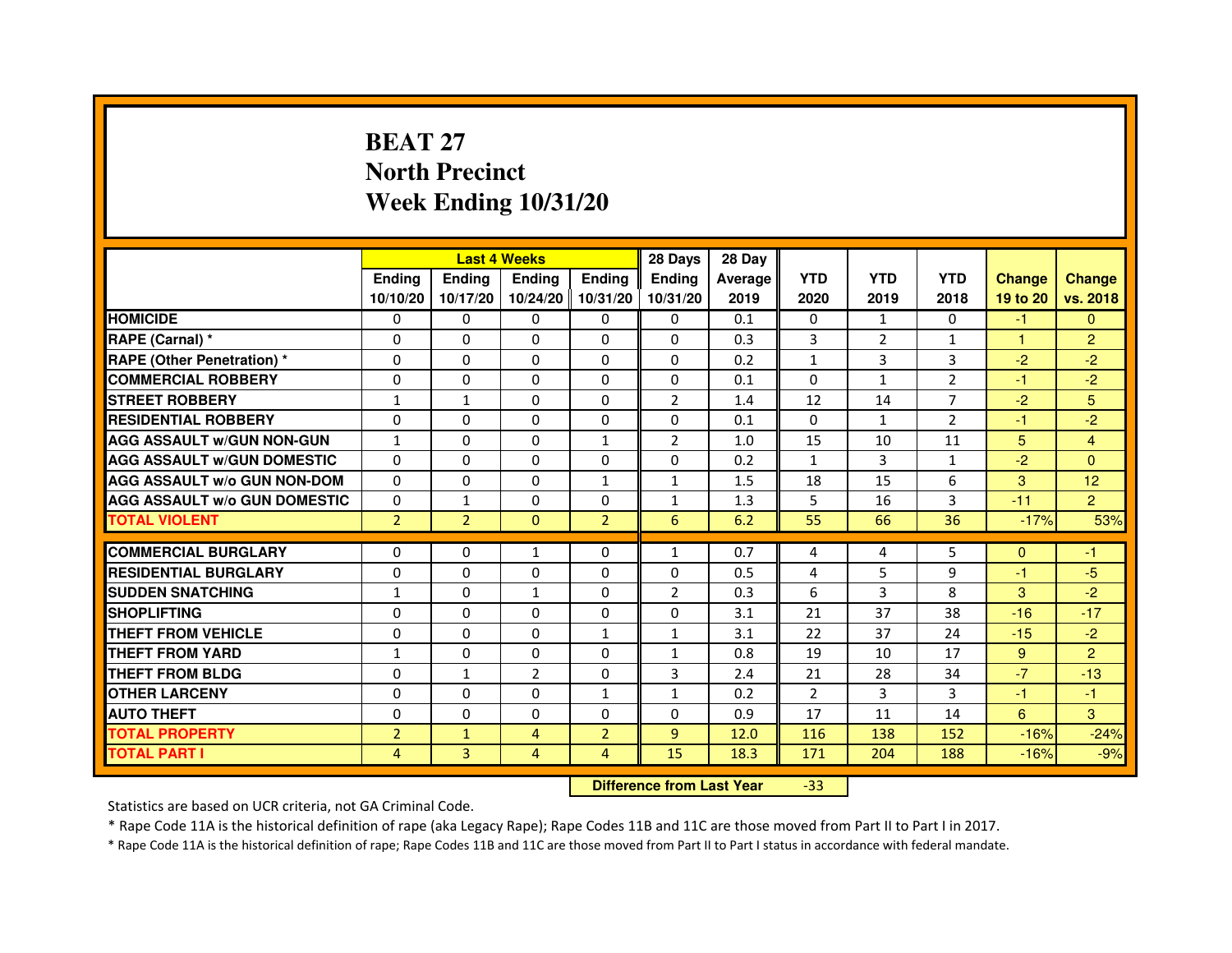# **BEAT 27 North PrecinctWeek Ending 10/31/20**

|                                     |                | <b>Last 4 Weeks</b> |                |                   | 28 Days        | 28 Day  |                |                |                |               |                |
|-------------------------------------|----------------|---------------------|----------------|-------------------|----------------|---------|----------------|----------------|----------------|---------------|----------------|
|                                     | <b>Endina</b>  | Ending              | <b>Endina</b>  | <b>Endina</b>     | <b>Endina</b>  | Average | <b>YTD</b>     | <b>YTD</b>     | <b>YTD</b>     | <b>Change</b> | <b>Change</b>  |
|                                     | 10/10/20       | 10/17/20            |                | 10/24/20 10/31/20 | 10/31/20       | 2019    | 2020           | 2019           | 2018           | 19 to 20      | vs. 2018       |
| <b>HOMICIDE</b>                     | 0              | 0                   | 0              | 0                 | 0              | 0.1     | $\mathbf{0}$   | $\mathbf{1}$   | $\Omega$       | -1            | $\mathbf{0}$   |
| RAPE (Carnal) *                     | $\Omega$       | $\Omega$            | $\Omega$       | $\Omega$          | $\Omega$       | 0.3     | 3              | $\overline{2}$ | $\mathbf{1}$   | $\mathbf{1}$  | $\overline{2}$ |
| <b>RAPE (Other Penetration)*</b>    | $\Omega$       | $\Omega$            | $\Omega$       | $\Omega$          | $\Omega$       | 0.2     | $\mathbf{1}$   | 3              | 3              | $-2$          | $-2$           |
| <b>COMMERCIAL ROBBERY</b>           | 0              | 0                   | 0              | 0                 | 0              | 0.1     | 0              | $\mathbf{1}$   | $\overline{2}$ | $-1$          | $-2$           |
| <b>STREET ROBBERY</b>               | $\mathbf{1}$   | $\mathbf{1}$        | 0              | $\Omega$          | $\overline{2}$ | 1.4     | 12             | 14             | $\overline{7}$ | $-2$          | 5              |
| <b>RESIDENTIAL ROBBERY</b>          | 0              | $\Omega$            | 0              | $\Omega$          | $\Omega$       | 0.1     | $\Omega$       | $\mathbf{1}$   | $\overline{2}$ | $-1$          | $-2$           |
| <b>AGG ASSAULT W/GUN NON-GUN</b>    | $\mathbf{1}$   | $\Omega$            | $\Omega$       | $\mathbf{1}$      | $\overline{2}$ | 1.0     | 15             | 10             | 11             | 5             | $\overline{4}$ |
| <b>AGG ASSAULT W/GUN DOMESTIC</b>   | $\Omega$       | $\Omega$            | $\Omega$       | $\Omega$          | $\Omega$       | 0.2     | $\mathbf{1}$   | 3              | $\mathbf{1}$   | $-2$          | $\Omega$       |
| <b>AGG ASSAULT W/o GUN NON-DOM</b>  | 0              | 0                   | 0              | $\mathbf{1}$      | $\mathbf{1}$   | 1.5     | 18             | 15             | 6              | 3             | 12             |
| <b>AGG ASSAULT W/o GUN DOMESTIC</b> | 0              | $\mathbf{1}$        | 0              | 0                 | 1              | 1.3     | 5              | 16             | 3              | $-11$         | $\overline{2}$ |
| <b>TOTAL VIOLENT</b>                | $\overline{2}$ | $\overline{2}$      | $\Omega$       | $\overline{2}$    | 6              | 6.2     | 55             | 66             | 36             | $-17%$        | 53%            |
|                                     |                |                     |                |                   |                |         |                |                |                |               |                |
| <b>COMMERCIAL BURGLARY</b>          | 0              | 0                   | 1              | 0                 | $\mathbf{1}$   | 0.7     | 4              | 4              | 5              | $\Omega$      | -1             |
| <b>RESIDENTIAL BURGLARY</b>         | 0              | 0                   | 0              | 0                 | $\Omega$       | 0.5     | 4              | 5              | 9              | -1            | -5             |
| <b>SUDDEN SNATCHING</b>             | $\mathbf{1}$   | $\Omega$            | 1              | $\Omega$          | $\overline{2}$ | 0.3     | 6              | 3              | 8              | 3             | $-2$           |
| <b>SHOPLIFTING</b>                  | 0              | $\Omega$            | $\Omega$       | $\mathbf{0}$      | $\Omega$       | 3.1     | 21             | 37             | 38             | $-16$         | $-17$          |
| <b>THEFT FROM VEHICLE</b>           | 0              | $\Omega$            | 0              | $\mathbf{1}$      | $\mathbf{1}$   | 3.1     | 22             | 37             | 24             | $-15$         | $-2$           |
| <b>THEFT FROM YARD</b>              | 1              | 0                   | $\Omega$       | $\Omega$          | $\mathbf{1}$   | 0.8     | 19             | 10             | 17             | 9             | $\overline{2}$ |
| <b>THEFT FROM BLDG</b>              | 0              | 1                   | $\overline{2}$ | $\mathbf{0}$      | 3              | 2.4     | 21             | 28             | 34             | $-7$          | $-13$          |
| <b>OTHER LARCENY</b>                | 0              | 0                   | $\Omega$       | $\mathbf{1}$      | $\mathbf{1}$   | 0.2     | $\mathfrak{p}$ | 3              | 3              | $-1$          | $-1$           |
| <b>AUTO THEFT</b>                   | 0              | 0                   | 0              | $\Omega$          | $\Omega$       | 0.9     | 17             | 11             | 14             | 6             | 3              |
| <b>TOTAL PROPERTY</b>               | $\overline{2}$ | $\mathbf{1}$        | 4              | $\overline{2}$    | 9              | 12.0    | 116            | 138            | 152            | $-16%$        | $-24%$         |
| <b>TOTAL PART I</b>                 | 4              | 3                   | 4              | $\overline{4}$    | 15             | 18.3    | 171            | 204            | 188            | $-16%$        | $-9%$          |

 **Difference from Last Year**-33

Statistics are based on UCR criteria, not GA Criminal Code.

\* Rape Code 11A is the historical definition of rape (aka Legacy Rape); Rape Codes 11B and 11C are those moved from Part II to Part I in 2017.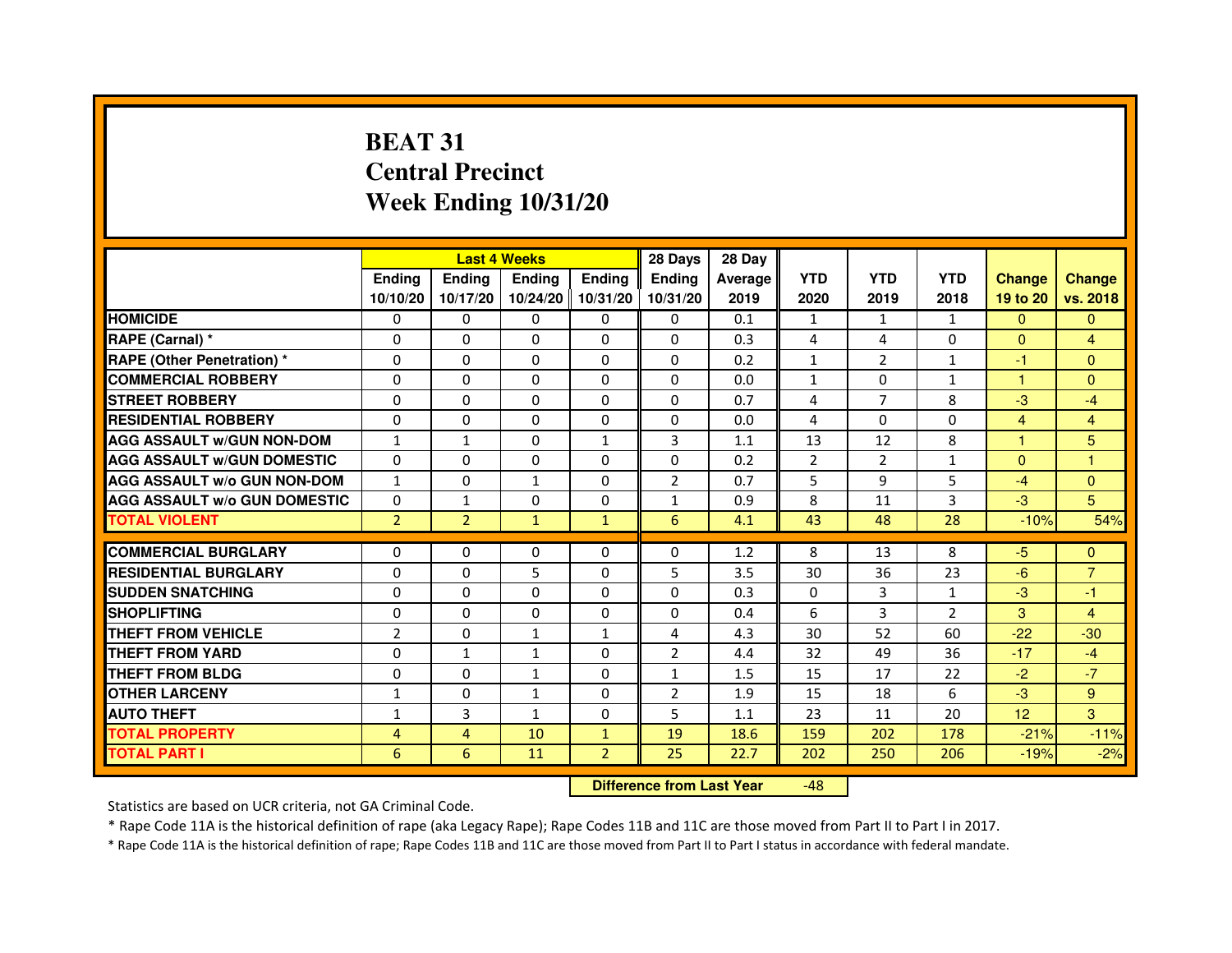# **BEAT 31 Central PrecinctWeek Ending 10/31/20**

|                                     |                | <b>Last 4 Weeks</b> |               |                     | 28 Days        | 28 Day  |                |                |                |                |                |
|-------------------------------------|----------------|---------------------|---------------|---------------------|----------------|---------|----------------|----------------|----------------|----------------|----------------|
|                                     | <b>Endina</b>  | Ending              | <b>Endina</b> | <b>Ending</b>       | <b>Endina</b>  | Average | <b>YTD</b>     | <b>YTD</b>     | <b>YTD</b>     | <b>Change</b>  | <b>Change</b>  |
|                                     | 10/10/20       | 10/17/20            |               | 10/24/20   10/31/20 | 10/31/20       | 2019    | 2020           | 2019           | 2018           | 19 to 20       | vs. 2018       |
| <b>HOMICIDE</b>                     | 0              | 0                   | 0             | 0                   | 0              | 0.1     | $\mathbf{1}$   | $\mathbf{1}$   | $\mathbf{1}$   | $\mathbf{0}$   | $\mathbf{0}$   |
| RAPE (Carnal) *                     | $\Omega$       | $\Omega$            | $\Omega$      | $\Omega$            | $\Omega$       | 0.3     | 4              | 4              | $\Omega$       | $\Omega$       | $\overline{4}$ |
| <b>RAPE (Other Penetration) *</b>   | 0              | 0                   | $\Omega$      | $\Omega$            | $\Omega$       | 0.2     | $\mathbf{1}$   | $\overline{2}$ | $\mathbf{1}$   | $-1$           | $\Omega$       |
| <b>COMMERCIAL ROBBERY</b>           | 0              | 0                   | 0             | 0                   | $\Omega$       | 0.0     | $\mathbf{1}$   | $\Omega$       | 1              | 1              | $\Omega$       |
| <b>STREET ROBBERY</b>               | 0              | $\Omega$            | 0             | $\Omega$            | 0              | 0.7     | 4              | 7              | 8              | $-3$           | $-4$           |
| <b>RESIDENTIAL ROBBERY</b>          | 0              | $\Omega$            | 0             | 0                   | 0              | 0.0     | 4              | $\Omega$       | $\Omega$       | $\overline{4}$ | $\overline{4}$ |
| <b>AGG ASSAULT W/GUN NON-DOM</b>    | $\mathbf{1}$   | $\mathbf{1}$        | $\Omega$      | $\mathbf{1}$        | 3              | 1.1     | 13             | 12             | 8              | $\mathbf{1}$   | 5              |
| <b>AGG ASSAULT W/GUN DOMESTIC</b>   | $\Omega$       | 0                   | 0             | 0                   | $\Omega$       | 0.2     | $\overline{2}$ | 2              | $\mathbf{1}$   | $\Omega$       | 1              |
| <b>AGG ASSAULT W/o GUN NON-DOM</b>  | $\mathbf{1}$   | 0                   | 1             | 0                   | $\overline{2}$ | 0.7     | 5              | 9              | 5              | $-4$           | $\Omega$       |
| <b>AGG ASSAULT W/o GUN DOMESTIC</b> | $\Omega$       | $\mathbf{1}$        | 0             | $\Omega$            | 1              | 0.9     | 8              | 11             | 3              | $-3$           | 5              |
| <b>TOTAL VIOLENT</b>                | $\overline{2}$ | $\overline{2}$      | $\mathbf{1}$  | $\mathbf{1}$        | 6              | 4.1     | 43             | 48             | 28             | $-10%$         | 54%            |
|                                     |                |                     |               |                     |                |         |                |                |                |                |                |
| <b>COMMERCIAL BURGLARY</b>          | 0              | 0                   | $\Omega$      | 0                   | $\Omega$       | 1.2     | 8              | 13             | 8              | -5             | $\Omega$       |
| <b>RESIDENTIAL BURGLARY</b>         | 0              | $\Omega$            | 5             | $\Omega$            | 5              | 3.5     | 30             | 36             | 23             | $-6$           | $\overline{7}$ |
| <b>SUDDEN SNATCHING</b>             | 0              | 0                   | $\Omega$      | $\Omega$            | $\Omega$       | 0.3     | $\Omega$       | 3              | $\mathbf{1}$   | $-3$           | $-1$           |
| <b>SHOPLIFTING</b>                  | 0              | 0                   | $\mathbf 0$   | $\Omega$            | 0              | 0.4     | 6              | 3              | $\overline{2}$ | 3              | 4              |
| <b>THEFT FROM VEHICLE</b>           | $\overline{2}$ | $\Omega$            | $\mathbf{1}$  | $\mathbf{1}$        | 4              | 4.3     | 30             | 52             | 60             | $-22$          | $-30$          |
| <b>THEFT FROM YARD</b>              | 0              | $\mathbf{1}$        | $\mathbf{1}$  | $\Omega$            | $\overline{2}$ | 4.4     | 32             | 49             | 36             | $-17$          | $-4$           |
| <b>THEFT FROM BLDG</b>              | 0              | 0                   | 1             | 0                   | 1              | 1.5     | 15             | 17             | 22             | $-2$           | $-7$           |
| <b>OTHER LARCENY</b>                | 1              | 0                   | 1             | 0                   | $\overline{2}$ | 1.9     | 15             | 18             | 6              | $-3$           | 9              |
| <b>AUTO THEFT</b>                   | $\mathbf{1}$   | 3                   | $\mathbf{1}$  | $\Omega$            | 5              | 1.1     | 23             | 11             | 20             | 12             | 3              |
| <b>TOTAL PROPERTY</b>               | 4              | 4                   | 10            | $\mathbf{1}$        | 19             | 18.6    | 159            | 202            | 178            | $-21%$         | $-11%$         |
| <b>TOTAL PART I</b>                 | 6              | 6                   | 11            | $\overline{2}$      | 25             | 22.7    | 202            | 250            | 206            | $-19%$         | $-2%$          |

 **Difference from Last Year**-48

Statistics are based on UCR criteria, not GA Criminal Code.

\* Rape Code 11A is the historical definition of rape (aka Legacy Rape); Rape Codes 11B and 11C are those moved from Part II to Part I in 2017.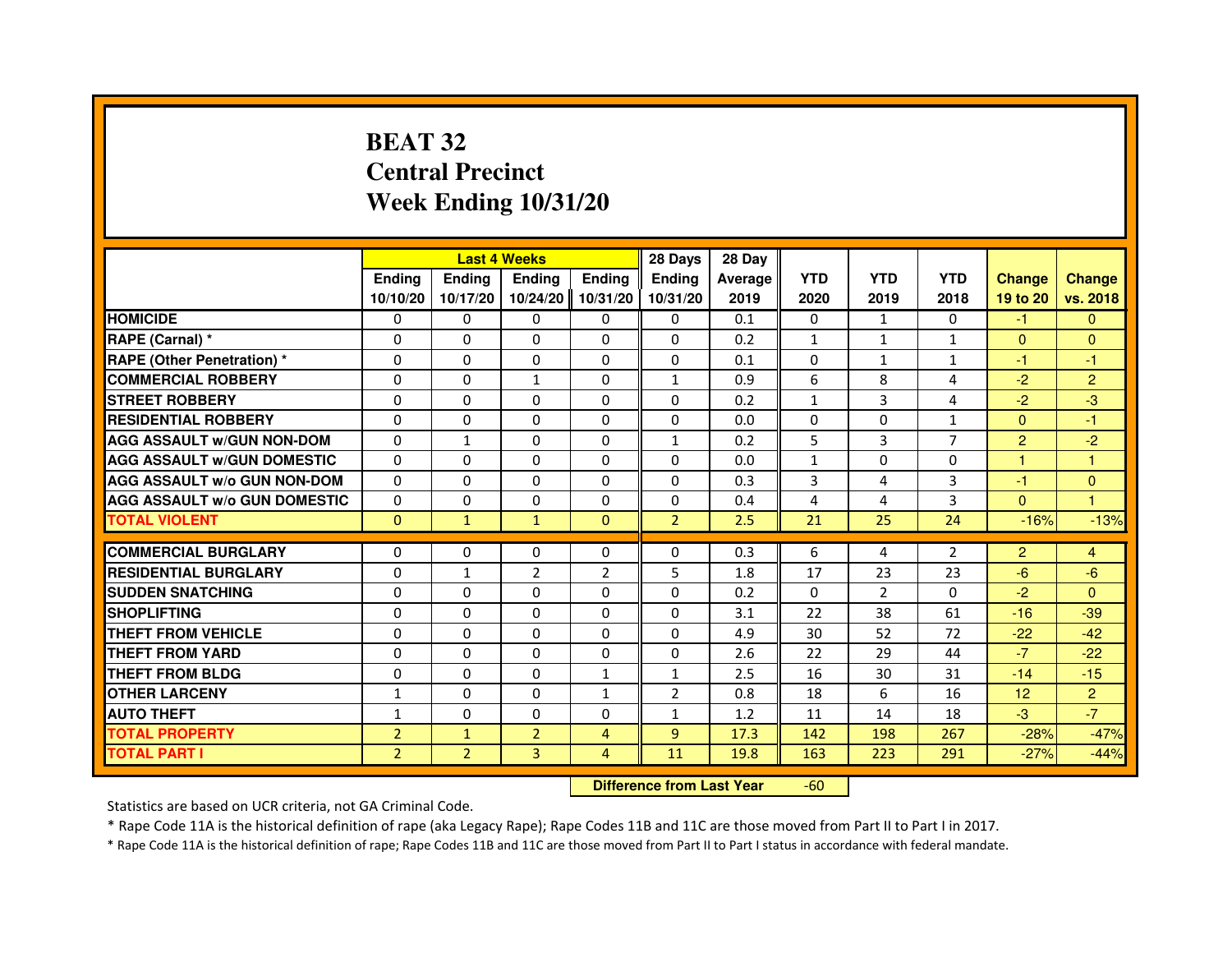# **BEAT 32 Central PrecinctWeek Ending 10/31/20**

|                                     |                | <b>Last 4 Weeks</b> |                                  |                | 28 Days        | 28 Day  |              |                |                |                |                      |
|-------------------------------------|----------------|---------------------|----------------------------------|----------------|----------------|---------|--------------|----------------|----------------|----------------|----------------------|
|                                     | <b>Ending</b>  | Ending              | <b>Ending</b>                    | <b>Ending</b>  | <b>Endina</b>  | Average | <b>YTD</b>   | <b>YTD</b>     | <b>YTD</b>     | <b>Change</b>  | <b>Change</b>        |
|                                     | 10/10/20       | 10/17/20            | 10/24/20                         | 10/31/20       | 10/31/20       | 2019    | 2020         | 2019           | 2018           | 19 to 20       | vs. 2018             |
| <b>HOMICIDE</b>                     | $\mathbf{0}$   | $\Omega$            | $\mathbf{0}$                     | 0              | 0              | 0.1     | $\mathbf{0}$ | $\mathbf{1}$   | 0              | $-1$           | $\mathbf{0}$         |
| RAPE (Carnal) *                     | 0              | 0                   | 0                                | 0              | 0              | 0.2     | 1            | 1              | $\mathbf{1}$   | $\mathbf{0}$   | $\mathbf{0}$         |
| RAPE (Other Penetration) *          | $\Omega$       | $\Omega$            | 0                                | $\Omega$       | $\Omega$       | 0.1     | $\Omega$     | 1              | $\mathbf{1}$   | $-1$           | -1                   |
| <b>COMMERCIAL ROBBERY</b>           | 0              | $\Omega$            | $\mathbf{1}$                     | $\Omega$       | $\mathbf{1}$   | 0.9     | 6            | 8              | 4              | $-2$           | $\overline{2}$       |
| <b>STREET ROBBERY</b>               | $\Omega$       | $\Omega$            | $\Omega$                         | $\Omega$       | $\Omega$       | 0.2     | $\mathbf{1}$ | 3              | 4              | $-2$           | $-3$                 |
| <b>RESIDENTIAL ROBBERY</b>          | 0              | 0                   | 0                                | 0              | 0              | 0.0     | 0            | 0              | $\mathbf{1}$   | $\overline{0}$ | $-1$                 |
| <b>AGG ASSAULT W/GUN NON-DOM</b>    | $\Omega$       | $\mathbf{1}$        | 0                                | $\Omega$       | $\mathbf{1}$   | 0.2     | 5            | 3              | $\overline{7}$ | $\overline{2}$ | $-2$                 |
| <b>AGG ASSAULT W/GUN DOMESTIC</b>   | $\Omega$       | $\Omega$            | 0                                | $\Omega$       | $\Omega$       | 0.0     | $\mathbf{1}$ | $\Omega$       | $\Omega$       | $\mathbf{1}$   | $\mathbf{1}$         |
| <b>AGG ASSAULT W/o GUN NON-DOM</b>  | $\Omega$       | $\Omega$            | $\Omega$                         | $\Omega$       | $\Omega$       | 0.3     | 3            | 4              | 3              | $-1$           | $\mathbf{0}$         |
| <b>AGG ASSAULT W/o GUN DOMESTIC</b> | 0              | 0                   | 0                                | $\Omega$       | $\Omega$       | 0.4     | 4            | 4              | 3              | $\Omega$       | $\blacktriangleleft$ |
| <b>TOTAL VIOLENT</b>                | $\mathbf{0}$   | $\mathbf{1}$        | $\mathbf{1}$                     | $\mathbf{0}$   | $\overline{2}$ | 2.5     | 21           | 25             | 24             | $-16%$         | $-13%$               |
| <b>COMMERCIAL BURGLARY</b>          | 0              | 0                   | 0                                | 0              | 0              | 0.3     | 6            | 4              | $\overline{2}$ | $\overline{2}$ | 4                    |
| <b>RESIDENTIAL BURGLARY</b>         | $\Omega$       | $\mathbf{1}$        | $\overline{2}$                   | $\overline{2}$ | 5              | 1.8     | 17           | 23             | 23             | $-6$           | $-6$                 |
| <b>SUDDEN SNATCHING</b>             | 0              | $\Omega$            | $\Omega$                         | $\Omega$       | $\Omega$       | 0.2     | $\Omega$     | $\overline{2}$ | $\Omega$       | $-2$           | $\Omega$             |
| <b>SHOPLIFTING</b>                  | 0              | $\mathbf{0}$        | 0                                | $\mathbf{0}$   | 0              | 3.1     | 22           | 38             | 61             | $-16$          | $-39$                |
| THEFT FROM VEHICLE                  | 0              | $\Omega$            | 0                                | $\Omega$       | 0              | 4.9     | 30           | 52             | 72             | $-22$          | $-42$                |
| <b>THEFT FROM YARD</b>              | $\Omega$       | $\Omega$            | $\Omega$                         | $\Omega$       | 0              | 2.6     | 22           | 29             | 44             | $-7$           | $-22$                |
| <b>THEFT FROM BLDG</b>              | $\Omega$       | $\Omega$            | $\Omega$                         | $\mathbf{1}$   | $\mathbf{1}$   | 2.5     | 16           | 30             | 31             | $-14$          | $-15$                |
| <b>OTHER LARCENY</b>                | 1              | $\Omega$            | 0                                | 1              | $\overline{2}$ | 0.8     | 18           | 6              | 16             | 12             | $\overline{2}$       |
| <b>AUTO THEFT</b>                   | $\mathbf{1}$   | $\Omega$            | $\Omega$                         | $\Omega$       | $\mathbf{1}$   | 1.2     | 11           | 14             | 18             | $-3$           | $-7$                 |
| <b>TOTAL PROPERTY</b>               | $\overline{2}$ | $\mathbf{1}$        | $\overline{2}$                   | 4              | 9              | 17.3    | 142          | 198            | 267            | $-28%$         | $-47%$               |
| <b>TOTAL PART I</b>                 | $\overline{2}$ | $\overline{2}$      | 3                                | 4              | 11             | 19.8    | 163          | 223            | 291            | $-27%$         | $-44%$               |
|                                     |                |                     | <b>Difference from Last Year</b> |                | $-60$          |         |              |                |                |                |                      |

 **Difference from Last Year**

Statistics are based on UCR criteria, not GA Criminal Code.

\* Rape Code 11A is the historical definition of rape (aka Legacy Rape); Rape Codes 11B and 11C are those moved from Part II to Part I in 2017.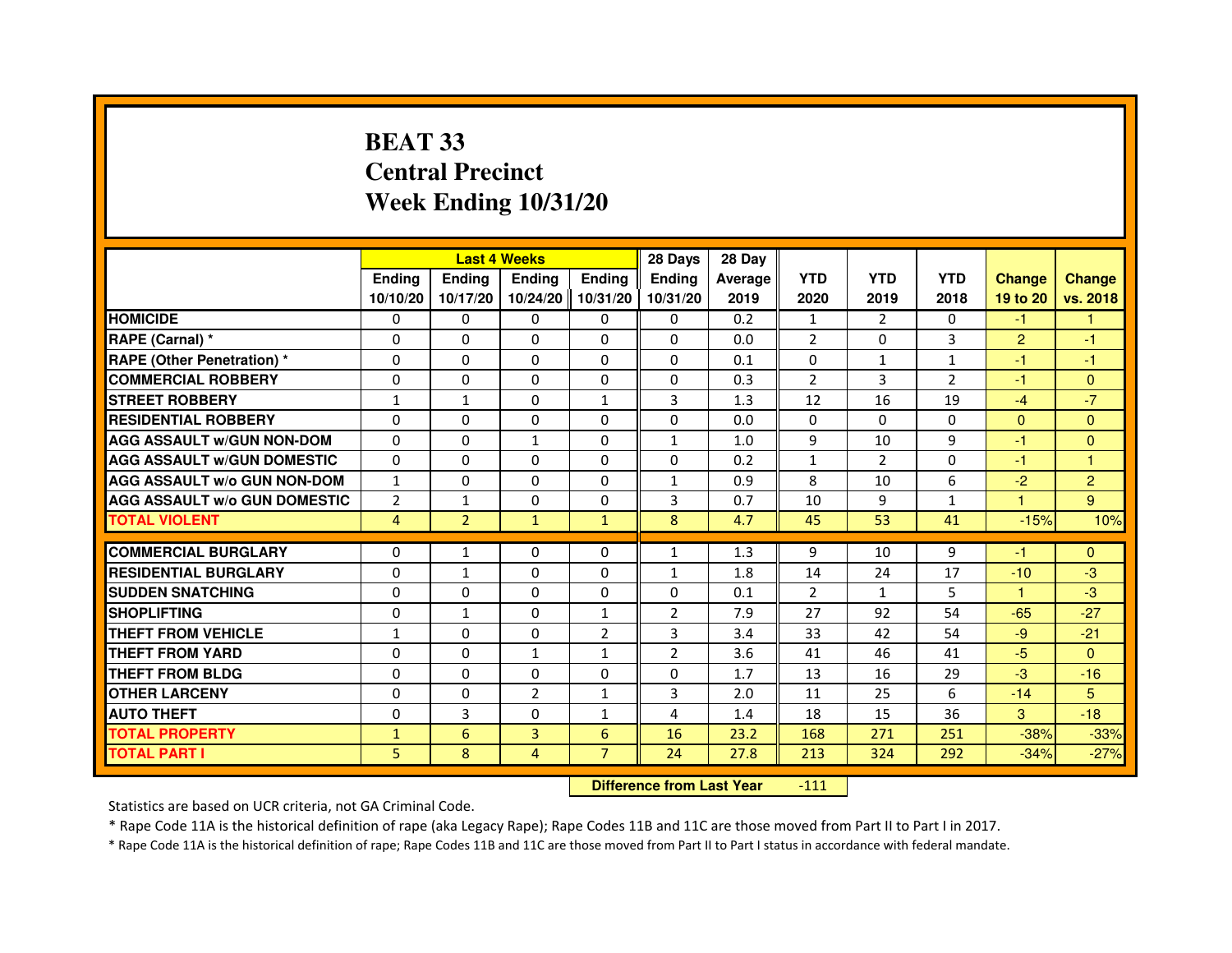# **BEAT 33 Central PrecinctWeek Ending 10/31/20**

|                                     |                | <b>Last 4 Weeks</b> |                |                   | 28 Days        | 28 Day  |                |                |                |                |                |
|-------------------------------------|----------------|---------------------|----------------|-------------------|----------------|---------|----------------|----------------|----------------|----------------|----------------|
|                                     | <b>Endina</b>  | Ending              | <b>Endina</b>  | <b>Ending</b>     | <b>Endina</b>  | Average | <b>YTD</b>     | <b>YTD</b>     | <b>YTD</b>     | <b>Change</b>  | <b>Change</b>  |
|                                     | 10/10/20       | 10/17/20            |                | 10/24/20 10/31/20 | 10/31/20       | 2019    | 2020           | 2019           | 2018           | 19 to 20       | vs. 2018       |
| <b>HOMICIDE</b>                     | 0              | 0                   | $\mathbf{0}$   | 0                 | 0              | 0.2     | $\mathbf{1}$   | $\overline{2}$ | 0              | -1.            |                |
| RAPE (Carnal) *                     | $\Omega$       | $\Omega$            | $\Omega$       | $\Omega$          | $\Omega$       | 0.0     | 2              | $\Omega$       | 3              | $\overline{2}$ | $-1$           |
| <b>RAPE (Other Penetration) *</b>   | 0              | $\Omega$            | 0              | $\Omega$          | $\Omega$       | 0.1     | $\Omega$       | $\mathbf{1}$   | $\mathbf{1}$   | $-1$           | $-1$           |
| <b>COMMERCIAL ROBBERY</b>           | 0              | 0                   | 0              | $\Omega$          | 0              | 0.3     | $\overline{2}$ | 3              | $\overline{2}$ | $-1$           | $\mathbf{0}$   |
| <b>STREET ROBBERY</b>               | $\mathbf{1}$   | $\mathbf{1}$        | 0              | $\mathbf{1}$      | 3              | 1.3     | 12             | 16             | 19             | $-4$           | $-7$           |
| <b>RESIDENTIAL ROBBERY</b>          | $\Omega$       | $\Omega$            | $\Omega$       | 0                 | $\Omega$       | 0.0     | $\Omega$       | $\Omega$       | $\Omega$       | $\Omega$       | $\Omega$       |
| <b>AGG ASSAULT W/GUN NON-DOM</b>    | $\Omega$       | $\mathbf 0$         | $\mathbf{1}$   | $\Omega$          | $\mathbf{1}$   | 1.0     | 9              | 10             | 9              | $-1$           | $\mathbf{0}$   |
| <b>AGG ASSAULT w/GUN DOMESTIC</b>   | $\Omega$       | $\Omega$            | $\Omega$       | $\Omega$          | $\Omega$       | 0.2     | $\mathbf{1}$   | 2              | $\Omega$       | $-1$           | $\overline{1}$ |
| <b>AGG ASSAULT W/o GUN NON-DOM</b>  | $\mathbf{1}$   | 0                   | $\Omega$       | 0                 | 1              | 0.9     | 8              | 10             | 6              | $-2$           | $\overline{2}$ |
| <b>AGG ASSAULT W/o GUN DOMESTIC</b> | $\overline{2}$ | $\mathbf{1}$        | 0              | $\Omega$          | 3              | 0.7     | 10             | 9              | $\mathbf{1}$   | -1             | 9              |
| <b>TOTAL VIOLENT</b>                | 4              | $\overline{2}$      | $\mathbf{1}$   | $\mathbf{1}$      | 8              | 4.7     | 45             | 53             | 41             | $-15%$         | 10%            |
| <b>COMMERCIAL BURGLARY</b>          | 0              | $\mathbf{1}$        | $\Omega$       | 0                 | $\mathbf{1}$   | 1.3     | 9              | 10             | 9              | $-1$           | $\Omega$       |
| <b>RESIDENTIAL BURGLARY</b>         | $\Omega$       | $\mathbf{1}$        | 0              | $\Omega$          | $\mathbf{1}$   | 1.8     | 14             | 24             | 17             | $-10$          | $-3$           |
| <b>SUDDEN SNATCHING</b>             | $\Omega$       | $\Omega$            | 0              | 0                 | 0              | 0.1     | $\overline{2}$ | $\mathbf{1}$   | 5              | 1              | $-3$           |
| <b>SHOPLIFTING</b>                  | 0              |                     | $\Omega$       | $\mathbf{1}$      | $\overline{2}$ | 7.9     | 27             | 92             | 54             | $-65$          | $-27$          |
| <b>THEFT FROM VEHICLE</b>           | $\mathbf{1}$   | 1<br>$\mathbf 0$    | $\Omega$       | $\overline{2}$    | 3              | 3.4     | 33             | 42             | 54             | $-9$           | $-21$          |
| <b>THEFT FROM YARD</b>              | $\Omega$       | $\Omega$            | $\mathbf{1}$   | $\mathbf{1}$      | $\mathfrak{p}$ | 3.6     | 41             | 46             | 41             | $-5$           | $\Omega$       |
| <b>THEFT FROM BLDG</b>              | 0              | 0                   | 0              | 0                 | 0              | 1.7     | 13             | 16             | 29             | $-3$           | $-16$          |
| <b>OTHER LARCENY</b>                | $\Omega$       | $\Omega$            | $\overline{2}$ | $\mathbf{1}$      | 3              | 2.0     | 11             | 25             | 6              | $-14$          | 5              |
| <b>AUTO THEFT</b>                   | 0              | 3                   | 0              | $\mathbf{1}$      | 4              | 1.4     | 18             | 15             | 36             | 3              | $-18$          |
| <b>TOTAL PROPERTY</b>               | $\mathbf{1}$   | 6                   | 3              | 6                 | 16             | 23.2    | 168            | 271            | 251            | $-38%$         | $-33%$         |
| <b>TOTAL PART I</b>                 | 5              | 8                   | $\overline{4}$ | $\overline{7}$    | 24             | 27.8    | 213            | 324            | 292            | $-34%$         |                |
|                                     |                |                     |                |                   |                |         |                |                |                |                | $-27%$         |

 **Difference from Last Year**-111

Statistics are based on UCR criteria, not GA Criminal Code.

\* Rape Code 11A is the historical definition of rape (aka Legacy Rape); Rape Codes 11B and 11C are those moved from Part II to Part I in 2017.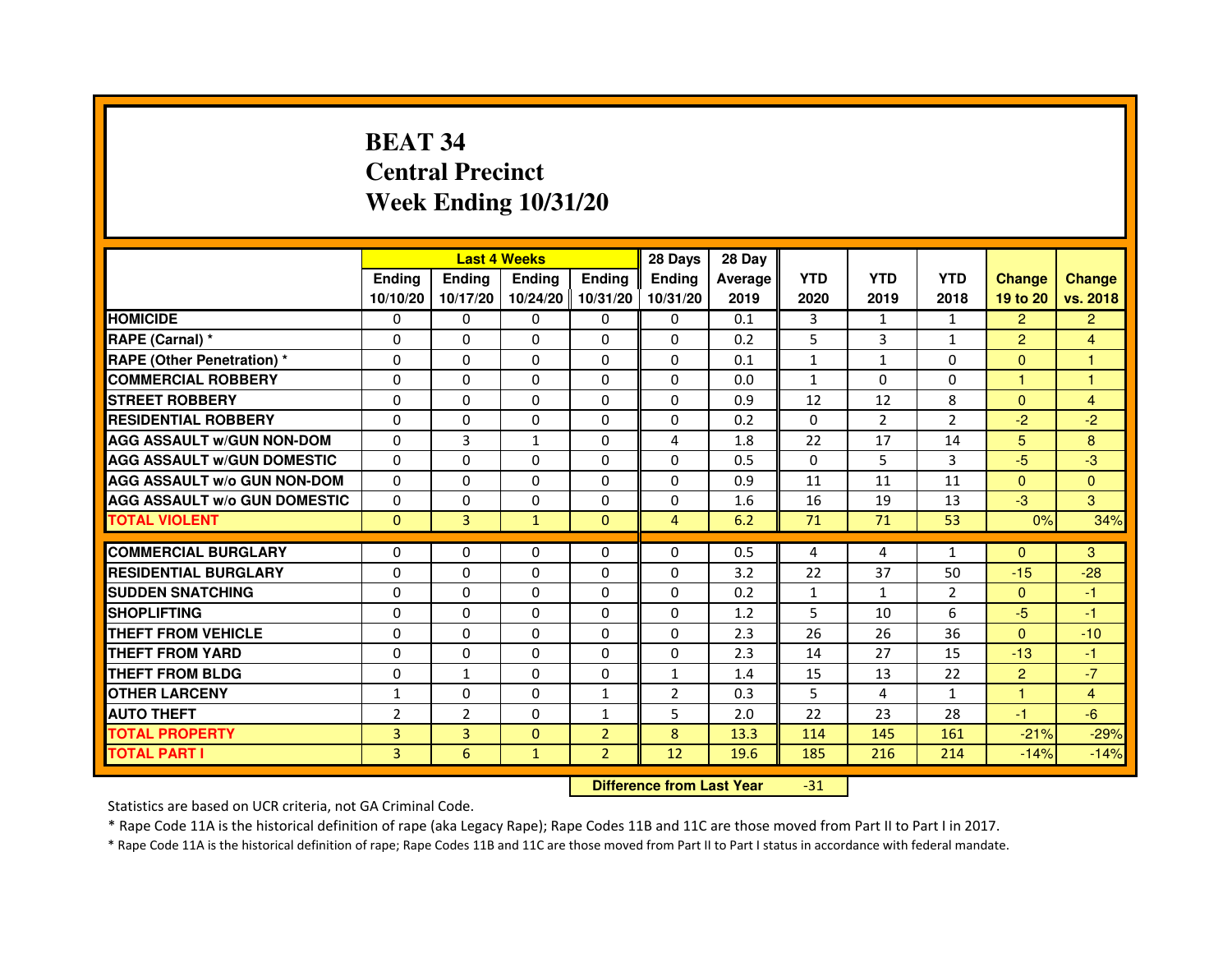# **BEAT 34 Central PrecinctWeek Ending 10/31/20**

|                                     |                | <b>Last 4 Weeks</b> |               |                | 28 Days        | 28 Day                           |              |                |                |                |                |
|-------------------------------------|----------------|---------------------|---------------|----------------|----------------|----------------------------------|--------------|----------------|----------------|----------------|----------------|
|                                     | <b>Ending</b>  | Ending              | <b>Ending</b> | <b>Ending</b>  | <b>Ending</b>  | Average                          | <b>YTD</b>   | <b>YTD</b>     | <b>YTD</b>     | <b>Change</b>  | <b>Change</b>  |
|                                     | 10/10/20       | 10/17/20            | 10/24/20      | 10/31/20       | 10/31/20       | 2019                             | 2020         | 2019           | 2018           | 19 to 20       | vs. 2018       |
| <b>HOMICIDE</b>                     | 0              | 0                   | 0             | 0              | 0              | 0.1                              | 3            | $\mathbf{1}$   | $\mathbf{1}$   | $\overline{2}$ | $\overline{2}$ |
| RAPE (Carnal) *                     | 0              | $\mathbf{0}$        | 0             | 0              | 0              | 0.2                              | 5            | 3              | $\mathbf{1}$   | $\overline{2}$ | 4              |
| <b>RAPE (Other Penetration) *</b>   | 0              | 0                   | 0             | $\mathbf{0}$   | $\Omega$       | 0.1                              | $\mathbf{1}$ | $\mathbf{1}$   | $\Omega$       | $\Omega$       | 1              |
| <b>COMMERCIAL ROBBERY</b>           | $\mathbf 0$    | 0                   | $\Omega$      | $\mathbf{0}$   | $\mathbf{0}$   | 0.0                              | $\mathbf{1}$ | $\Omega$       | $\Omega$       | $\mathbf{1}$   | $\mathbf{1}$   |
| <b>STREET ROBBERY</b>               | 0              | $\Omega$            | $\Omega$      | $\Omega$       | $\Omega$       | 0.9                              | 12           | 12             | 8              | $\Omega$       | $\overline{4}$ |
| <b>RESIDENTIAL ROBBERY</b>          | 0              | 0                   | 0             | 0              | $\Omega$       | 0.2                              | $\Omega$     | $\overline{2}$ | $\overline{2}$ | $-2$           | $-2$           |
| <b>AGG ASSAULT W/GUN NON-DOM</b>    | $\Omega$       | 3                   | $\mathbf{1}$  | $\Omega$       | 4              | 1.8                              | 22           | 17             | 14             | 5              | 8              |
| <b>AGG ASSAULT W/GUN DOMESTIC</b>   | $\Omega$       | $\Omega$            | $\Omega$      | $\Omega$       | $\Omega$       | 0.5                              | $\Omega$     | 5              | 3              | $-5$           | $-3$           |
| <b>AGG ASSAULT W/o GUN NON-DOM</b>  | $\Omega$       | $\Omega$            | $\Omega$      | $\Omega$       | $\Omega$       | 0.9                              | 11           | 11             | 11             | $\Omega$       | $\Omega$       |
| <b>AGG ASSAULT W/o GUN DOMESTIC</b> | $\Omega$       | 0                   | 0             | $\Omega$       | 0              | 1.6                              | 16           | 19             | 13             | $-3$           | 3              |
| <b>TOTAL VIOLENT</b>                | $\mathbf{0}$   | 3                   | $\mathbf{1}$  | $\mathbf{0}$   | $\overline{4}$ | 6.2                              | 71           | 71             | 53             | 0%             | 34%            |
| <b>COMMERCIAL BURGLARY</b>          | 0              | 0                   | 0             | 0              | 0              | 0.5                              | 4            | 4              | $\mathbf{1}$   | $\mathbf{0}$   | 3              |
| <b>RESIDENTIAL BURGLARY</b>         | 0              | 0                   | $\Omega$      | $\Omega$       | $\Omega$       | 3.2                              | 22           | 37             | 50             | $-15$          | $-28$          |
| <b>SUDDEN SNATCHING</b>             | 0              | $\Omega$            | $\Omega$      | $\Omega$       | $\Omega$       | 0.2                              | $\mathbf{1}$ | $\mathbf{1}$   | $\overline{2}$ | $\Omega$       | $-1$           |
| <b>SHOPLIFTING</b>                  | 0              | $\mathbf{0}$        | 0             | $\mathbf{0}$   | $\mathbf{0}$   | 1.2                              | 5            | 10             | 6              | $-5$           | $-1$           |
| THEFT FROM VEHICLE                  | 0              | 0                   | 0             | $\Omega$       | 0              | 2.3                              | 26           | 26             | 36             | $\Omega$       | $-10$          |
| <b>THEFT FROM YARD</b>              | $\Omega$       | 0                   | $\Omega$      | $\Omega$       | $\Omega$       | 2.3                              | 14           | 27             | 15             | $-13$          | $-1$           |
| <b>THEFT FROM BLDG</b>              | 0              | $\mathbf{1}$        | 0             | $\Omega$       | $\mathbf{1}$   | 1.4                              | 15           | 13             | 22             | $\overline{2}$ | $-7$           |
| <b>OTHER LARCENY</b>                | 1              | $\Omega$            | 0             | $\mathbf{1}$   | 2              | 0.3                              | 5            | 4              | $\mathbf{1}$   | 1.             | $\overline{4}$ |
| <b>AUTO THEFT</b>                   | $\overline{2}$ | $\overline{2}$      | $\Omega$      | $\mathbf{1}$   | 5              | 2.0                              | 22           | 23             | 28             | $-1$           | $-6$           |
| <b>TOTAL PROPERTY</b>               | 3              | 3                   | $\Omega$      | $\overline{2}$ | 8              | 13.3                             | 114          | 145            | 161            | $-21%$         | $-29%$         |
| <b>TOTAL PART I</b>                 | 3              | 6                   | $\mathbf{1}$  | $\overline{2}$ | 12             | 19.6                             | 185          | 216            | 214            | $-14%$         | $-14%$         |
|                                     |                |                     |               |                |                | <b>Difference from Last Year</b> | $-31$        |                |                |                |                |

 **Difference from Last Year**

Statistics are based on UCR criteria, not GA Criminal Code.

\* Rape Code 11A is the historical definition of rape (aka Legacy Rape); Rape Codes 11B and 11C are those moved from Part II to Part I in 2017.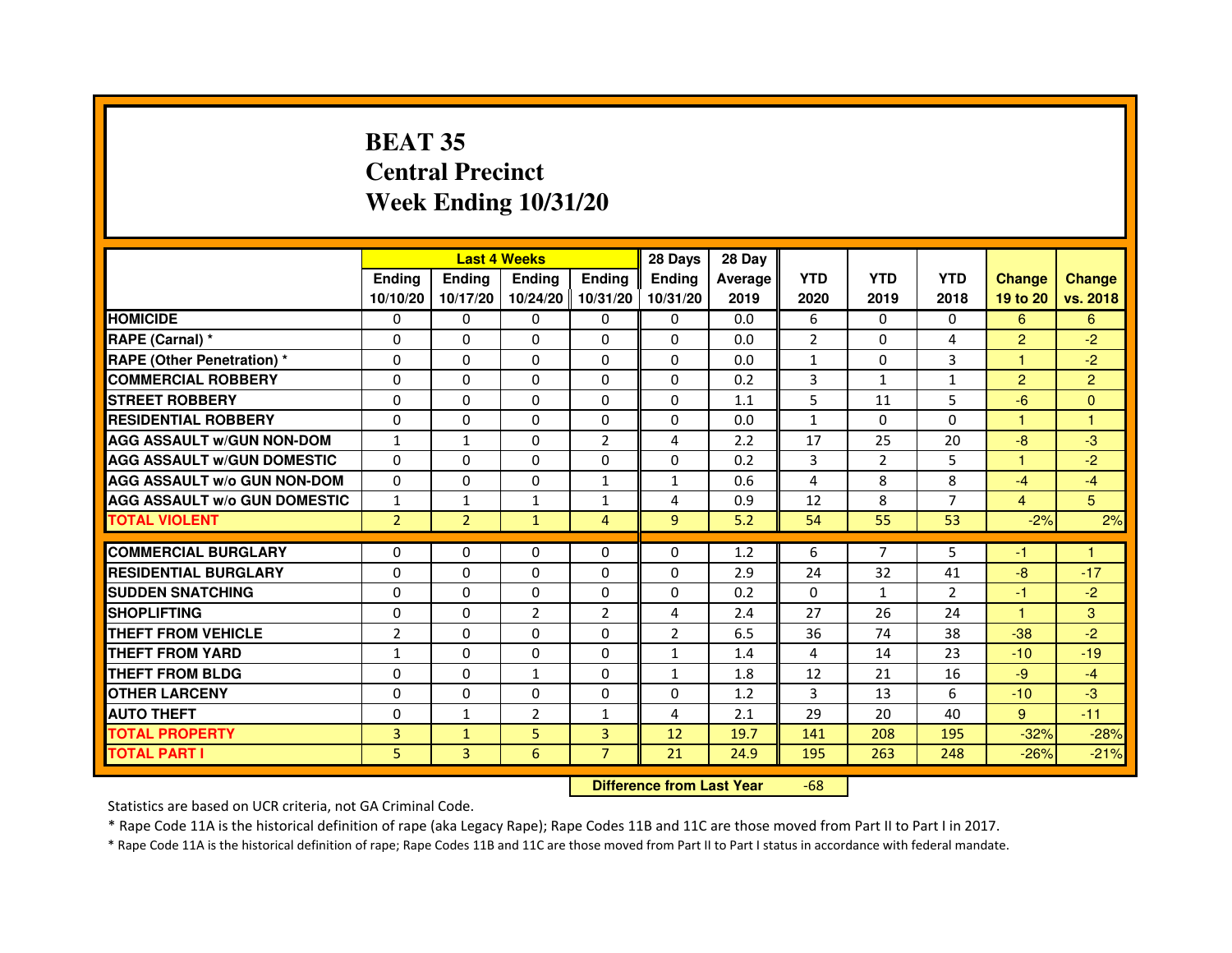# **BEAT 35 Central PrecinctWeek Ending 10/31/20**

|                                     |                | <b>Last 4 Weeks</b> |                |                   | 28 Days        | 28 Day  |                |                |                |                |                |
|-------------------------------------|----------------|---------------------|----------------|-------------------|----------------|---------|----------------|----------------|----------------|----------------|----------------|
|                                     | <b>Endina</b>  | <b>Endina</b>       | <b>Endina</b>  | <b>Ending</b>     | <b>Endina</b>  | Average | <b>YTD</b>     | <b>YTD</b>     | <b>YTD</b>     | <b>Change</b>  | <b>Change</b>  |
|                                     | 10/10/20       | 10/17/20            |                | 10/24/20 10/31/20 | 10/31/20       | 2019    | 2020           | 2019           | 2018           | 19 to 20       | vs. 2018       |
| <b>HOMICIDE</b>                     | 0              | 0                   | $\mathbf{0}$   | 0                 | 0              | 0.0     | 6              | 0              | 0              | 6              | 6              |
| RAPE (Carnal) *                     | $\Omega$       | $\Omega$            | $\Omega$       | $\Omega$          | $\Omega$       | 0.0     | 2              | $\Omega$       | $\overline{a}$ | $\overline{2}$ | $-2$           |
| RAPE (Other Penetration) *          | 0              | $\Omega$            | 0              | $\Omega$          | $\Omega$       | 0.0     | $\mathbf{1}$   | 0              | 3              | 1              | $-2$           |
| <b>COMMERCIAL ROBBERY</b>           | 0              | 0                   | 0              | 0                 | $\Omega$       | 0.2     | 3              | 1              | 1              | $\overline{2}$ | $\overline{2}$ |
| <b>STREET ROBBERY</b>               | 0              | 0                   | 0              | 0                 | 0              | 1.1     | 5              | 11             | 5              | $-6$           | $\Omega$       |
| <b>RESIDENTIAL ROBBERY</b>          | 0              | $\Omega$            | 0              | 0                 | $\Omega$       | 0.0     | $\mathbf{1}$   | $\Omega$       | $\Omega$       | 1              | 1              |
| <b>AGG ASSAULT W/GUN NON-DOM</b>    | $\mathbf{1}$   | 1                   | $\Omega$       | $\overline{2}$    | 4              | 2.2     | 17             | 25             | 20             | $-8$           | -3             |
| <b>AGG ASSAULT W/GUN DOMESTIC</b>   | $\Omega$       | 0                   | $\Omega$       | 0                 | $\Omega$       | 0.2     | 3              | $\overline{2}$ | 5              | 1              | $-2$           |
| <b>AGG ASSAULT W/o GUN NON-DOM</b>  | $\Omega$       | 0                   | $\Omega$       | $\mathbf{1}$      | $\mathbf{1}$   | 0.6     | 4              | 8              | 8              | $-4$           | $-4$           |
| <b>AGG ASSAULT W/o GUN DOMESTIC</b> | $\mathbf{1}$   | $\mathbf{1}$        | 1              | 1                 | 4              | 0.9     | 12             | 8              | 7              | $\overline{4}$ | 5              |
| <b>TOTAL VIOLENT</b>                | $\overline{2}$ | $\overline{2}$      | $\mathbf{1}$   | $\overline{4}$    | 9              | 5.2     | 54             | 55             | 53             | $-2%$          | 2%             |
|                                     |                |                     |                |                   |                |         |                |                |                |                |                |
| <b>COMMERCIAL BURGLARY</b>          | 0              | 0                   | $\Omega$       | 0                 | $\Omega$       | 1.2     | 6              | $\overline{7}$ | 5              | $-1$           | 1              |
| <b>RESIDENTIAL BURGLARY</b>         | 0              | $\Omega$            | 0              | $\Omega$          | $\Omega$       | 2.9     | 24             | 32             | 41             | $-8$           | $-17$          |
| <b>SUDDEN SNATCHING</b>             | 0              | 0                   | 0              | 0                 | 0              | 0.2     | $\Omega$       | $\mathbf{1}$   | $\mathfrak{p}$ | $-1$           | $-2$           |
| <b>SHOPLIFTING</b>                  | $\Omega$       | 0                   | $\overline{2}$ | $\overline{2}$    | 4              | 2.4     | 27             | 26             | 24             | $\mathbf{1}$   | 3              |
| <b>THEFT FROM VEHICLE</b>           | $\overline{2}$ | $\Omega$            | $\Omega$       | $\Omega$          | $\overline{2}$ | 6.5     | 36             | 74             | 38             | $-38$          | $-2$           |
| <b>THEFT FROM YARD</b>              | 1              | $\Omega$            | $\Omega$       | $\Omega$          | $\mathbf{1}$   | 1.4     | $\overline{4}$ | 14             | 23             | $-10$          | $-19$          |
| THEFT FROM BLDG                     | 0              | 0                   | 1              | 0                 | $\mathbf{1}$   | 1.8     | 12             | 21             | 16             | $-9$           | $-4$           |
| <b>OTHER LARCENY</b>                | 0              | 0                   | $\Omega$       | 0                 | $\Omega$       | 1.2     | 3              | 13             | 6              | $-10$          | $-3$           |
| <b>AUTO THEFT</b>                   | 0              | 1                   | $\overline{2}$ | $\mathbf{1}$      | 4              | 2.1     | 29             | 20             | 40             | $9^{\circ}$    | $-11$          |
| <b>TOTAL PROPERTY</b>               | 3              | $\mathbf{1}$        | 5              | 3                 | 12             | 19.7    | 141            | 208            | 195            | $-32%$         | $-28%$         |
| <b>TOTAL PART I</b>                 | 5              | 3                   | 6              | $\overline{7}$    | 21             | 24.9    | 195            | 263            | 248            | $-26%$         | $-21%$         |

 **Difference from Last Year**-68

Statistics are based on UCR criteria, not GA Criminal Code.

\* Rape Code 11A is the historical definition of rape (aka Legacy Rape); Rape Codes 11B and 11C are those moved from Part II to Part I in 2017.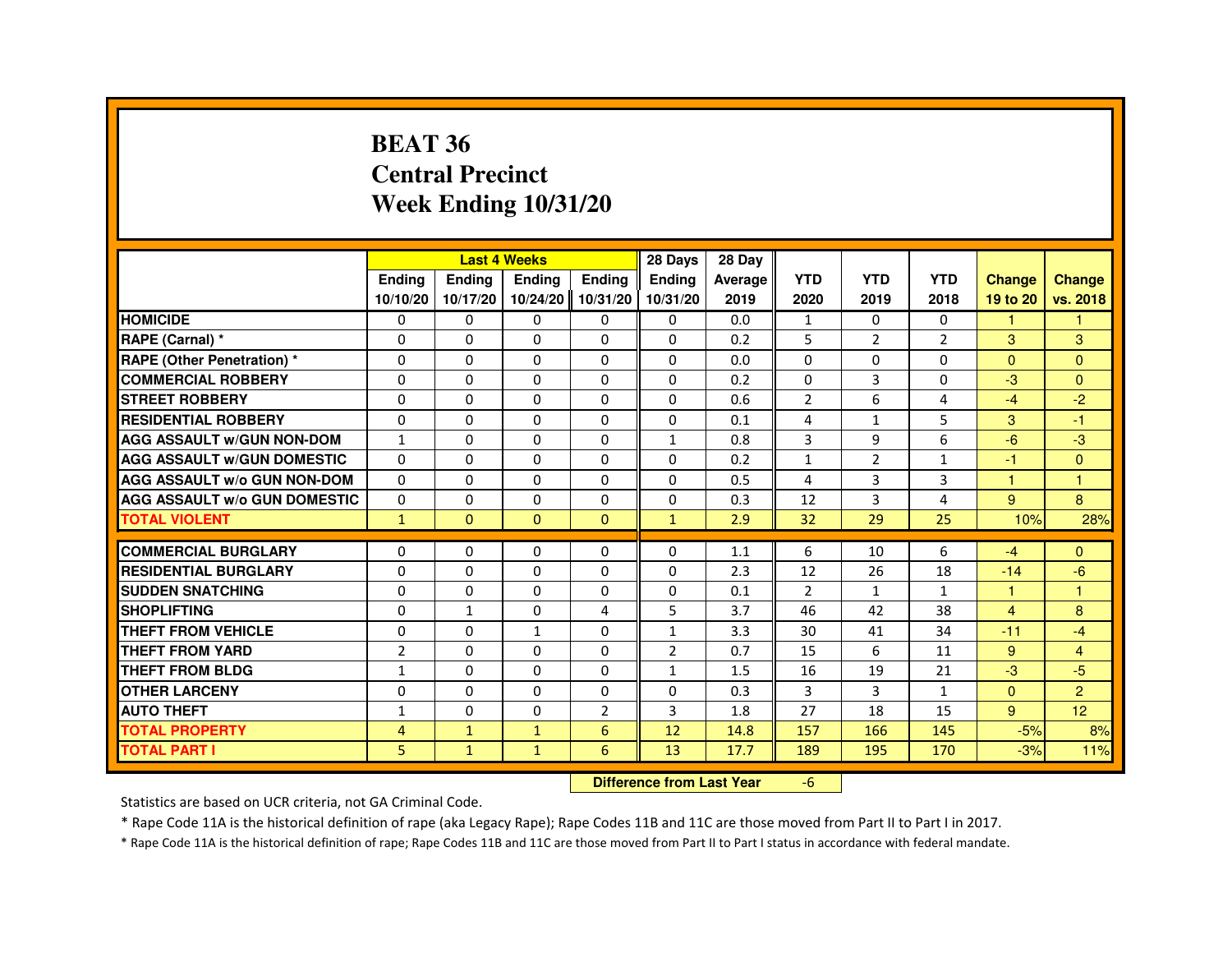#### **BEAT 36 Central PrecinctWeek Ending 10/31/20**

|                                     |                | <b>Last 4 Weeks</b> |                   |                | 28 Days        | 28 Day                           |                |                |                |                |                      |
|-------------------------------------|----------------|---------------------|-------------------|----------------|----------------|----------------------------------|----------------|----------------|----------------|----------------|----------------------|
|                                     | Ending         | Ending              | Ending            | Ending         | Ending         | Average                          | <b>YTD</b>     | <b>YTD</b>     | <b>YTD</b>     | <b>Change</b>  | <b>Change</b>        |
|                                     | 10/10/20       | 10/17/20            | 10/24/20 10/31/20 |                | 10/31/20       | 2019                             | 2020           | 2019           | 2018           | 19 to 20       | vs. 2018             |
| <b>HOMICIDE</b>                     | 0              | $\Omega$            | 0                 | $\mathbf{0}$   | $\mathbf{0}$   | 0.0                              | $\mathbf{1}$   | $\Omega$       | $\mathbf{0}$   | 1              |                      |
| RAPE (Carnal) *                     | 0              | $\Omega$            | $\Omega$          | $\Omega$       | $\Omega$       | 0.2                              | 5              | $\overline{2}$ | $\overline{2}$ | $\mathcal{S}$  | $\overline{3}$       |
| <b>RAPE (Other Penetration) *</b>   | $\Omega$       | $\mathbf 0$         | $\Omega$          | $\Omega$       | $\Omega$       | 0.0                              | $\Omega$       | $\Omega$       | $\Omega$       | $\Omega$       | $\Omega$             |
| <b>COMMERCIAL ROBBERY</b>           | $\Omega$       | $\Omega$            | $\Omega$          | $\Omega$       | $\Omega$       | 0.2                              | $\Omega$       | 3              | $\Omega$       | $-3$           | $\Omega$             |
| <b>STREET ROBBERY</b>               | $\Omega$       | $\Omega$            | $\Omega$          | $\Omega$       | $\Omega$       | 0.6                              | $\overline{2}$ | 6              | 4              | $-4$           | $-2$                 |
| <b>RESIDENTIAL ROBBERY</b>          | $\Omega$       | 0                   | $\mathbf 0$       | 0              | 0              | 0.1                              | 4              | $\mathbf{1}$   | 5              | 3              | -1                   |
| <b>AGG ASSAULT w/GUN NON-DOM</b>    | $\mathbf{1}$   | 0                   | $\Omega$          | $\Omega$       | $\mathbf{1}$   | 0.8                              | 3              | 9              | 6              | $-6$           | $-3$                 |
| <b>AGG ASSAULT W/GUN DOMESTIC</b>   | $\Omega$       | $\Omega$            | $\Omega$          | $\Omega$       | 0              | 0.2                              | $\mathbf{1}$   | $\overline{2}$ | $\mathbf{1}$   | $-1$           | $\Omega$             |
| <b>AGG ASSAULT w/o GUN NON-DOM</b>  | $\Omega$       | 0                   | 0                 | 0              | 0              | 0.5                              | 4              | 3              | 3              | 1              | 1                    |
| <b>AGG ASSAULT w/o GUN DOMESTIC</b> | $\Omega$       | $\mathbf 0$         | $\Omega$          | 0              | 0              | 0.3                              | 12             | 3              | 4              | 9              | 8                    |
| <b>TOTAL VIOLENT</b>                | $\mathbf{1}$   | $\mathbf{0}$        | $\mathbf{0}$      | $\mathbf{0}$   | $\mathbf{1}$   | 2.9                              | 32             | 29             | 25             | 10%            | 28%                  |
| <b>COMMERCIAL BURGLARY</b>          | $\Omega$       | 0                   | 0                 | 0              | 0              | 1.1                              | 6              | 10             | 6              | $-4$           | $\Omega$             |
| <b>RESIDENTIAL BURGLARY</b>         | 0              | $\mathbf 0$         | 0                 | 0              | 0              | 2.3                              | 12             | 26             | 18             | $-14$          | $-6$                 |
| <b>SUDDEN SNATCHING</b>             | $\Omega$       | $\Omega$            | $\Omega$          | $\Omega$       | $\Omega$       | 0.1                              | $\overline{2}$ | $\mathbf{1}$   | $\mathbf{1}$   | 1              | $\blacktriangleleft$ |
| <b>SHOPLIFTING</b>                  | 0              | $\mathbf{1}$        | 0                 | 4              | 5              | 3.7                              | 46             | 42             | 38             | $\overline{4}$ | 8                    |
| THEFT FROM VEHICLE                  | 0              | $\Omega$            | 1                 | 0              | $\mathbf{1}$   | 3.3                              | 30             | 41             | 34             | $-11$          | $-4$                 |
| <b>THEFT FROM YARD</b>              | $\overline{2}$ | $\Omega$            | $\Omega$          | $\Omega$       | $\overline{2}$ | 0.7                              | 15             | 6              | 11             | 9              | $\overline{4}$       |
| <b>THEFT FROM BLDG</b>              | $\mathbf{1}$   | $\Omega$            | 0                 | 0              | $\mathbf{1}$   | 1.5                              | 16             | 19             | 21             | $-3$           | $-5$                 |
| <b>OTHER LARCENY</b>                | 0              | $\Omega$            | $\Omega$          | 0              | $\Omega$       | 0.3                              | 3              | 3              | $\mathbf{1}$   | $\Omega$       | $\overline{2}$       |
| <b>AUTO THEFT</b>                   | $\mathbf{1}$   | 0                   | 0                 | $\overline{2}$ | 3              | 1.8                              | 27             | 18             | 15             | 9              | 12                   |
| <b>TOTAL PROPERTY</b>               | 4              | $\mathbf{1}$        | $\mathbf{1}$      | 6              | 12             | 14.8                             | 157            | 166            | 145            | $-5%$          | 8%                   |
| <b>TOTAL PART I</b>                 | 5              | $\mathbf{1}$        | $\mathbf{1}$      | 6              | 13             | 17.7                             | 189            | 195            | 170            | $-3%$          | 11%                  |
|                                     |                |                     |                   |                |                | <b>Difference from Last Year</b> | $-6$           |                |                |                |                      |

 **Difference from Last Year**

Statistics are based on UCR criteria, not GA Criminal Code.

\* Rape Code 11A is the historical definition of rape (aka Legacy Rape); Rape Codes 11B and 11C are those moved from Part II to Part I in 2017.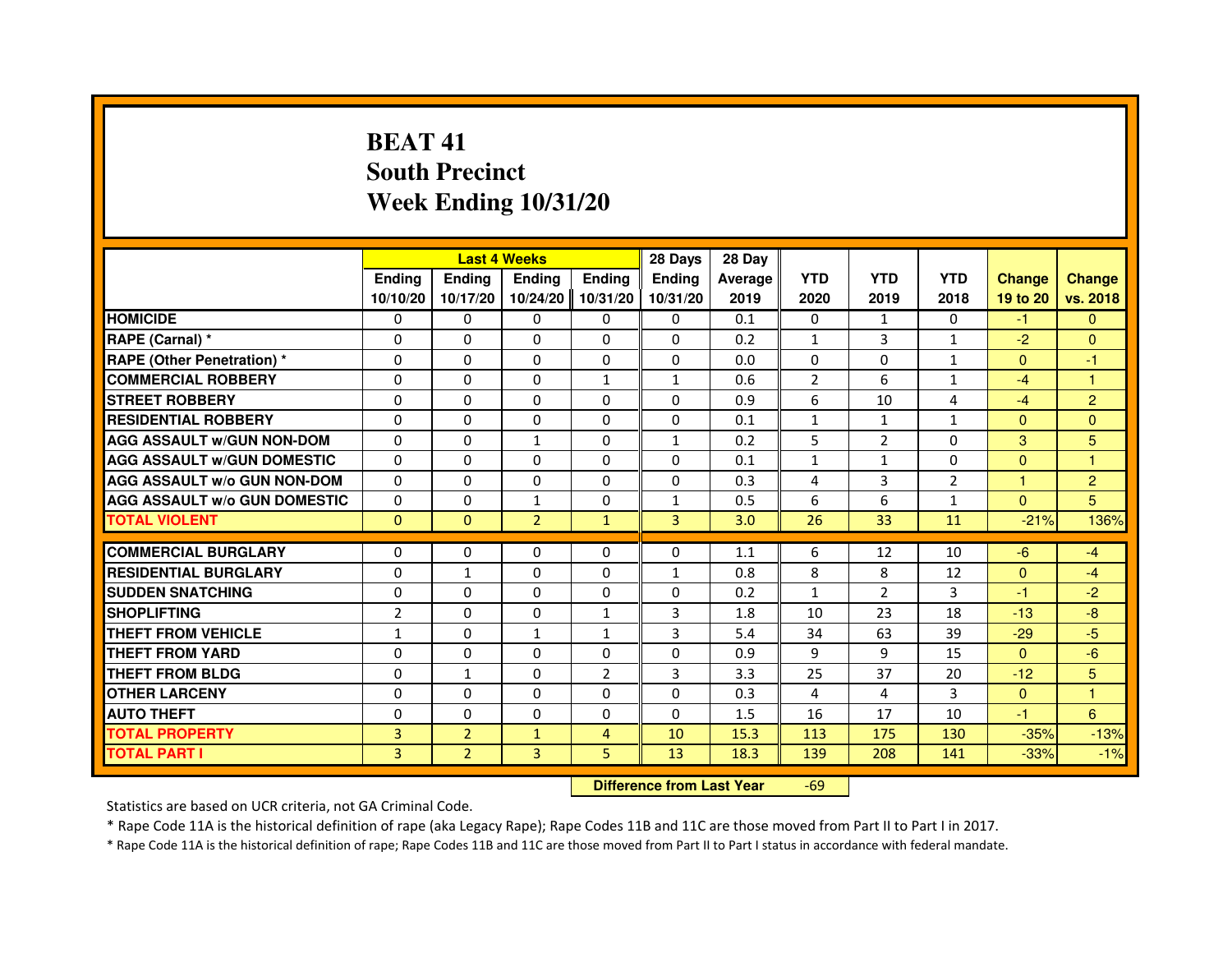# **BEAT 41 South PrecinctWeek Ending 10/31/20**

|                                     |                |                | <b>Last 4 Weeks</b>              |                | 28 Days       | 28 Day  |                |                |                |                |                |
|-------------------------------------|----------------|----------------|----------------------------------|----------------|---------------|---------|----------------|----------------|----------------|----------------|----------------|
|                                     | <b>Ending</b>  | <b>Endina</b>  | <b>Ending</b>                    | <b>Ending</b>  | <b>Endina</b> | Average | <b>YTD</b>     | <b>YTD</b>     | <b>YTD</b>     | <b>Change</b>  | <b>Change</b>  |
|                                     | 10/10/20       | 10/17/20       | 10/24/20                         | 10/31/20       | 10/31/20      | 2019    | 2020           | 2019           | 2018           | 19 to 20       | vs. 2018       |
| <b>HOMICIDE</b>                     | 0              | $\mathbf{0}$   | $\mathbf{0}$                     | $\mathbf{0}$   | $\Omega$      | 0.1     | 0              | $\mathbf{1}$   | $\Omega$       | $-1$           | $\mathbf{0}$   |
| RAPE (Carnal) *                     | 0              | 0              | 0                                | $\mathbf{0}$   | 0             | 0.2     | 1              | 3              | $\mathbf{1}$   | $-2$           | $\Omega$       |
| <b>RAPE (Other Penetration) *</b>   | 0              | 0              | $\Omega$                         | 0              | 0             | 0.0     | $\Omega$       | $\Omega$       | $\mathbf{1}$   | $\mathbf{0}$   | $-1$           |
| <b>COMMERCIAL ROBBERY</b>           | $\Omega$       | $\Omega$       | $\Omega$                         | $\mathbf{1}$   | $\mathbf{1}$  | 0.6     | $\overline{2}$ | 6              | $\mathbf{1}$   | $-4$           | $\mathbf{1}$   |
| <b>STREET ROBBERY</b>               | 0              | 0              | 0                                | 0              | 0             | 0.9     | 6              | 10             | 4              | $-4$           | $\overline{2}$ |
| <b>RESIDENTIAL ROBBERY</b>          | $\Omega$       | $\Omega$       | 0                                | $\Omega$       | 0             | 0.1     | $\mathbf{1}$   | $\mathbf{1}$   | $\mathbf{1}$   | $\Omega$       | $\Omega$       |
| <b>AGG ASSAULT w/GUN NON-DOM</b>    | $\Omega$       | $\Omega$       | $\mathbf{1}$                     | $\Omega$       | $\mathbf{1}$  | 0.2     | 5              | $\overline{2}$ | $\Omega$       | 3              | 5              |
| <b>AGG ASSAULT W/GUN DOMESTIC</b>   | $\Omega$       | $\Omega$       | $\Omega$                         | $\Omega$       | $\Omega$      | 0.1     | $\mathbf{1}$   | $\mathbf{1}$   | $\Omega$       | $\Omega$       | $\mathbf{1}$   |
| <b>AGG ASSAULT w/o GUN NON-DOM</b>  | 0              | 0              | 0                                | 0              | 0             | 0.3     | 4              | 3              | $\overline{2}$ | $\mathbf{1}$   | $\overline{c}$ |
| <b>AGG ASSAULT w/o GUN DOMESTIC</b> | $\Omega$       | $\Omega$       | 1                                | $\Omega$       | 1             | 0.5     | 6              | 6              | $\mathbf{1}$   | $\Omega$       | 5              |
| <b>TOTAL VIOLENT</b>                | $\mathbf{0}$   | $\overline{0}$ | $\overline{2}$                   | $\mathbf{1}$   | 3             | 3.0     | 26             | 33             | 11             | $-21%$         | 136%           |
| <b>COMMERCIAL BURGLARY</b>          | 0              | 0              | 0                                | $\mathbf{0}$   | 0             | 1.1     | 6              | 12             | 10             | $-6$           | $-4$           |
| <b>RESIDENTIAL BURGLARY</b>         | 0              | $\mathbf{1}$   | $\Omega$                         | $\Omega$       | 1             | 0.8     | 8              | 8              | 12             | $\overline{0}$ | $-4$           |
| <b>SUDDEN SNATCHING</b>             | $\Omega$       | $\Omega$       | $\Omega$                         | $\Omega$       | $\Omega$      | 0.2     | $\mathbf{1}$   | $\overline{2}$ | 3              | $-1$           | $-2$           |
| <b>SHOPLIFTING</b>                  | $\overline{2}$ | 0              | 0                                | 1              | 3             | 1.8     | 10             | 23             | 18             | $-13$          | $-8$           |
| THEFT FROM VEHICLE                  | $\mathbf{1}$   | $\Omega$       | $\mathbf{1}$                     | $\mathbf{1}$   | 3             | 5.4     | 34             | 63             | 39             | $-29$          | $-5$           |
| <b>THEFT FROM YARD</b>              | 0              | $\Omega$       | $\Omega$                         | $\Omega$       | $\Omega$      | 0.9     | 9              | 9              | 15             | $\mathbf{0}$   | $-6$           |
| <b>THEFT FROM BLDG</b>              | $\Omega$       | $\mathbf{1}$   | $\Omega$                         | $\overline{2}$ | 3             | 3.3     | 25             | 37             | 20             | $-12$          | 5              |
| <b>OTHER LARCENY</b>                | 0              | $\Omega$       | 0                                | 0              | 0             | 0.3     | 4              | 4              | 3              | $\mathbf{0}$   | 1              |
| <b>AUTO THEFT</b>                   | 0              | 0              | 0                                | 0              | $\Omega$      | 1.5     | 16             | 17             | 10             | $-1$           | 6              |
| <b>TOTAL PROPERTY</b>               | $\overline{3}$ | $\overline{2}$ | $\mathbf{1}$                     | $\overline{4}$ | 10            | 15.3    | 113            | 175            | 130            | $-35%$         | $-13%$         |
| <b>TOTAL PART I</b>                 | $\overline{3}$ | $\overline{2}$ | 3                                | 5              | 13            | 18.3    | 139            | 208            | 141            | $-33%$         | $-1%$          |
|                                     |                |                | <b>Difference from Last Year</b> |                | $-69$         |         |                |                |                |                |                |

 **Difference from Last Year**

Statistics are based on UCR criteria, not GA Criminal Code.

\* Rape Code 11A is the historical definition of rape (aka Legacy Rape); Rape Codes 11B and 11C are those moved from Part II to Part I in 2017.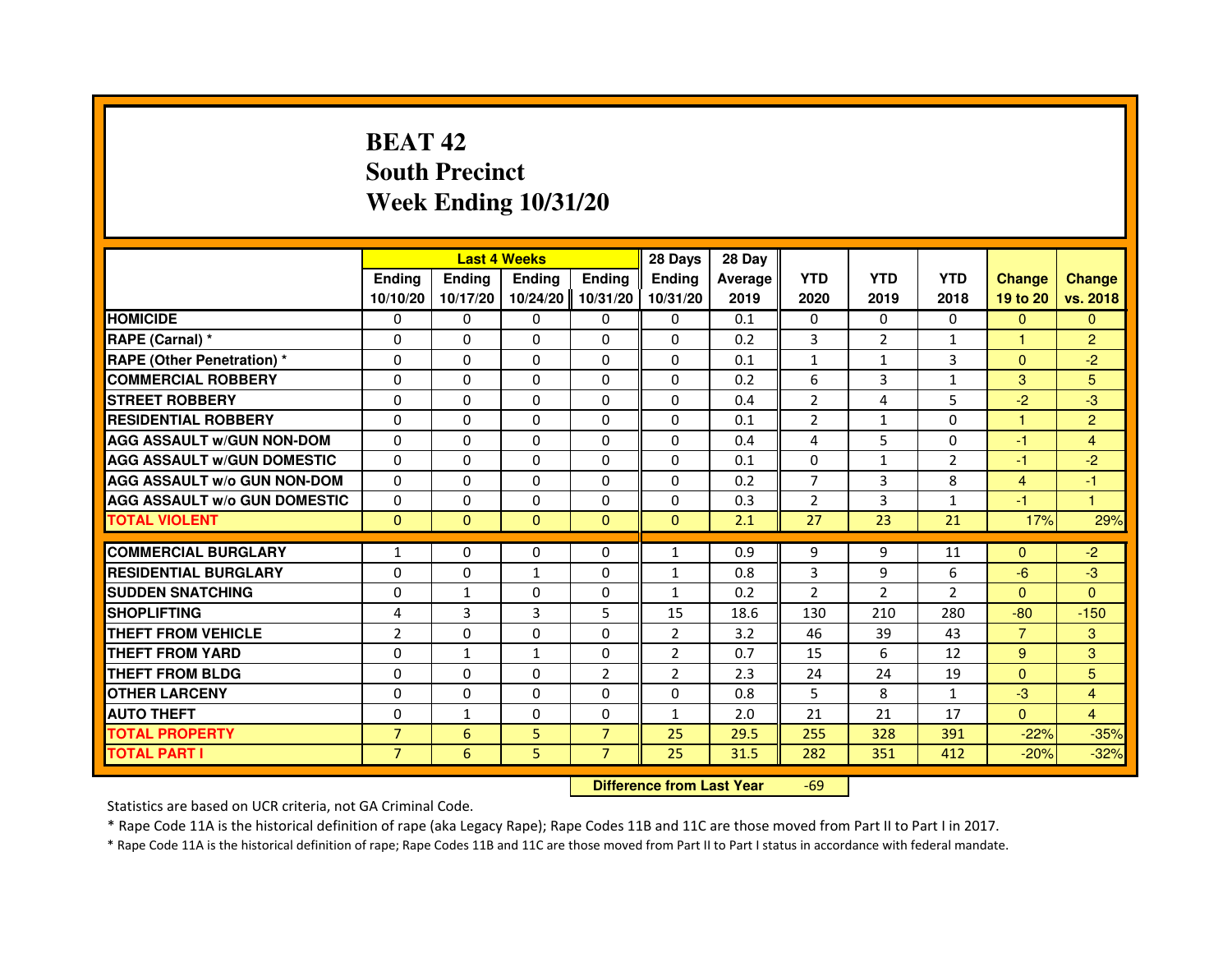# **BEAT 42 South PrecinctWeek Ending 10/31/20**

|                                     |                | <b>Last 4 Weeks</b> |              |                | 28 Days                          | 28 Day  |                |                |                |                |                |
|-------------------------------------|----------------|---------------------|--------------|----------------|----------------------------------|---------|----------------|----------------|----------------|----------------|----------------|
|                                     | <b>Ending</b>  | <b>Ending</b>       | Ending       | <b>Ending</b>  | Ending                           | Average | <b>YTD</b>     | <b>YTD</b>     | <b>YTD</b>     | <b>Change</b>  | <b>Change</b>  |
|                                     | 10/10/20       | 10/17/20            | 10/24/20     | 10/31/20       | 10/31/20                         | 2019    | 2020           | 2019           | 2018           | 19 to 20       | vs. 2018       |
| <b>HOMICIDE</b>                     | 0              | $\Omega$            | $\Omega$     | 0              | 0                                | 0.1     | 0              | $\Omega$       | $\Omega$       | $\Omega$       | $\Omega$       |
| RAPE (Carnal) *                     | 0              | $\mathbf{0}$        | 0            | 0              | 0                                | 0.2     | 3              | 2              | $\mathbf{1}$   | 1              | $\overline{c}$ |
| RAPE (Other Penetration) *          | $\Omega$       | 0                   | $\Omega$     | $\Omega$       | $\Omega$                         | 0.1     | $\mathbf{1}$   | $\mathbf{1}$   | 3              | $\mathbf{0}$   | $-2$           |
| <b>COMMERCIAL ROBBERY</b>           | $\Omega$       | $\Omega$            | $\Omega$     | $\Omega$       | $\Omega$                         | 0.2     | 6              | $\overline{3}$ | $\mathbf{1}$   | 3              | 5              |
| <b>STREET ROBBERY</b>               | $\Omega$       | $\Omega$            | $\Omega$     | $\Omega$       | $\Omega$                         | 0.4     | $\overline{2}$ | 4              | 5              | $-2$           | $-3$           |
| <b>RESIDENTIAL ROBBERY</b>          | 0              | 0                   | 0            | 0              | 0                                | 0.1     | 2              | $\mathbf{1}$   | 0              | $\mathbf{1}$   | $\overline{2}$ |
| <b>AGG ASSAULT w/GUN NON-DOM</b>    | $\Omega$       | $\Omega$            | $\Omega$     | $\Omega$       | $\Omega$                         | 0.4     | 4              | 5              | 0              | $-1$           | $\overline{4}$ |
| <b>AGG ASSAULT W/GUN DOMESTIC</b>   | $\Omega$       | $\Omega$            | $\Omega$     | $\Omega$       | $\Omega$                         | 0.1     | $\Omega$       | $\mathbf{1}$   | $\overline{2}$ | $-1$           | $-2$           |
| <b>AGG ASSAULT W/o GUN NON-DOM</b>  | $\Omega$       | $\Omega$            | $\Omega$     | $\Omega$       | $\Omega$                         | 0.2     | $\overline{7}$ | 3              | 8              | $\overline{4}$ | $-1$           |
| <b>AGG ASSAULT w/o GUN DOMESTIC</b> | $\Omega$       | $\Omega$            | 0            | $\Omega$       | $\Omega$                         | 0.3     | $\overline{2}$ | $\overline{3}$ | $\mathbf{1}$   | $-1$           | 1              |
| <b>TOTAL VIOLENT</b>                | $\mathbf 0$    | $\mathbf{0}$        | $\mathbf{0}$ | $\mathbf{0}$   | $\mathbf{0}$                     | 2.1     | 27             | 23             | 21             | 17%            | 29%            |
| <b>COMMERCIAL BURGLARY</b>          | 1              | 0                   | 0            | 0              | $\mathbf{1}$                     | 0.9     | 9              | 9              | 11             | $\Omega$       | $-2$           |
| <b>RESIDENTIAL BURGLARY</b>         | 0              | $\Omega$            | $\mathbf{1}$ | $\Omega$       | $\mathbf{1}$                     | 0.8     | 3              | 9              | 6              | $-6$           | $-3$           |
| <b>SUDDEN SNATCHING</b>             | 0              | $\mathbf{1}$        | $\Omega$     | $\Omega$       | $\mathbf{1}$                     | 0.2     | $\overline{2}$ | $\mathcal{P}$  | $\mathcal{P}$  | $\Omega$       | $\Omega$       |
| <b>SHOPLIFTING</b>                  | 4              | 3                   | 3            | 5              | 15                               | 18.6    | 130            | 210            | 280            | $-80$          | $-150$         |
| <b>THEFT FROM VEHICLE</b>           | $\overline{2}$ | 0                   | 0            | $\Omega$       | $\overline{2}$                   | 3.2     | 46             | 39             | 43             | $\overline{7}$ | 3              |
| <b>THEFT FROM YARD</b>              | $\Omega$       | $\mathbf{1}$        | $\mathbf{1}$ | $\Omega$       | $\overline{2}$                   | 0.7     | 15             | 6              | 12             | 9              | 3              |
| <b>THEFT FROM BLDG</b>              | $\Omega$       | $\Omega$            | $\Omega$     | $\overline{2}$ | $\overline{2}$                   | 2.3     | 24             | 24             | 19             | $\Omega$       | 5              |
| <b>OTHER LARCENY</b>                | 0              | $\Omega$            | $\mathbf{0}$ | 0              | 0                                | 0.8     | 5              | 8              | $\mathbf{1}$   | $-3$           | $\overline{4}$ |
| <b>AUTO THEFT</b>                   | $\Omega$       | $\mathbf{1}$        | $\Omega$     | $\Omega$       | $\mathbf{1}$                     | 2.0     | 21             | 21             | 17             | $\Omega$       | $\overline{4}$ |
| <b>TOTAL PROPERTY</b>               | $\overline{7}$ | 6                   | 5            | $\overline{7}$ | 25                               | 29.5    | 255            | 328            | 391            | $-22%$         | $-35%$         |
| <b>TOTAL PART I</b>                 | $\overline{7}$ | 6                   | 5            | $\overline{7}$ | 25                               | 31.5    | 282            | 351            | 412            | $-20%$         | $-32%$         |
|                                     |                |                     |              |                | <b>Difference from Last Year</b> |         | $-69$          |                |                |                |                |

 **Difference from Last Year**

Statistics are based on UCR criteria, not GA Criminal Code.

\* Rape Code 11A is the historical definition of rape (aka Legacy Rape); Rape Codes 11B and 11C are those moved from Part II to Part I in 2017.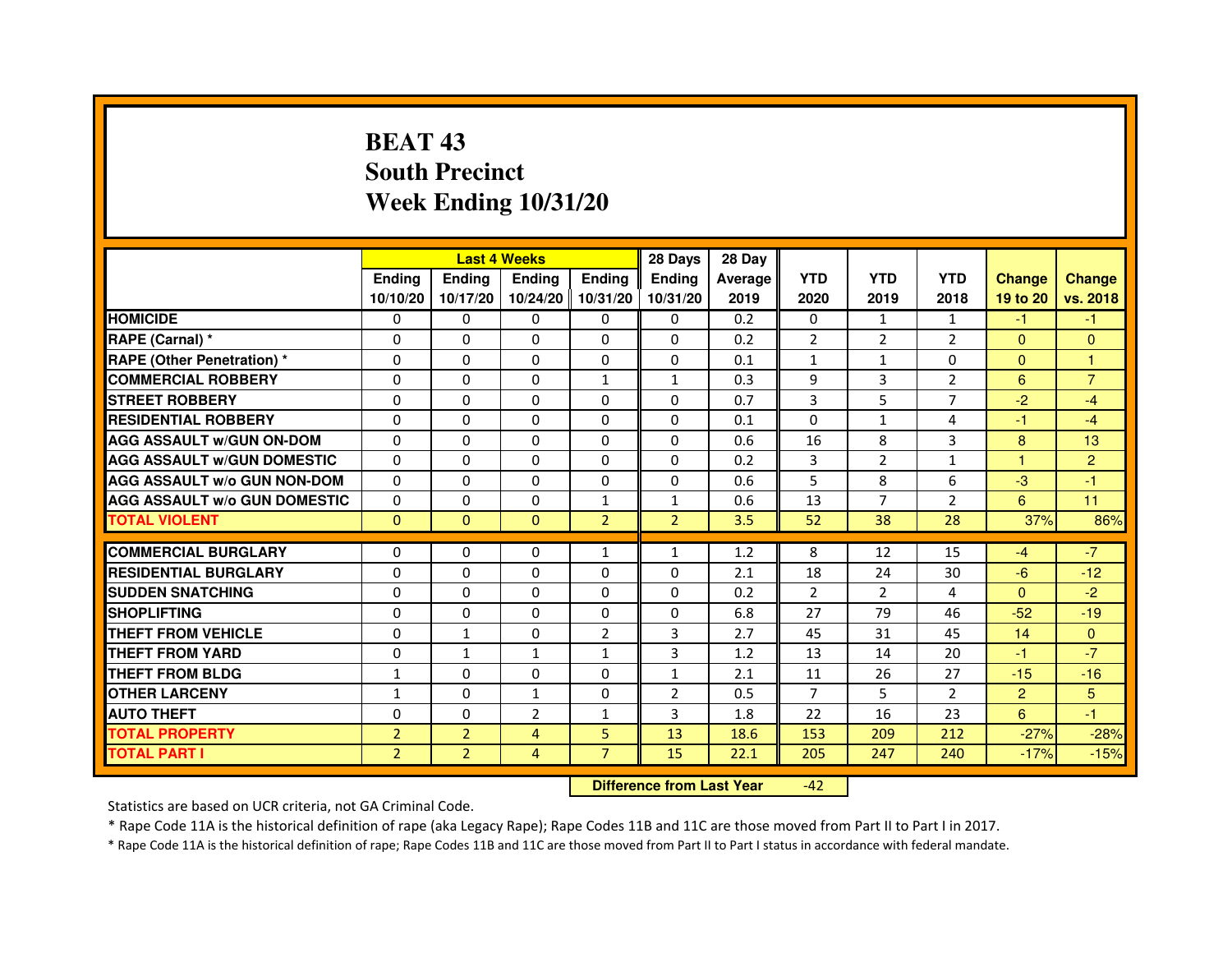# **BEAT 43 South PrecinctWeek Ending 10/31/20**

|                                     |                | <b>Last 4 Weeks</b> |                |                     | 28 Days        | 28 Day  |                |                |                |                |                |
|-------------------------------------|----------------|---------------------|----------------|---------------------|----------------|---------|----------------|----------------|----------------|----------------|----------------|
|                                     | <b>Endina</b>  | Ending              | <b>Endina</b>  | <b>Ending</b>       | <b>Endina</b>  | Average | <b>YTD</b>     | <b>YTD</b>     | <b>YTD</b>     | <b>Change</b>  | <b>Change</b>  |
|                                     | 10/10/20       | 10/17/20            |                | 10/24/20   10/31/20 | 10/31/20       | 2019    | 2020           | 2019           | 2018           | 19 to 20       | vs. 2018       |
| <b>HOMICIDE</b>                     | 0              | 0                   | 0              | 0                   | 0              | 0.2     | $\mathbf{0}$   | $\mathbf{1}$   | $\mathbf{1}$   | -1             | -1             |
| RAPE (Carnal) *                     | $\Omega$       | $\Omega$            | $\Omega$       | $\Omega$            | $\Omega$       | 0.2     | $\overline{2}$ | 2              | $\overline{2}$ | $\Omega$       | $\Omega$       |
| <b>RAPE (Other Penetration) *</b>   | 0              | 0                   | $\Omega$       | $\Omega$            | $\Omega$       | 0.1     | $\mathbf{1}$   | $\mathbf{1}$   | $\Omega$       | $\Omega$       | 1              |
| <b>COMMERCIAL ROBBERY</b>           | 0              | 0                   | 0              | $\mathbf{1}$        | $\mathbf{1}$   | 0.3     | 9              | 3              | $\overline{2}$ | 6              | $\overline{7}$ |
| <b>STREET ROBBERY</b>               | 0              | $\Omega$            | 0              | $\Omega$            | $\Omega$       | 0.7     | 3              | 5              | 7              | $-2$           | $-4$           |
| <b>RESIDENTIAL ROBBERY</b>          | 0              | $\Omega$            | 0              | $\Omega$            | 0              | 0.1     | 0              | $\mathbf{1}$   | $\overline{4}$ | $-1$           | $-4$           |
| <b>AGG ASSAULT w/GUN ON-DOM</b>     | $\Omega$       | $\mathbf 0$         | $\Omega$       | $\Omega$            | $\Omega$       | 0.6     | 16             | 8              | 3              | 8              | 13             |
| <b>AGG ASSAULT W/GUN DOMESTIC</b>   | $\Omega$       | $\Omega$            | 0              | 0                   | $\Omega$       | 0.2     | 3              | $\overline{2}$ | $\mathbf{1}$   | 1              | $\overline{2}$ |
| <b>AGG ASSAULT W/o GUN NON-DOM</b>  | $\Omega$       | 0                   | $\Omega$       | 0                   | $\Omega$       | 0.6     | 5              | 8              | 6              | $-3$           | $-1$           |
| <b>AGG ASSAULT W/o GUN DOMESTIC</b> | $\Omega$       | 0                   | 0              | $\mathbf{1}$        | 1              | 0.6     | 13             | 7              | $\overline{2}$ | 6              | 11             |
| <b>TOTAL VIOLENT</b>                | $\Omega$       | $\Omega$            | $\Omega$       | $\overline{2}$      | $\overline{2}$ | 3.5     | 52             | 38             | 28             | 37%            | 86%            |
|                                     |                |                     |                |                     |                |         |                |                |                |                |                |
| <b>COMMERCIAL BURGLARY</b>          | 0              | 0                   | $\Omega$       | $\mathbf{1}$        | $\mathbf{1}$   | 1.2     | 8              | 12             | 15             | $-4$           | $-7$           |
| <b>RESIDENTIAL BURGLARY</b>         | 0              | $\Omega$            | 0              | $\mathbf{0}$        | $\Omega$       | 2.1     | 18             | 24             | 30             | $-6$           | $-12$          |
| <b>SUDDEN SNATCHING</b>             | 0              | 0                   | $\Omega$       | $\Omega$            | $\Omega$       | 0.2     | $\overline{2}$ | $\overline{2}$ | 4              | $\Omega$       | $-2$           |
| <b>SHOPLIFTING</b>                  | $\mathbf 0$    | 0                   | $\Omega$       | $\Omega$            | 0              | 6.8     | 27             | 79             | 46             | $-52$          | $-19$          |
| <b>THEFT FROM VEHICLE</b>           | 0              | $\mathbf{1}$        | $\Omega$       | $\overline{2}$      | 3              | 2.7     | 45             | 31             | 45             | 14             | $\Omega$       |
| <b>THEFT FROM YARD</b>              | 0              | $\mathbf{1}$        | $\mathbf{1}$   | $\mathbf{1}$        | 3              | 1.2     | 13             | 14             | 20             | $-1$           | $-7$           |
| <b>THEFT FROM BLDG</b>              | 1              | 0                   | 0              | 0                   | 1              | 2.1     | 11             | 26             | 27             | $-15$          | $-16$          |
| <b>OTHER LARCENY</b>                | 1              | 0                   | 1              | 0                   | $\overline{2}$ | 0.5     | 7              | 5              | $\overline{2}$ | $\overline{2}$ | 5              |
| <b>AUTO THEFT</b>                   | $\mathbf 0$    | 0                   | $\overline{2}$ | $\mathbf{1}$        | 3              | 1.8     | 22             | 16             | 23             | 6              | $-1$           |
| <b>TOTAL PROPERTY</b>               | $\overline{2}$ | $\overline{2}$      | 4              | 5                   | 13             | 18.6    | 153            | 209            | 212            | $-27%$         | $-28%$         |
| <b>TOTAL PART I</b>                 | $\overline{2}$ | $\overline{2}$      | 4              | $\overline{7}$      | 15             | 22.1    | 205            | 247            | 240            | $-17%$         | $-15%$         |

 **Difference from Last Year**-42

Statistics are based on UCR criteria, not GA Criminal Code.

\* Rape Code 11A is the historical definition of rape (aka Legacy Rape); Rape Codes 11B and 11C are those moved from Part II to Part I in 2017.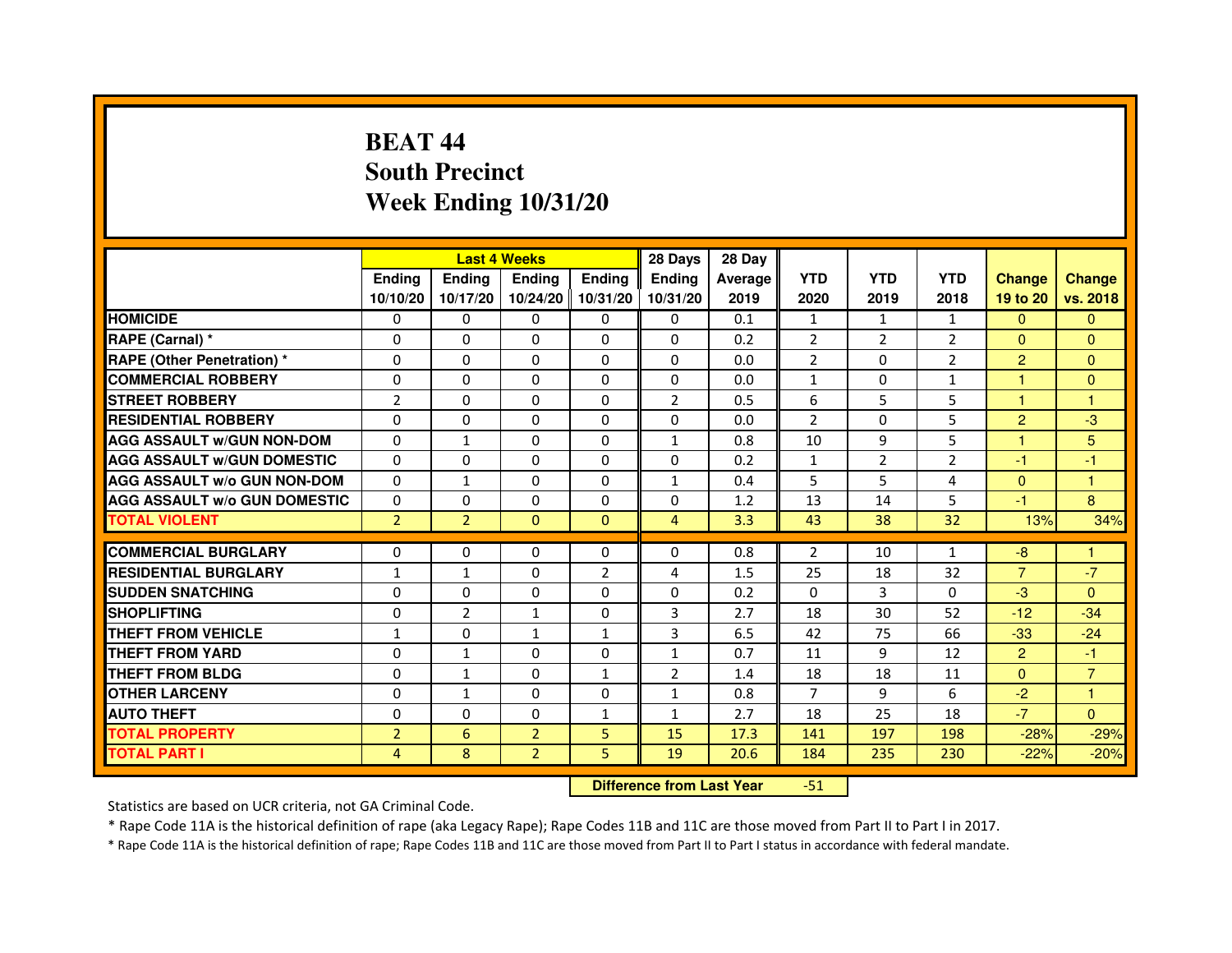# **BEAT 44 South PrecinctWeek Ending 10/31/20**

|                                     |                | <b>Last 4 Weeks</b> |                |                | 28 Days                          | 28 Day  |                |                |                |                |                |
|-------------------------------------|----------------|---------------------|----------------|----------------|----------------------------------|---------|----------------|----------------|----------------|----------------|----------------|
|                                     | <b>Ending</b>  | Ending              | <b>Ending</b>  | <b>Ending</b>  | <b>Ending</b>                    | Average | <b>YTD</b>     | <b>YTD</b>     | <b>YTD</b>     | <b>Change</b>  | <b>Change</b>  |
|                                     | 10/10/20       | 10/17/20            | 10/24/20       | 10/31/20       | 10/31/20                         | 2019    | 2020           | 2019           | 2018           | 19 to 20       | vs. 2018       |
| <b>HOMICIDE</b>                     | 0              | 0                   | 0              | 0              | 0                                | 0.1     | $\mathbf{1}$   | $\mathbf{1}$   | $\mathbf{1}$   | $\Omega$       | $\mathbf{0}$   |
| RAPE (Carnal) *                     | 0              | $\mathbf{0}$        | 0              | 0              | 0                                | 0.2     | $\overline{2}$ | 2              | 2              | $\Omega$       | $\Omega$       |
| <b>RAPE (Other Penetration) *</b>   | 0              | 0                   | 0              | $\mathbf{0}$   | $\Omega$                         | 0.0     | $\overline{2}$ | 0              | $\overline{2}$ | $\overline{2}$ | $\Omega$       |
| <b>COMMERCIAL ROBBERY</b>           | $\mathbf 0$    | 0                   | $\Omega$       | $\mathbf{0}$   | $\mathbf{0}$                     | 0.0     | $\mathbf{1}$   | $\mathbf{0}$   | $\mathbf{1}$   | $\mathbf{1}$   | $\mathbf{0}$   |
| <b>STREET ROBBERY</b>               | $\overline{2}$ | $\Omega$            | $\Omega$       | $\mathbf{0}$   | $\overline{2}$                   | 0.5     | 6              | 5              | 5              | $\mathbf{1}$   | 1              |
| <b>RESIDENTIAL ROBBERY</b>          | 0              | 0                   | $\Omega$       | $\mathbf{0}$   | $\Omega$                         | 0.0     | $\overline{2}$ | $\Omega$       | 5              | $\overline{2}$ | $-3$           |
| <b>AGG ASSAULT W/GUN NON-DOM</b>    | $\Omega$       | $\mathbf{1}$        | 0              | $\mathbf{0}$   | $\mathbf{1}$                     | 0.8     | 10             | 9              | 5              | $\mathbf{1}$   | 5              |
| <b>AGG ASSAULT W/GUN DOMESTIC</b>   | $\Omega$       | $\Omega$            | $\Omega$       | $\Omega$       | $\Omega$                         | 0.2     | $\mathbf{1}$   | $\overline{2}$ | $\overline{2}$ | $-1$           | $-1$           |
| <b>AGG ASSAULT W/o GUN NON-DOM</b>  | $\Omega$       | $\mathbf{1}$        | $\Omega$       | $\mathbf{0}$   | $\mathbf{1}$                     | 0.4     | 5              | 5              | 4              | $\Omega$       | $\mathbf{1}$   |
| <b>AGG ASSAULT W/o GUN DOMESTIC</b> | $\Omega$       | 0                   | 0              | $\mathbf{0}$   | 0                                | 1.2     | 13             | 14             | 5              | $-1$           | 8              |
| <b>TOTAL VIOLENT</b>                | $\overline{2}$ | $\overline{2}$      | $\overline{0}$ | $\mathbf{0}$   | $\overline{4}$                   | 3.3     | 43             | 38             | 32             | 13%            | 34%            |
| <b>COMMERCIAL BURGLARY</b>          | 0              | 0                   | 0              | 0              | 0                                | 0.8     | 2              | 10             | $\mathbf{1}$   | $-8$           | $\mathbf{1}$   |
| <b>RESIDENTIAL BURGLARY</b>         | $\mathbf{1}$   | $\mathbf{1}$        | $\Omega$       | $\overline{2}$ | 4                                | 1.5     | 25             | 18             | 32             | $\overline{7}$ | $-7$           |
| <b>SUDDEN SNATCHING</b>             | 0              | $\Omega$            | $\Omega$       | $\Omega$       | $\Omega$                         | 0.2     | $\Omega$       | 3              | $\Omega$       | $-3$           | $\Omega$       |
| <b>SHOPLIFTING</b>                  | 0              | $\overline{2}$      | 1              | $\mathbf{0}$   | 3                                | 2.7     | 18             | 30             | 52             | $-12$          | $-34$          |
| THEFT FROM VEHICLE                  | $\mathbf{1}$   | 0                   | $\mathbf{1}$   | $\mathbf{1}$   | 3                                | 6.5     | 42             | 75             | 66             | $-33$          | $-24$          |
| <b>THEFT FROM YARD</b>              | $\mathbf 0$    | $\mathbf{1}$        | $\Omega$       | $\mathbf{0}$   | $\mathbf{1}$                     | 0.7     | 11             | 9              | 12             | $\overline{2}$ | $-1$           |
| <b>THEFT FROM BLDG</b>              | 0              | $\mathbf{1}$        | 0              | $\mathbf{1}$   | $\overline{2}$                   | 1.4     | 18             | 18             | 11             | $\Omega$       | $\overline{7}$ |
| <b>OTHER LARCENY</b>                | 0              | $\mathbf{1}$        | 0              | $\mathbf{0}$   | $\mathbf{1}$                     | 0.8     | $\overline{7}$ | 9              | 6              | $-2$           | 1.             |
| <b>AUTO THEFT</b>                   | $\Omega$       | $\Omega$            | $\Omega$       | $\mathbf{1}$   | $\mathbf{1}$                     | 2.7     | 18             | 25             | 18             | $-7$           | $\Omega$       |
| <b>TOTAL PROPERTY</b>               | $\overline{2}$ | $6\phantom{1}6$     | $\overline{2}$ | 5              | 15                               | 17.3    | 141            | 197            | 198            | $-28%$         | $-29%$         |
| <b>TOTAL PART I</b>                 | 4              | 8                   | $\overline{2}$ | 5              | 19                               | 20.6    | 184            | 235            | 230            | $-22%$         | $-20%$         |
|                                     |                |                     |                |                | <b>Difference from Last Year</b> |         | $-51$          |                |                |                |                |

 **Difference from Last Year**

Statistics are based on UCR criteria, not GA Criminal Code.

\* Rape Code 11A is the historical definition of rape (aka Legacy Rape); Rape Codes 11B and 11C are those moved from Part II to Part I in 2017.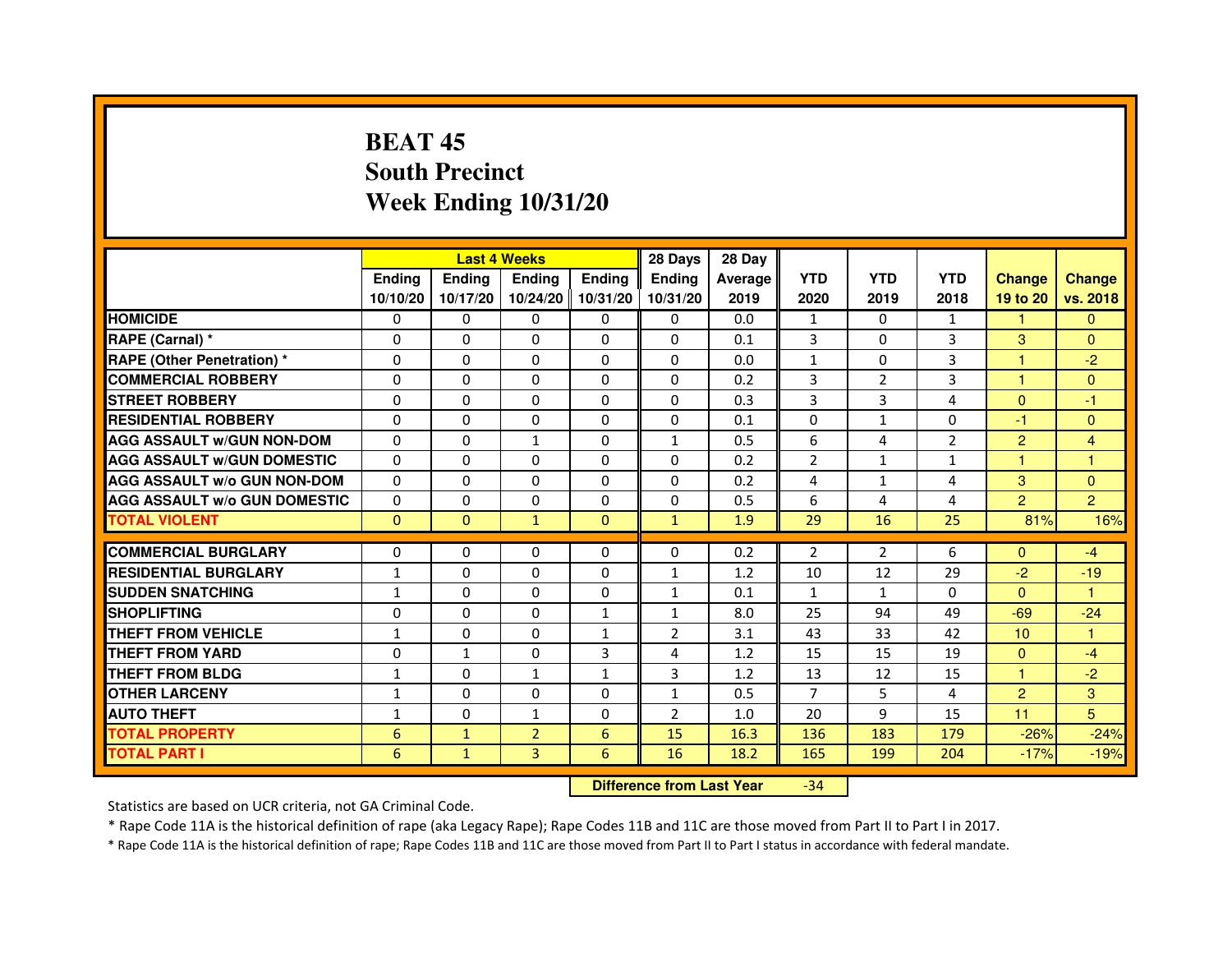# **BEAT 45 South PrecinctWeek Ending 10/31/20**

|                                     |               | <b>Last 4 Weeks</b> |                |                     | 28 Days        | 28 Day  |               |                |                |                 |                |
|-------------------------------------|---------------|---------------------|----------------|---------------------|----------------|---------|---------------|----------------|----------------|-----------------|----------------|
|                                     | <b>Endina</b> | Ending              | <b>Endina</b>  | <b>Endina</b>       | <b>Endina</b>  | Average | <b>YTD</b>    | <b>YTD</b>     | <b>YTD</b>     | <b>Change</b>   | <b>Change</b>  |
|                                     | 10/10/20      | 10/17/20            |                | 10/24/20   10/31/20 | 10/31/20       | 2019    | 2020          | 2019           | 2018           | 19 to 20        | vs. 2018       |
| <b>HOMICIDE</b>                     | 0             | 0                   | 0              | 0                   | 0              | 0.0     | $\mathbf{1}$  | 0              | $\mathbf{1}$   | $\mathbf{1}$    | $\mathbf{0}$   |
| RAPE (Carnal) *                     | $\Omega$      | $\Omega$            | $\Omega$       | $\Omega$            | $\Omega$       | 0.1     | 3             | $\Omega$       | 3              | 3               | $\Omega$       |
| <b>RAPE (Other Penetration)*</b>    | $\Omega$      | $\Omega$            | $\Omega$       | $\Omega$            | $\Omega$       | 0.0     | $\mathbf{1}$  | $\Omega$       | 3              | $\mathbf{1}$    | $-2$           |
| <b>COMMERCIAL ROBBERY</b>           | 0             | 0                   | 0              | 0                   | 0              | 0.2     | 3             | 2              | 3              | 1               | $\Omega$       |
| <b>STREET ROBBERY</b>               | 0             | $\Omega$            | 0              | 0                   | 0              | 0.3     | 3             | 3              | $\overline{4}$ | $\Omega$        | $-1$           |
| <b>RESIDENTIAL ROBBERY</b>          | 0             | $\Omega$            | 0              | $\Omega$            | $\Omega$       | 0.1     | $\Omega$      | $\mathbf{1}$   | $\Omega$       | $-1$            | $\Omega$       |
| <b>AGG ASSAULT w/GUN NON-DOM</b>    | $\Omega$      | $\Omega$            | $\mathbf{1}$   | $\mathbf{0}$        | $\mathbf{1}$   | 0.5     | 6             | 4              | $\overline{2}$ | 2               | $\overline{4}$ |
| <b>AGG ASSAULT W/GUN DOMESTIC</b>   | $\Omega$      | $\Omega$            | $\Omega$       | $\Omega$            | $\Omega$       | 0.2     | $\mathcal{P}$ | $\mathbf{1}$   | $\mathbf{1}$   | 1               | 1              |
| <b>AGG ASSAULT W/o GUN NON-DOM</b>  | 0             | 0                   | 0              | 0                   | $\Omega$       | 0.2     | 4             | $\mathbf{1}$   | 4              | 3               | $\Omega$       |
| <b>AGG ASSAULT W/o GUN DOMESTIC</b> | 0             | 0                   | 0              | 0                   | 0              | 0.5     | 6             | $\overline{4}$ | $\overline{4}$ | $\overline{2}$  | $\overline{2}$ |
| <b>TOTAL VIOLENT</b>                | $\Omega$      | $\Omega$            | $\mathbf{1}$   | $\Omega$            | $\mathbf{1}$   | 1.9     | 29            | 16             | 25             | 81%             | 16%            |
|                                     |               |                     |                |                     |                |         |               |                |                |                 |                |
| <b>COMMERCIAL BURGLARY</b>          | 0             | 0                   | 0              | 0                   | $\Omega$       | 0.2     | 2             | 2              | 6              | $\Omega$        | $-4$           |
| <b>RESIDENTIAL BURGLARY</b>         | $\mathbf{1}$  | 0                   | 0              | $\Omega$            | $\mathbf{1}$   | 1.2     | 10            | 12             | 29             | $-2$            | $-19$          |
| <b>SUDDEN SNATCHING</b>             | $\mathbf{1}$  | $\Omega$            | $\Omega$       | $\Omega$            | $\mathbf{1}$   | 0.1     | $\mathbf{1}$  | $\mathbf{1}$   | $\Omega$       | $\Omega$        | 1              |
| <b>SHOPLIFTING</b>                  | 0             | $\Omega$            | $\Omega$       | $\mathbf{1}$        | $\mathbf{1}$   | 8.0     | 25            | 94             | 49             | $-69$           | $-24$          |
| <b>THEFT FROM VEHICLE</b>           | $\mathbf{1}$  | $\Omega$            | 0              | $\mathbf{1}$        | $\overline{2}$ | 3.1     | 43            | 33             | 42             | 10 <sup>1</sup> | $\mathbf{1}$   |
| <b>THEFT FROM YARD</b>              | 0             | $\mathbf{1}$        | $\Omega$       | 3                   | 4              | 1.2     | 15            | 15             | 19             | $\Omega$        | $-4$           |
| <b>THEFT FROM BLDG</b>              | 1             | $\Omega$            | 1              | 1                   | 3              | 1.2     | 13            | 12             | 15             | 1.              | $-2$           |
| <b>OTHER LARCENY</b>                | 1             | 0                   | $\Omega$       | $\Omega$            | $\mathbf{1}$   | 0.5     | 7             | 5              | 4              | $\overline{2}$  | 3              |
| <b>AUTO THEFT</b>                   | $\mathbf{1}$  | $\mathbf 0$         | $\mathbf{1}$   | $\Omega$            | $\overline{2}$ | 1.0     | 20            | 9              | 15             | 11              | 5              |
| <b>TOTAL PROPERTY</b>               | 6             | $\mathbf{1}$        | $\overline{2}$ | 6                   | 15             | 16.3    | 136           | 183            | 179            | $-26%$          | $-24%$         |
| <b>TOTAL PART I</b>                 | 6             | $\mathbf{1}$        | 3              | 6                   | 16             | 18.2    | 165           | 199            | 204            | $-17%$          | $-19%$         |

 **Difference from Last Year**-34

Statistics are based on UCR criteria, not GA Criminal Code.

\* Rape Code 11A is the historical definition of rape (aka Legacy Rape); Rape Codes 11B and 11C are those moved from Part II to Part I in 2017.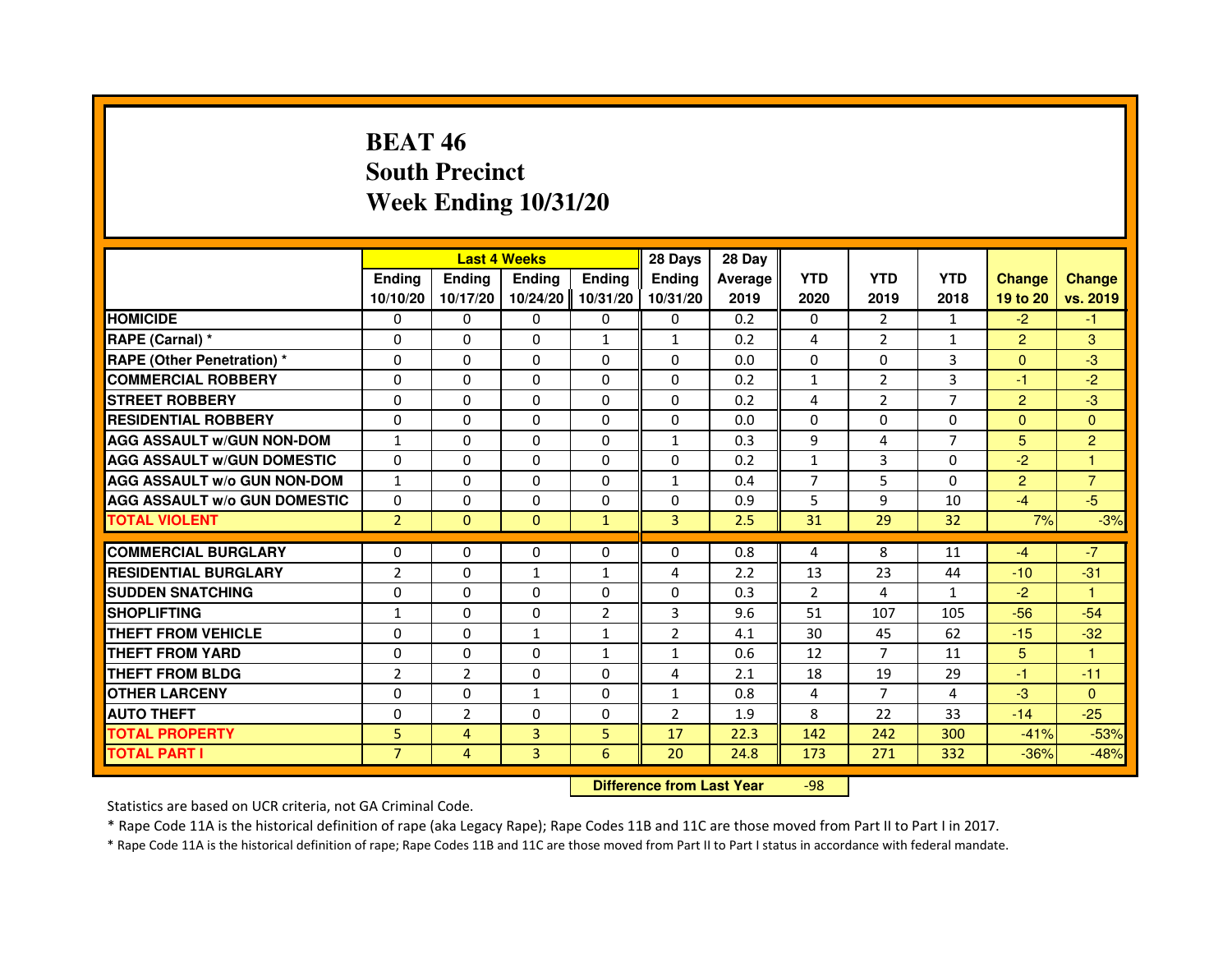## **BEAT 46 South PrecinctWeek Ending 10/31/20**

|                                     |                | <b>Last 4 Weeks</b> |                |                | 28 Days                          | 28 Day  |                |                |                |                |                |
|-------------------------------------|----------------|---------------------|----------------|----------------|----------------------------------|---------|----------------|----------------|----------------|----------------|----------------|
|                                     | <b>Ending</b>  | <b>Ending</b>       | Ending         | Ending         | Ending                           | Average | <b>YTD</b>     | <b>YTD</b>     | <b>YTD</b>     | <b>Change</b>  | <b>Change</b>  |
|                                     | 10/10/20       | 10/17/20            | 10/24/20       | 10/31/20       | 10/31/20                         | 2019    | 2020           | 2019           | 2018           | 19 to 20       | vs. 2019       |
| <b>HOMICIDE</b>                     | 0              | $\Omega$            | $\Omega$       | 0              | 0                                | 0.2     | 0              | $\mathcal{P}$  | $\mathbf{1}$   | $-2$           | $-1$           |
| RAPE (Carnal) *                     | 0              | $\mathbf{0}$        | 0              | 1              | $\mathbf{1}$                     | 0.2     | 4              | 2              | 1              | $\overline{2}$ | 3              |
| RAPE (Other Penetration) *          | $\Omega$       | 0                   | $\Omega$       | $\Omega$       | $\Omega$                         | 0.0     | $\Omega$       | $\mathbf{0}$   | 3              | $\Omega$       | $-3$           |
| <b>COMMERCIAL ROBBERY</b>           | $\Omega$       | $\Omega$            | $\Omega$       | $\Omega$       | $\Omega$                         | 0.2     | $\mathbf{1}$   | $\overline{2}$ | 3              | $-1$           | $-2$           |
| <b>STREET ROBBERY</b>               | $\Omega$       | $\Omega$            | $\Omega$       | $\Omega$       | $\Omega$                         | 0.2     | 4              | $\overline{2}$ | $\overline{7}$ | $\overline{2}$ | $-3$           |
| <b>RESIDENTIAL ROBBERY</b>          | 0              | 0                   | 0              | 0              | 0                                | 0.0     | 0              | $\Omega$       | $\Omega$       | $\mathbf{0}$   | $\overline{0}$ |
| <b>AGG ASSAULT w/GUN NON-DOM</b>    | $\mathbf{1}$   | $\Omega$            | $\Omega$       | $\Omega$       | $\mathbf{1}$                     | 0.3     | 9              | 4              | $\overline{7}$ | 5              | $\overline{2}$ |
| <b>AGG ASSAULT W/GUN DOMESTIC</b>   | $\Omega$       | $\Omega$            | $\Omega$       | $\Omega$       | $\Omega$                         | 0.2     | $\mathbf 1$    | 3              | $\Omega$       | $-2$           | 1              |
| <b>AGG ASSAULT W/o GUN NON-DOM</b>  | $\mathbf{1}$   | $\Omega$            | $\Omega$       | $\Omega$       | $\mathbf{1}$                     | 0.4     | $\overline{7}$ | 5              | $\Omega$       | $\overline{2}$ | $\overline{7}$ |
| <b>AGG ASSAULT w/o GUN DOMESTIC</b> | $\Omega$       | $\Omega$            | 0              | $\Omega$       | $\Omega$                         | 0.9     | 5              | 9              | 10             | $-4$           | $-5$           |
| <b>TOTAL VIOLENT</b>                | $\overline{2}$ | $\mathbf{0}$        | $\mathbf{0}$   | $\mathbf{1}$   | 3                                | 2.5     | 31             | 29             | 32             | 7%             | $-3%$          |
| <b>COMMERCIAL BURGLARY</b>          | 0              | 0                   | 0              | 0              | 0                                | 0.8     | 4              | 8              | 11             | $-4$           | $-7$           |
| <b>RESIDENTIAL BURGLARY</b>         | $\overline{2}$ | $\Omega$            | $\mathbf{1}$   | 1              | 4                                | 2.2     | 13             | 23             | 44             | $-10$          | $-31$          |
| <b>SUDDEN SNATCHING</b>             | 0              | $\Omega$            | $\Omega$       | $\Omega$       | $\Omega$                         | 0.3     | $\overline{2}$ | 4              | $\mathbf{1}$   | $-2$           | $\mathbf{1}$   |
| <b>SHOPLIFTING</b>                  | 1              | $\Omega$            | 0              | $\overline{2}$ | 3                                | 9.6     | 51             | 107            | 105            | $-56$          | $-54$          |
| <b>THEFT FROM VEHICLE</b>           | 0              | 0                   | $\mathbf{1}$   | $\mathbf{1}$   | $\overline{2}$                   | 4.1     | 30             | 45             | 62             | $-15$          | $-32$          |
| <b>THEFT FROM YARD</b>              | $\Omega$       | $\Omega$            | $\Omega$       | $\mathbf{1}$   | $\mathbf{1}$                     | 0.6     | 12             | $\overline{7}$ | 11             | 5 <sup>5</sup> | $\mathbf{1}$   |
| <b>THEFT FROM BLDG</b>              | $\overline{2}$ | $\overline{2}$      | $\Omega$       | $\Omega$       | 4                                | 2.1     | 18             | 19             | 29             | $-1$           | $-11$          |
| <b>OTHER LARCENY</b>                | 0              | $\Omega$            | 1              | 0              | 1                                | 0.8     | 4              | $\overline{7}$ | 4              | $-3$           | $\Omega$       |
| <b>AUTO THEFT</b>                   | $\Omega$       | $\overline{2}$      | $\Omega$       | $\Omega$       | $\overline{2}$                   | 1.9     | 8              | 22             | 33             | $-14$          | $-25$          |
| <b>TOTAL PROPERTY</b>               | 5              | $\overline{4}$      | $\overline{3}$ | 5              | 17                               | 22.3    | 142            | 242            | 300            | $-41%$         | $-53%$         |
| <b>TOTAL PART I</b>                 | $\overline{7}$ | $\overline{4}$      | 3              | 6              | 20                               | 24.8    | 173            | 271            | 332            | $-36%$         | $-48%$         |
|                                     |                |                     |                |                | <b>Difference from Last Year</b> |         | $-98$          |                |                |                |                |

 **Difference from Last Year**

Statistics are based on UCR criteria, not GA Criminal Code.

\* Rape Code 11A is the historical definition of rape (aka Legacy Rape); Rape Codes 11B and 11C are those moved from Part II to Part I in 2017.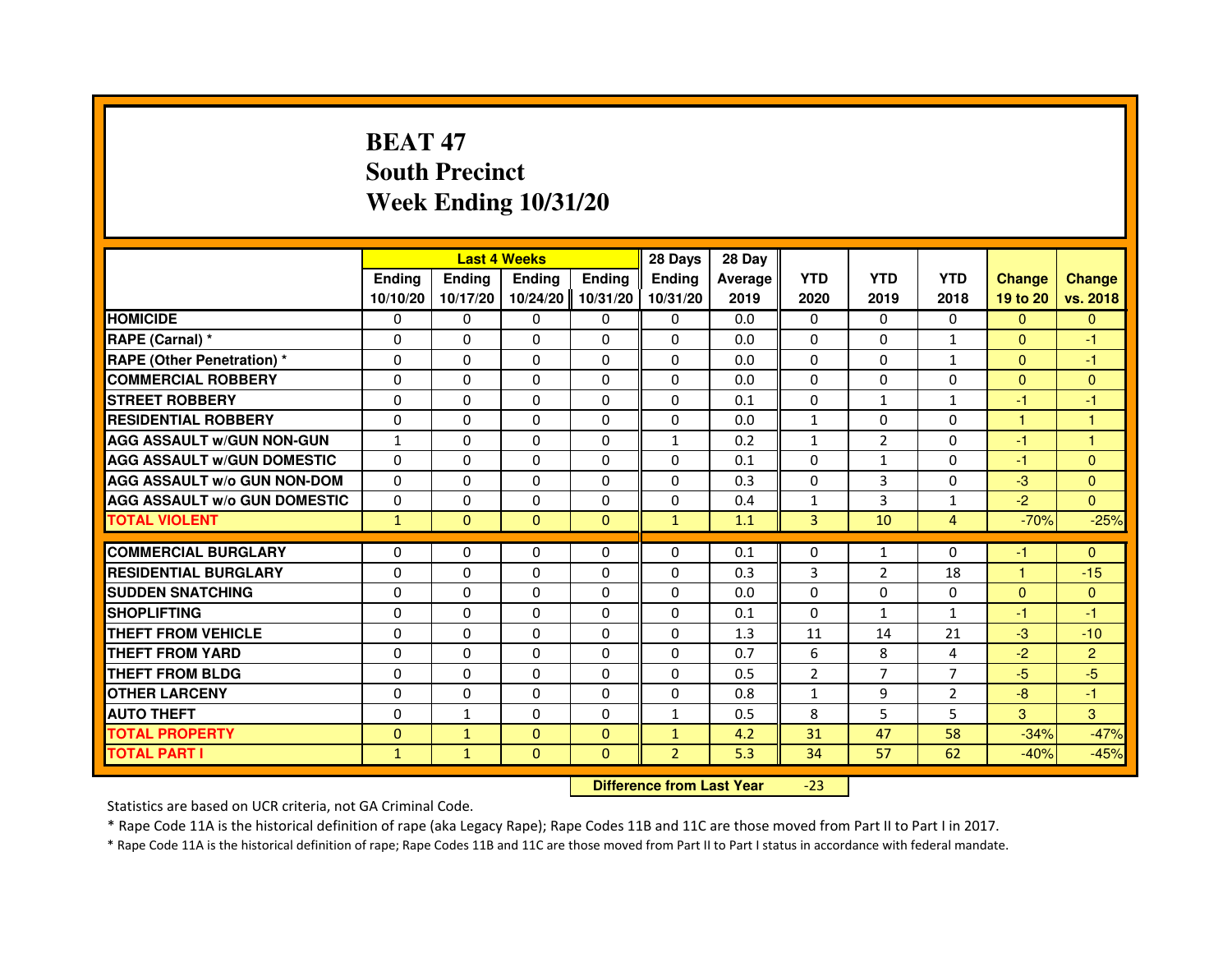# **BEAT 47 South PrecinctWeek Ending 10/31/20**

|                                     |               | <b>Last 4 Weeks</b>              |              |              | 28 Days        | 28 Day  |                |                |                |                |                |
|-------------------------------------|---------------|----------------------------------|--------------|--------------|----------------|---------|----------------|----------------|----------------|----------------|----------------|
|                                     | <b>Ending</b> | <b>Ending</b>                    | Ending       | Ending       | Ending         | Average | <b>YTD</b>     | <b>YTD</b>     | <b>YTD</b>     | <b>Change</b>  | <b>Change</b>  |
|                                     | 10/10/20      | 10/17/20                         | 10/24/20     | 10/31/20     | 10/31/20       | 2019    | 2020           | 2019           | 2018           | 19 to 20       | vs. 2018       |
| <b>HOMICIDE</b>                     | 0             | $\Omega$                         | 0            | $\mathbf{0}$ | $\mathbf{0}$   | 0.0     | $\Omega$       | 0              | $\Omega$       | $\mathbf{0}$   | $\mathbf{0}$   |
| RAPE (Carnal) *                     | 0             | 0                                | 0            | 0            | 0              | 0.0     | 0              | 0              | $\mathbf{1}$   | $\mathbf{0}$   | $-1$           |
| RAPE (Other Penetration) *          | 0             | $\Omega$                         | $\Omega$     | $\Omega$     | $\Omega$       | 0.0     | $\Omega$       | $\Omega$       | $\mathbf{1}$   | $\Omega$       | $-1$           |
| <b>COMMERCIAL ROBBERY</b>           | 0             | $\Omega$                         | $\Omega$     | $\Omega$     | 0              | 0.0     | $\Omega$       | $\Omega$       | $\Omega$       | $\Omega$       | $\overline{0}$ |
| <b>STREET ROBBERY</b>               | $\Omega$      | $\Omega$                         | $\Omega$     | $\Omega$     | $\Omega$       | 0.1     | $\Omega$       | $\mathbf{1}$   | $\mathbf{1}$   | $-1$           | $-1$           |
| <b>RESIDENTIAL ROBBERY</b>          | 0             | 0                                | 0            | 0            | 0              | 0.0     | 1              | 0              | $\Omega$       | $\mathbf{1}$   | 1              |
| <b>AGG ASSAULT w/GUN NON-GUN</b>    | $\mathbf{1}$  | $\Omega$                         | $\Omega$     | $\Omega$     | $\mathbf{1}$   | 0.2     | $\mathbf{1}$   | $\overline{2}$ | $\Omega$       | $-1$           | $\mathbf{1}$   |
| <b>AGG ASSAULT W/GUN DOMESTIC</b>   | $\Omega$      | $\Omega$                         | $\Omega$     | $\Omega$     | $\Omega$       | 0.1     | $\Omega$       | $\mathbf{1}$   | $\Omega$       | $-1$           | $\Omega$       |
| <b>AGG ASSAULT W/o GUN NON-DOM</b>  | $\Omega$      | $\Omega$                         | $\Omega$     | $\Omega$     | $\Omega$       | 0.3     | $\Omega$       | 3              | $\Omega$       | $-3$           | $\Omega$       |
| <b>AGG ASSAULT w/o GUN DOMESTIC</b> | $\Omega$      | $\Omega$                         | 0            | $\Omega$     | $\Omega$       | 0.4     | $\mathbf{1}$   | 3              | $\mathbf{1}$   | $-2$           | $\Omega$       |
| <b>TOTAL VIOLENT</b>                | $\mathbf{1}$  | $\mathbf{0}$                     | $\mathbf 0$  | $\mathbf{0}$ | $\mathbf{1}$   | 1.1     | 3              | 10             | $\overline{4}$ | $-70%$         | $-25%$         |
| <b>COMMERCIAL BURGLARY</b>          | 0             | 0                                | 0            | 0            | 0              | 0.1     | 0              | $\mathbf{1}$   | 0              | $-1$           | $\Omega$       |
| <b>RESIDENTIAL BURGLARY</b>         | 0             | $\Omega$                         | $\Omega$     | $\Omega$     | 0              | 0.3     | 3              | $\overline{2}$ | 18             | $\mathbf{1}$   | $-15$          |
| <b>SUDDEN SNATCHING</b>             | $\Omega$      | $\Omega$                         | $\Omega$     | $\Omega$     | $\Omega$       | 0.0     | $\Omega$       | $\Omega$       | $\Omega$       | $\Omega$       | $\mathbf{0}$   |
| <b>SHOPLIFTING</b>                  | 0             | $\Omega$                         | 0            | $\Omega$     | 0              | 0.1     | $\Omega$       | $\mathbf{1}$   | $\mathbf{1}$   | $-1$           | $-1$           |
| <b>THEFT FROM VEHICLE</b>           | 0             | 0                                | 0            | $\Omega$     | 0              | 1.3     | 11             | 14             | 21             | $-3$           | $-10$          |
| <b>THEFT FROM YARD</b>              | $\Omega$      | $\Omega$                         | $\Omega$     | $\Omega$     | $\Omega$       | 0.7     | 6              | 8              | 4              | $-2$           | $\overline{2}$ |
| <b>THEFT FROM BLDG</b>              | $\Omega$      | $\Omega$                         | $\Omega$     | $\Omega$     | $\Omega$       | 0.5     | $\overline{2}$ | $\overline{7}$ | $\overline{7}$ | $-5$           | $-5$           |
| <b>OTHER LARCENY</b>                | 0             | $\Omega$                         | 0            | $\Omega$     | $\mathbf{0}$   | 0.8     | 1              | 9              | $\overline{2}$ | $-8$           | $-1$           |
| <b>AUTO THEFT</b>                   | $\Omega$      | $\mathbf{1}$                     | $\Omega$     | $\Omega$     | $\mathbf{1}$   | 0.5     | 8              | 5              | 5              | $\overline{3}$ | 3              |
| <b>TOTAL PROPERTY</b>               | $\Omega$      | $\mathbf{1}$                     | $\Omega$     | $\Omega$     | $\mathbf{1}$   | 4.2     | 31             | 47             | 58             | $-34%$         | $-47%$         |
| <b>TOTAL PART I</b>                 | $\mathbf{1}$  | $\mathbf{1}$                     | $\mathbf{0}$ | $\mathbf{0}$ | $\overline{2}$ | 5.3     | 34             | 57             | 62             | $-40%$         | $-45%$         |
|                                     |               | <b>Difference from Last Year</b> |              | $-23$        |                |         |                |                |                |                |                |

 **Difference from Last Year**

Statistics are based on UCR criteria, not GA Criminal Code.

\* Rape Code 11A is the historical definition of rape (aka Legacy Rape); Rape Codes 11B and 11C are those moved from Part II to Part I in 2017.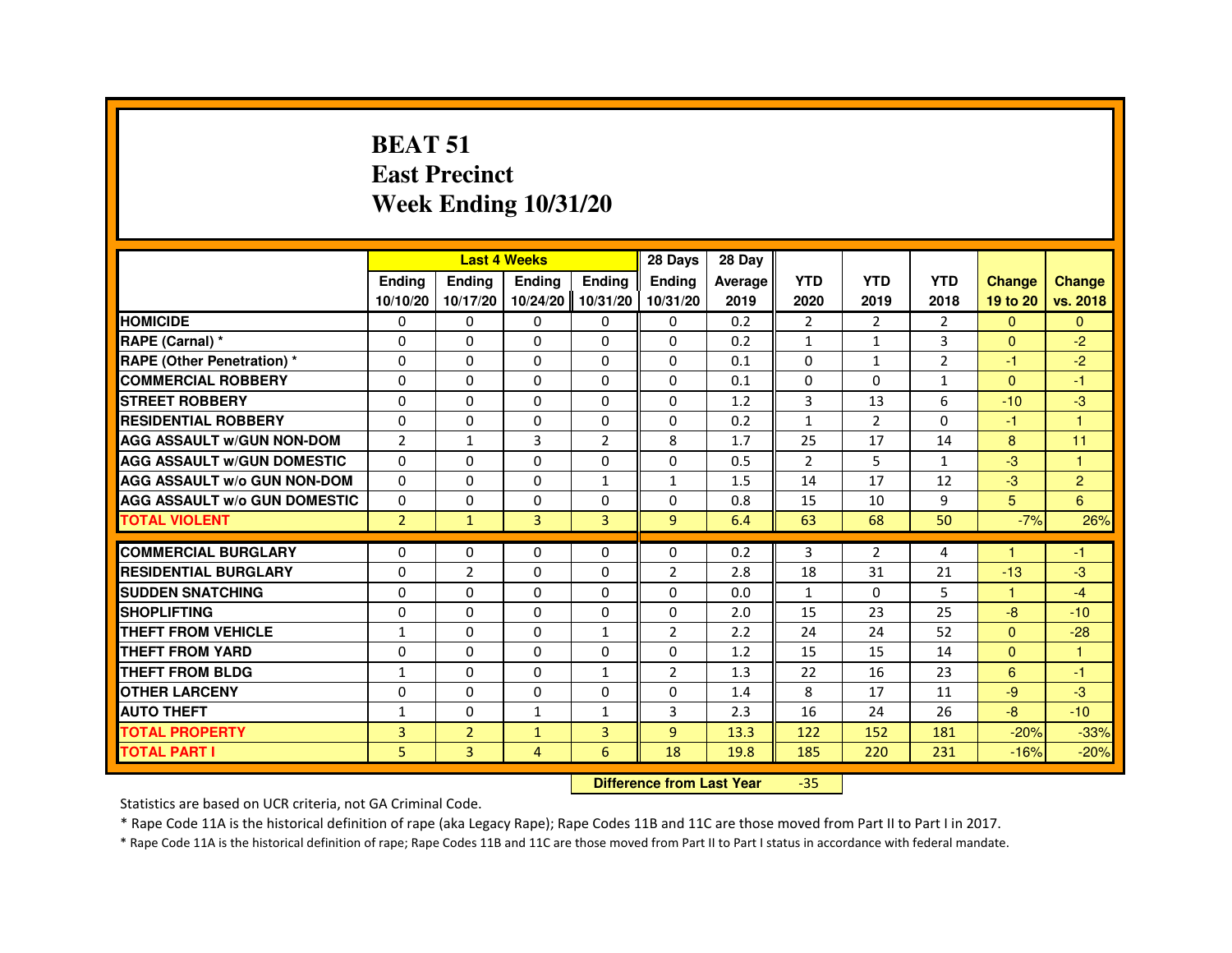#### **BEAT 51 East PrecinctWeek Ending 10/31/20**

|                                     |                |                                  | <b>Last 4 Weeks</b> |                   | 28 Days        | 28 Day  |                |                |                |                      |                |
|-------------------------------------|----------------|----------------------------------|---------------------|-------------------|----------------|---------|----------------|----------------|----------------|----------------------|----------------|
|                                     | <b>Ending</b>  | <b>Ending</b>                    | Ending              | <b>Ending</b>     | <b>Ending</b>  | Average | <b>YTD</b>     | <b>YTD</b>     | <b>YTD</b>     | <b>Change</b>        | <b>Change</b>  |
|                                     | 10/10/20       | 10/17/20                         |                     | 10/24/20 10/31/20 | 10/31/20       | 2019    | 2020           | 2019           | 2018           | 19 to 20             | vs. 2018       |
| <b>HOMICIDE</b>                     | 0              | $\Omega$                         | $\Omega$            | $\mathbf{0}$      | 0              | 0.2     | $\overline{2}$ | 2              | $\overline{2}$ | $\Omega$             | $\Omega$       |
| RAPE (Carnal) *                     | 0              | 0                                | 0                   | 0                 | 0              | 0.2     | 1              | 1              | 3              | $\Omega$             | $-2$           |
| <b>RAPE (Other Penetration) *</b>   | 0              | $\Omega$                         | $\Omega$            | $\Omega$          | $\Omega$       | 0.1     | $\Omega$       | $\mathbf{1}$   | $\overline{2}$ | $-1$                 | $-2$           |
| <b>COMMERCIAL ROBBERY</b>           | $\Omega$       | $\Omega$                         | $\Omega$            | $\Omega$          | $\Omega$       | 0.1     | $\Omega$       | $\Omega$       | $\mathbf{1}$   | $\Omega$             | $-1$           |
| <b>STREET ROBBERY</b>               | 0              | 0                                | $\Omega$            | 0                 | $\Omega$       | 1.2     | 3              | 13             | 6              | $-10$                | $-3$           |
| <b>RESIDENTIAL ROBBERY</b>          | 0              | 0                                | 0                   | 0                 | 0              | 0.2     | 1              | $\overline{2}$ | $\Omega$       | $-1$                 | $\overline{1}$ |
| <b>AGG ASSAULT w/GUN NON-DOM</b>    | $\overline{2}$ | $\mathbf{1}$                     | 3                   | $\overline{2}$    | 8              | 1.7     | 25             | 17             | 14             | 8                    | 11             |
| <b>AGG ASSAULT W/GUN DOMESTIC</b>   | $\Omega$       | 0                                | $\Omega$            | $\Omega$          | $\Omega$       | 0.5     | $\overline{2}$ | 5              | $\mathbf{1}$   | $-3$                 | $\overline{1}$ |
| <b>AGG ASSAULT w/o GUN NON-DOM</b>  | $\mathbf{0}$   | 0                                | 0                   | $\mathbf{1}$      | 1              | 1.5     | 14             | 17             | 12             | $-3$                 | $\overline{2}$ |
| <b>AGG ASSAULT W/o GUN DOMESTIC</b> | $\Omega$       | 0                                | 0                   | 0                 | 0              | 0.8     | 15             | 10             | 9              | 5 <sup>5</sup>       | 6              |
| <b>TOTAL VIOLENT</b>                | $\overline{2}$ | $\mathbf{1}$                     | 3                   | $\overline{3}$    | $\overline{9}$ | 6.4     | 63             | 68             | 50             | $-7%$                | 26%            |
| <b>COMMERCIAL BURGLARY</b>          | 0              | 0                                | 0                   | 0                 | 0              | 0.2     | 3              | 2              | 4              |                      | $-1$           |
| <b>RESIDENTIAL BURGLARY</b>         | $\Omega$       | $\overline{2}$                   | $\Omega$            | $\Omega$          | $\overline{2}$ | 2.8     | 18             | 31             | 21             | $-13$                | $-3$           |
| <b>SUDDEN SNATCHING</b>             | 0              | $\Omega$                         | $\Omega$            | $\Omega$          | $\Omega$       | 0.0     | $\mathbf{1}$   | $\Omega$       | 5              | $\blacktriangleleft$ | $-4$           |
| <b>SHOPLIFTING</b>                  | 0              | 0                                | 0                   | 0                 | 0              | 2.0     | 15             | 23             | 25             | $-8$                 | $-10$          |
| THEFT FROM VEHICLE                  | $\mathbf{1}$   | 0                                | 0                   | $\mathbf{1}$      | $\overline{2}$ | 2.2     | 24             | 24             | 52             | $\mathbf{0}$         | $-28$          |
| <b>THEFT FROM YARD</b>              | $\mathbf 0$    | $\Omega$                         | $\Omega$            | $\Omega$          | $\Omega$       | 1.2     | 15             | 15             | 14             | $\Omega$             | $\mathbf{1}$   |
| <b>THEFT FROM BLDG</b>              | $\mathbf{1}$   | $\Omega$                         | $\Omega$            | $\mathbf{1}$      | 2              | 1.3     | 22             | 16             | 23             | 6                    | $-1$           |
| <b>OTHER LARCENY</b>                | $\Omega$       | $\Omega$                         | $\Omega$            | $\Omega$          | $\Omega$       | 1.4     | 8              | 17             | 11             | $-9$                 | $-3$           |
| <b>AUTO THEFT</b>                   | $\mathbf{1}$   | 0                                | $\mathbf{1}$        | $\mathbf{1}$      | 3              | 2.3     | 16             | 24             | 26             | $-8-$                | $-10$          |
| <b>TOTAL PROPERTY</b>               | 3              | $\overline{2}$                   | $\mathbf{1}$        | $\overline{3}$    | $\overline{9}$ | 13.3    | 122            | 152            | 181            | $-20%$               | $-33%$         |
| <b>TOTAL PART I</b>                 | 5              | 3                                | 4                   | 6                 | 18             | 19.8    | 185            | 220            | 231            | $-16%$               | $-20%$         |
|                                     |                | <b>Difference from Last Year</b> |                     | $-35$             |                |         |                |                |                |                      |                |

 **Difference from Last Year**

Statistics are based on UCR criteria, not GA Criminal Code.

\* Rape Code 11A is the historical definition of rape (aka Legacy Rape); Rape Codes 11B and 11C are those moved from Part II to Part I in 2017.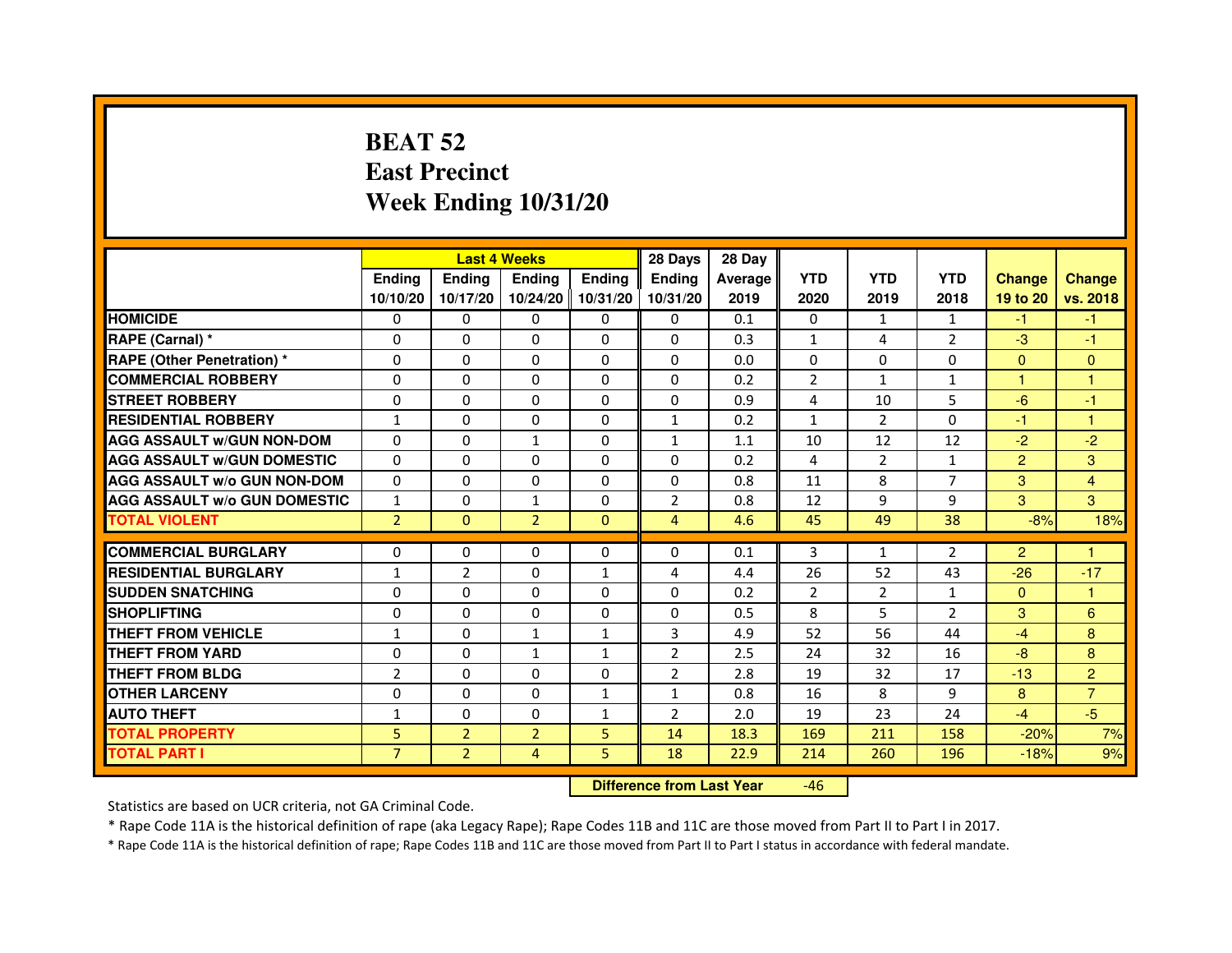# **BEAT 52 East PrecinctWeek Ending 10/31/20**

|                                     |                |                | <b>Last 4 Weeks</b> |               | 28 Days        | 28 Day  |                |                |                |                |                |
|-------------------------------------|----------------|----------------|---------------------|---------------|----------------|---------|----------------|----------------|----------------|----------------|----------------|
|                                     | <b>Ending</b>  | <b>Ending</b>  | <b>Ending</b>       | <b>Endina</b> | <b>Endina</b>  | Average | <b>YTD</b>     | <b>YTD</b>     | <b>YTD</b>     | <b>Change</b>  | <b>Change</b>  |
|                                     | 10/10/20       | 10/17/20       | 10/24/20   10/31/20 |               | 10/31/20       | 2019    | 2020           | 2019           | 2018           | 19 to 20       | vs. 2018       |
| <b>HOMICIDE</b>                     | 0              | 0              | 0                   | 0             | 0              | 0.1     | $\mathbf{0}$   | $\mathbf{1}$   | $\mathbf{1}$   | -1             | -1             |
| RAPE (Carnal) *                     | $\Omega$       | $\Omega$       | $\Omega$            | $\Omega$      | $\Omega$       | 0.3     | $\mathbf{1}$   | 4              | $\overline{2}$ | $-3$           | $-1$           |
| <b>RAPE (Other Penetration) *</b>   | $\Omega$       | $\Omega$       | $\Omega$            | $\Omega$      | $\Omega$       | 0.0     | $\Omega$       | $\Omega$       | $\Omega$       | $\Omega$       | $\Omega$       |
| <b>COMMERCIAL ROBBERY</b>           | 0              | 0              | $\Omega$            | 0             | $\Omega$       | 0.2     | 2              | $\mathbf{1}$   | $\mathbf{1}$   | 1              | 1              |
| <b>STREET ROBBERY</b>               | $\Omega$       | 0              | $\Omega$            | 0             | 0              | 0.9     | 4              | 10             | 5              | $-6$           | $-1$           |
| <b>RESIDENTIAL ROBBERY</b>          | $\mathbf{1}$   | $\Omega$       | $\Omega$            | 0             | $\mathbf{1}$   | 0.2     | $\mathbf{1}$   | $\overline{2}$ | $\Omega$       | $-1$           | 1              |
| <b>AGG ASSAULT w/GUN NON-DOM</b>    | $\Omega$       | 0              | $\mathbf{1}$        | 0             | $\mathbf{1}$   | 1.1     | 10             | 12             | 12             | $-2$           | $-2$           |
| <b>AGG ASSAULT W/GUN DOMESTIC</b>   | $\Omega$       | 0              | 0                   | 0             | 0              | 0.2     | 4              | $\overline{2}$ | $\mathbf{1}$   | $\overline{2}$ | 3              |
| <b>AGG ASSAULT W/o GUN NON-DOM</b>  | $\Omega$       | $\Omega$       | $\Omega$            | $\Omega$      | $\Omega$       | 0.8     | 11             | 8              | 7              | 3              | $\overline{4}$ |
| <b>AGG ASSAULT W/o GUN DOMESTIC</b> | 1              | $\Omega$       | $\mathbf{1}$        | 0             | $\overline{2}$ | 0.8     | 12             | 9              | 9              | 3              | 3              |
| <b>TOTAL VIOLENT</b>                | $\overline{2}$ | $\Omega$       | $\overline{2}$      | $\Omega$      | 4              | 4.6     | 45             | 49             | 38             | $-8%$          | 18%            |
|                                     |                |                |                     |               |                |         |                |                |                |                |                |
| <b>COMMERCIAL BURGLARY</b>          | $\Omega$       | $\Omega$       | $\Omega$            | $\Omega$      | $\Omega$       | 0.1     | 3              | $\mathbf{1}$   | $\overline{2}$ | $\overline{2}$ | 1              |
| <b>RESIDENTIAL BURGLARY</b>         | $\mathbf{1}$   | $\overline{2}$ | $\Omega$            | 1             | 4              | 4.4     | 26             | 52             | 43             | $-26$          | $-17$          |
| <b>SUDDEN SNATCHING</b>             | 0              | $\Omega$       | 0                   | 0             | 0              | 0.2     | $\overline{2}$ | $\overline{2}$ | 1              | $\Omega$       | 1              |
| <b>SHOPLIFTING</b>                  | 0              | $\mathbf 0$    | 0                   | 0             | 0              | 0.5     | 8              | 5              | $\overline{2}$ | 3              | 6              |
| <b>THEFT FROM VEHICLE</b>           | $\mathbf{1}$   | $\Omega$       | $\mathbf{1}$        | $\mathbf{1}$  | 3              | 4.9     | 52             | 56             | 44             | $-4$           | 8              |
| <b>THEFT FROM YARD</b>              | 0              | $\Omega$       | 1                   | $\mathbf{1}$  | $\overline{2}$ | 2.5     | 24             | 32             | 16             | $-8$           | 8              |
| <b>THEFT FROM BLDG</b>              | $\overline{2}$ | 0              | 0                   | 0             | $\overline{2}$ | 2.8     | 19             | 32             | 17             | $-13$          | $\overline{2}$ |
| <b>OTHER LARCENY</b>                | $\Omega$       | $\Omega$       | $\Omega$            | $\mathbf{1}$  | 1              | 0.8     | 16             | 8              | 9              | 8              | $\overline{7}$ |
| <b>AUTO THEFT</b>                   | 1              | $\mathbf 0$    | 0                   | $\mathbf{1}$  | $\overline{2}$ | 2.0     | 19             | 23             | 24             | $-4$           | $-5$           |
| <b>TOTAL PROPERTY</b>               | 5              | $\overline{2}$ | $\overline{2}$      | 5             | 14             | 18.3    | 169            | 211            | 158            | $-20%$         | 7%             |
| <b>TOTAL PART I</b>                 | $\overline{7}$ | $\overline{2}$ | 4                   | 5             | 18             | 22.9    | 214            | 260            | 196            | $-18%$         | 9%             |

 **Difference from Last Year**-46

Statistics are based on UCR criteria, not GA Criminal Code.

\* Rape Code 11A is the historical definition of rape (aka Legacy Rape); Rape Codes 11B and 11C are those moved from Part II to Part I in 2017.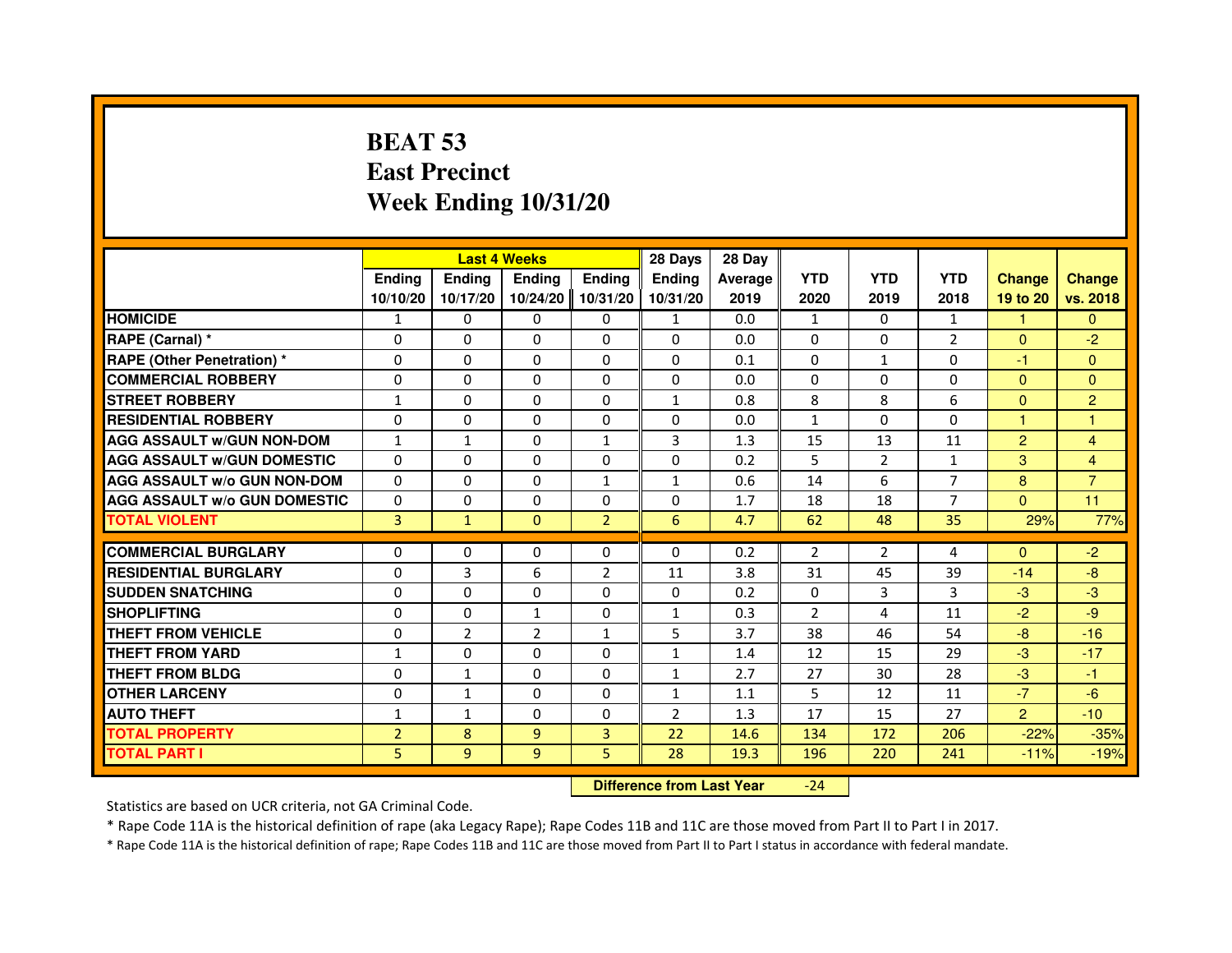# **BEAT 53 East PrecinctWeek Ending 10/31/20**

|                                     |                |                                  | <b>Last 4 Weeks</b> |                | 28 Days        | 28 Day  |                |                |                |                |                |
|-------------------------------------|----------------|----------------------------------|---------------------|----------------|----------------|---------|----------------|----------------|----------------|----------------|----------------|
|                                     | <b>Ending</b>  | <b>Ending</b>                    | <b>Ending</b>       | <b>Ending</b>  | Ending         | Average | <b>YTD</b>     | <b>YTD</b>     | <b>YTD</b>     | <b>Change</b>  | <b>Change</b>  |
|                                     | 10/10/20       | 10/17/20                         | 10/24/20            | 10/31/20       | 10/31/20       | 2019    | 2020           | 2019           | 2018           | 19 to 20       | vs. 2018       |
| <b>HOMICIDE</b>                     | 1              | $\Omega$                         | 0                   | $\mathbf{0}$   | 1              | 0.0     | $\mathbf{1}$   | $\Omega$       | $\mathbf{1}$   | $\mathbf{1}$   | $\mathbf{0}$   |
| RAPE (Carnal) *                     | 0              | $\Omega$                         | $\Omega$            | $\Omega$       | $\Omega$       | 0.0     | $\Omega$       | $\Omega$       | $\overline{2}$ | $\mathbf{0}$   | $-2$           |
| <b>RAPE (Other Penetration) *</b>   | $\Omega$       | $\Omega$                         | $\Omega$            | $\Omega$       | $\Omega$       | 0.1     | $\Omega$       | 1              | $\Omega$       | $-1$           | $\overline{0}$ |
| <b>COMMERCIAL ROBBERY</b>           | 0              | $\Omega$                         | $\mathbf{0}$        | $\Omega$       | 0              | 0.0     | $\Omega$       | $\Omega$       | $\Omega$       | $\Omega$       | $\Omega$       |
| <b>STREET ROBBERY</b>               | $\mathbf{1}$   | $\Omega$                         | $\Omega$            | $\Omega$       | $\mathbf{1}$   | 0.8     | 8              | 8              | 6              | $\overline{0}$ | $\overline{2}$ |
| <b>RESIDENTIAL ROBBERY</b>          | $\Omega$       | $\Omega$                         | $\Omega$            | $\Omega$       | $\Omega$       | 0.0     | $\mathbf{1}$   | $\Omega$       | $\Omega$       | $\overline{1}$ | 1              |
| <b>AGG ASSAULT w/GUN NON-DOM</b>    | $\mathbf{1}$   | $\mathbf{1}$                     | $\Omega$            | $\mathbf{1}$   | 3              | 1.3     | 15             | 13             | 11             | $\overline{2}$ | 4              |
| <b>AGG ASSAULT W/GUN DOMESTIC</b>   | $\Omega$       | $\Omega$                         | $\Omega$            | $\Omega$       | $\Omega$       | 0.2     | 5              | $\overline{2}$ | $\mathbf{1}$   | 3              | 4              |
| <b>AGG ASSAULT w/o GUN NON-DOM</b>  | 0              | 0                                | 0                   | $\mathbf{1}$   | 1              | 0.6     | 14             | 6              | 7              | 8              | $\overline{7}$ |
| <b>AGG ASSAULT W/o GUN DOMESTIC</b> | $\Omega$       | 0                                | $\Omega$            | $\Omega$       | $\Omega$       | 1.7     | 18             | 18             | $\overline{7}$ | $\overline{0}$ | 11             |
| <b>TOTAL VIOLENT</b>                | 3              | $\mathbf{1}$                     | $\mathbf{0}$        | $\overline{2}$ | $6\phantom{a}$ | 4.7     | 62             | 48             | 35             | 29%            | 77%            |
| <b>COMMERCIAL BURGLARY</b>          | $\Omega$       | $\Omega$                         | $\Omega$            | 0              | $\Omega$       | 0.2     | $\overline{2}$ | $\overline{2}$ | 4              | $\Omega$       | $-2$           |
| <b>RESIDENTIAL BURGLARY</b>         | $\Omega$       | $\overline{3}$                   | 6                   | $\overline{2}$ | 11             | 3.8     | 31             | 45             | 39             | $-14$          | $-8$           |
| <b>SUDDEN SNATCHING</b>             | $\Omega$       | $\Omega$                         | $\Omega$            | $\Omega$       | $\Omega$       | 0.2     | $\Omega$       | 3              | 3              | $-3$           | $-3$           |
| <b>SHOPLIFTING</b>                  | 0              | 0                                | 1                   | 0              | 1              | 0.3     | $\overline{2}$ | 4              | 11             | $-2$           | $-9$           |
| <b>THEFT FROM VEHICLE</b>           | $\Omega$       | $\overline{2}$                   | $\overline{2}$      | $\mathbf{1}$   | 5              | 3.7     | 38             | 46             | 54             | $-8$           | $-16$          |
| <b>THEFT FROM YARD</b>              | $\mathbf{1}$   | 0                                | 0                   | 0              | $\mathbf{1}$   | 1.4     | 12             | 15             | 29             | $-3$           | $-17$          |
| <b>THEFT FROM BLDG</b>              | $\Omega$       | $\mathbf{1}$                     | $\Omega$            | $\Omega$       | $\mathbf{1}$   | 2.7     | 27             | 30             | 28             | $-3$           | $-1$           |
| <b>OTHER LARCENY</b>                | $\Omega$       | $\mathbf{1}$                     | $\Omega$            | $\Omega$       | $\mathbf{1}$   | 1.1     | 5              | 12             | 11             | $-7$           | $-6$           |
| <b>AUTO THEFT</b>                   | $\mathbf{1}$   | $\mathbf{1}$                     | $\Omega$            | $\Omega$       | $\overline{2}$ | 1.3     | 17             | 15             | 27             | $\overline{2}$ | $-10$          |
| <b>TOTAL PROPERTY</b>               | $\overline{2}$ | 8                                | $\overline{9}$      | 3              | 22             | 14.6    | 134            | 172            | 206            | $-22%$         | $-35%$         |
| <b>TOTAL PART I</b>                 | 5              | 9                                | 9                   | 5              | 28             | 19.3    | 196            | 220            | 241            | $-11%$         | $-19%$         |
|                                     |                | <b>Difference from Last Year</b> |                     | $-24$          |                |         |                |                |                |                |                |

Statistics are based on UCR criteria, not GA Criminal Code.

\* Rape Code 11A is the historical definition of rape (aka Legacy Rape); Rape Codes 11B and 11C are those moved from Part II to Part I in 2017.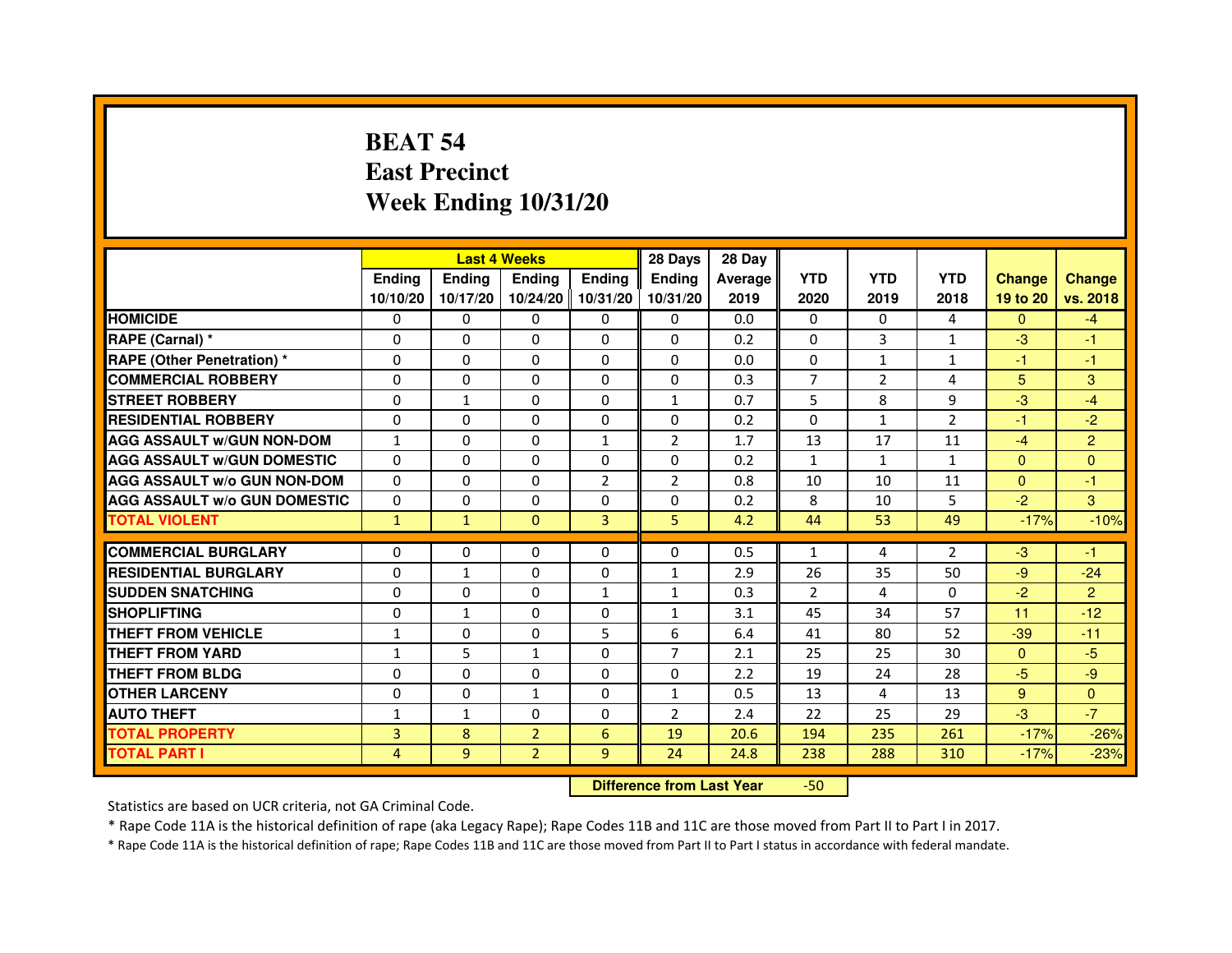# **BEAT 54 East PrecinctWeek Ending 10/31/20**

|                                     |               | <b>Last 4 Weeks</b> |                |                   | 28 Days        | 28 Day  |              |                |                |               |                |
|-------------------------------------|---------------|---------------------|----------------|-------------------|----------------|---------|--------------|----------------|----------------|---------------|----------------|
|                                     | <b>Endina</b> | Ending              | <b>Endina</b>  | <b>Endina</b>     | <b>Endina</b>  | Average | <b>YTD</b>   | <b>YTD</b>     | <b>YTD</b>     | <b>Change</b> | <b>Change</b>  |
|                                     | 10/10/20      | 10/17/20            |                | 10/24/20 10/31/20 | 10/31/20       | 2019    | 2020         | 2019           | 2018           | 19 to 20      | vs. 2018       |
| <b>HOMICIDE</b>                     | 0             | 0                   | 0              | 0                 | 0              | 0.0     | $\mathbf{0}$ | $\Omega$       | 4              | $\Omega$      | $-4$           |
| RAPE (Carnal) *                     | $\Omega$      | $\Omega$            | $\Omega$       | $\Omega$          | $\Omega$       | 0.2     | $\Omega$     | 3              | $\mathbf{1}$   | $-3$          | $-1$           |
| <b>RAPE (Other Penetration)*</b>    | $\Omega$      | $\Omega$            | $\Omega$       | $\Omega$          | $\Omega$       | 0.0     | $\Omega$     | $\mathbf{1}$   | $\mathbf{1}$   | $-1$          | $-1$           |
| <b>COMMERCIAL ROBBERY</b>           | 0             | 0                   | 0              | 0                 | 0              | 0.3     | 7            | $\overline{2}$ | 4              | 5             | 3              |
| <b>STREET ROBBERY</b>               | 0             | $\mathbf{1}$        | 0              | $\Omega$          | $\mathbf{1}$   | 0.7     | 5            | 8              | 9              | $-3$          | $-4$           |
| <b>RESIDENTIAL ROBBERY</b>          | 0             | $\Omega$            | 0              | $\Omega$          | $\Omega$       | 0.2     | $\Omega$     | $\mathbf{1}$   | $\overline{2}$ | $-1$          | $-2$           |
| <b>AGG ASSAULT w/GUN NON-DOM</b>    | $\mathbf{1}$  | $\Omega$            | $\Omega$       | $\mathbf{1}$      | $\overline{2}$ | 1.7     | 13           | 17             | 11             | $-4$          | $\overline{2}$ |
| <b>AGG ASSAULT W/GUN DOMESTIC</b>   | $\Omega$      | $\Omega$            | $\Omega$       | $\Omega$          | $\Omega$       | 0.2     | $\mathbf{1}$ | $\mathbf{1}$   | $\mathbf{1}$   | $\Omega$      | $\Omega$       |
| <b>AGG ASSAULT W/o GUN NON-DOM</b>  | 0             | 0                   | $\Omega$       | $\overline{2}$    | $\overline{2}$ | 0.8     | 10           | 10             | 11             | $\Omega$      | $-1$           |
| <b>AGG ASSAULT W/o GUN DOMESTIC</b> | 0             | 0                   | 0              | 0                 | 0              | 0.2     | 8            | 10             | 5              | $-2$          | 3              |
| <b>TOTAL VIOLENT</b>                | $\mathbf{1}$  | $\mathbf{1}$        | $\Omega$       | $\overline{3}$    | 5              | 4.2     | 44           | 53             | 49             | $-17%$        | $-10%$         |
|                                     |               |                     |                |                   |                |         |              |                |                |               |                |
| <b>COMMERCIAL BURGLARY</b>          | 0             | 0                   | 0              | 0                 | $\Omega$       | 0.5     | $\mathbf{1}$ | 4              | $\overline{2}$ | $-3$          | -1             |
| <b>RESIDENTIAL BURGLARY</b>         | 0             | $\mathbf{1}$        | 0              | $\Omega$          | $\mathbf{1}$   | 2.9     | 26           | 35             | 50             | $-9$          | $-24$          |
| <b>SUDDEN SNATCHING</b>             | 0             | $\Omega$            | $\Omega$       | $\mathbf{1}$      | $\mathbf{1}$   | 0.3     | 2            | 4              | $\Omega$       | $-2$          | $\overline{2}$ |
| <b>SHOPLIFTING</b>                  | $\Omega$      | $\mathbf{1}$        | $\Omega$       | $\mathbf{0}$      | $\mathbf{1}$   | 3.1     | 45           | 34             | 57             | 11            | $-12$          |
| <b>THEFT FROM VEHICLE</b>           | $\mathbf{1}$  | $\Omega$            | 0              | 5                 | 6              | 6.4     | 41           | 80             | 52             | $-39$         | $-11$          |
| <b>THEFT FROM YARD</b>              | 1             | 5                   | 1              | $\Omega$          | $\overline{7}$ | 2.1     | 25           | 25             | 30             | $\Omega$      | $-5$           |
| <b>THEFT FROM BLDG</b>              | 0             | $\Omega$            | 0              | $\mathbf{0}$      | $\Omega$       | 2.2     | 19           | 24             | 28             | $-5$          | $-9$           |
| <b>OTHER LARCENY</b>                | 0             | 0                   | 1              | $\Omega$          | $\mathbf{1}$   | 0.5     | 13           | 4              | 13             | 9             | $\Omega$       |
| <b>AUTO THEFT</b>                   | $\mathbf{1}$  | 1                   | 0              | $\Omega$          | $\overline{2}$ | 2.4     | 22           | 25             | 29             | $-3$          | $-7$           |
| <b>TOTAL PROPERTY</b>               | 3             | 8                   | $\overline{2}$ | 6                 | 19             | 20.6    | 194          | 235            | 261            | $-17%$        | $-26%$         |
| <b>TOTAL PART I</b>                 | 4             | 9                   | $\overline{2}$ | 9                 | 24             | 24.8    | 238          | 288            | 310            | $-17%$        | $-23%$         |

 **Difference from Last Year**-50

Statistics are based on UCR criteria, not GA Criminal Code.

\* Rape Code 11A is the historical definition of rape (aka Legacy Rape); Rape Codes 11B and 11C are those moved from Part II to Part I in 2017.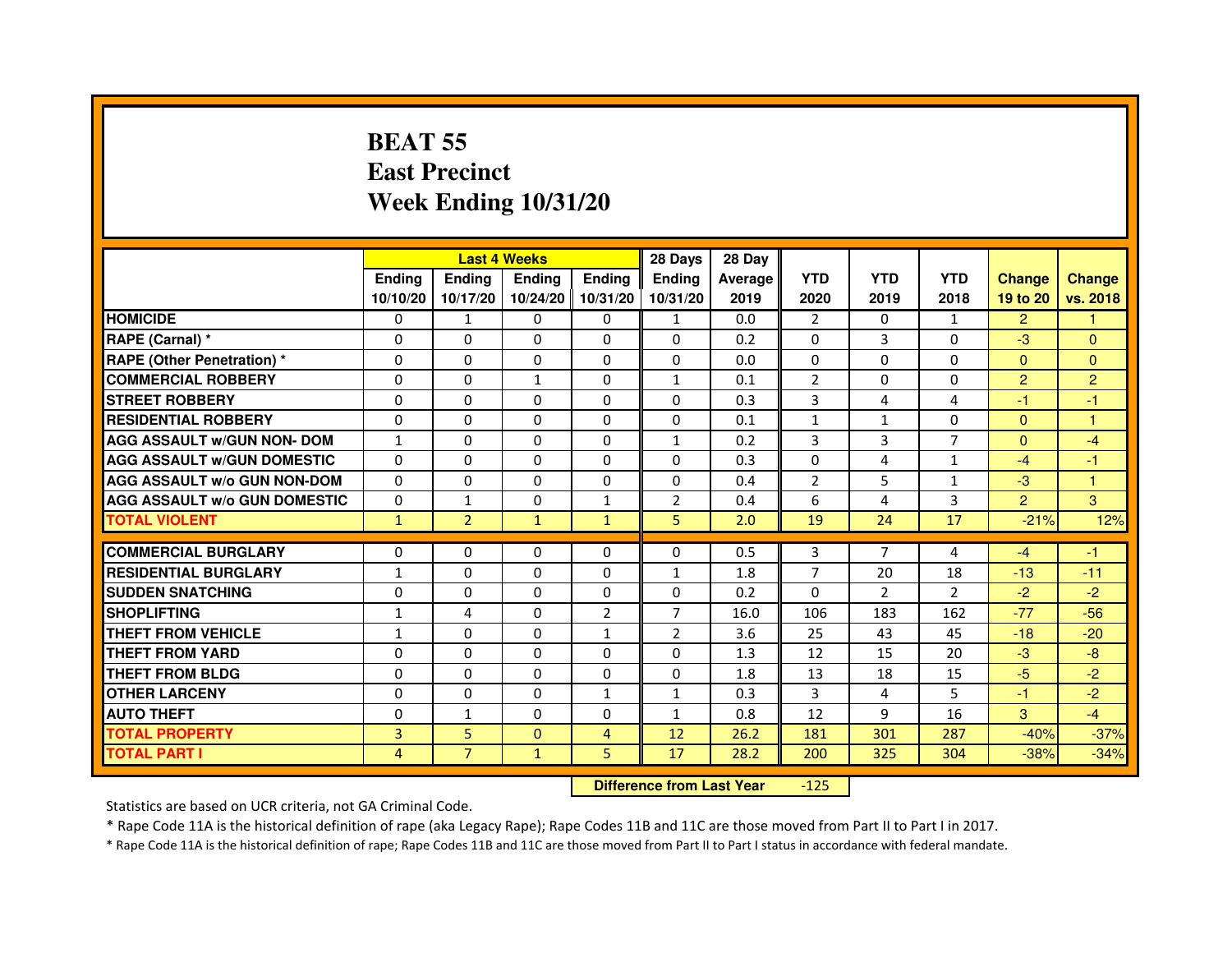# **BEAT 55 East PrecinctWeek Ending 10/31/20**

|                                     |                |                                  | <b>Last 4 Weeks</b> |                | 28 Days        | 28 Day  |                |                |                |                |                |
|-------------------------------------|----------------|----------------------------------|---------------------|----------------|----------------|---------|----------------|----------------|----------------|----------------|----------------|
|                                     | <b>Ending</b>  | <b>Ending</b>                    | <b>Ending</b>       | Ending         | <b>Ending</b>  | Average | <b>YTD</b>     | <b>YTD</b>     | <b>YTD</b>     | <b>Change</b>  | <b>Change</b>  |
|                                     | 10/10/20       | 10/17/20                         | 10/24/20            | 10/31/20       | 10/31/20       | 2019    | 2020           | 2019           | 2018           | 19 to 20       | vs. 2018       |
| <b>HOMICIDE</b>                     | $\Omega$       | $\mathbf{1}$                     | 0                   | $\mathbf{0}$   | $\mathbf{1}$   | 0.0     | 2              | $\Omega$       | $\mathbf{1}$   | $\overline{2}$ | 1              |
| RAPE (Carnal) *                     | $\Omega$       | $\mathbf{0}$                     | 0                   | 0              | 0              | 0.2     | 0              | 3              | 0              | $-3$           | $\mathbf{0}$   |
| RAPE (Other Penetration) *          | $\Omega$       | 0                                | $\Omega$            | $\Omega$       | $\Omega$       | 0.0     | $\Omega$       | $\Omega$       | $\Omega$       | $\Omega$       | $\overline{0}$ |
| <b>COMMERCIAL ROBBERY</b>           | $\Omega$       | $\Omega$                         | $\mathbf{1}$        | $\Omega$       | $\mathbf{1}$   | 0.1     | $\overline{2}$ | $\Omega$       | $\Omega$       | $\overline{2}$ | $\overline{2}$ |
| <b>STREET ROBBERY</b>               | $\Omega$       | $\Omega$                         | $\Omega$            | $\Omega$       | $\Omega$       | 0.3     | 3              | 4              | 4              | $-1$           | $-1$           |
| <b>RESIDENTIAL ROBBERY</b>          | 0              | 0                                | 0                   | 0              | 0              | 0.1     | $\mathbf{1}$   | $\mathbf{1}$   | $\Omega$       | $\Omega$       | 1              |
| <b>AGG ASSAULT w/GUN NON- DOM</b>   | $\mathbf{1}$   | $\Omega$                         | $\Omega$            | $\Omega$       | $\mathbf{1}$   | 0.2     | 3              | 3              | 7              | $\Omega$       | $-4$           |
| <b>AGG ASSAULT W/GUN DOMESTIC</b>   | $\Omega$       | $\Omega$                         | $\Omega$            | $\Omega$       | $\Omega$       | 0.3     | $\Omega$       | 4              | $\mathbf{1}$   | $-4$           | $-1$           |
| <b>AGG ASSAULT W/o GUN NON-DOM</b>  | $\Omega$       | $\Omega$                         | $\Omega$            | $\Omega$       | $\Omega$       | 0.4     | $\overline{2}$ | 5              | $\mathbf{1}$   | $-3$           | $\mathbf{1}$   |
| <b>AGG ASSAULT W/o GUN DOMESTIC</b> | $\Omega$       | $\mathbf{1}$                     | $\Omega$            | 1              | $\overline{2}$ | 0.4     | 6              | 4              | 3              | $\overline{2}$ | 3              |
| <b>TOTAL VIOLENT</b>                | $\mathbf{1}$   | $\overline{2}$                   | $\mathbf{1}$        | $\mathbf{1}$   | 5              | 2.0     | 19             | 24             | 17             | $-21%$         | 12%            |
| <b>COMMERCIAL BURGLARY</b>          | $\mathbf{0}$   | 0                                | 0                   | 0              | 0              | 0.5     | 3              | 7              | 4              | $-4$           | $-1$           |
| <b>RESIDENTIAL BURGLARY</b>         | $\mathbf{1}$   | $\Omega$                         | $\Omega$            | $\Omega$       | $\mathbf{1}$   | 1.8     | $\overline{7}$ | 20             | 18             | $-13$          | $-11$          |
| <b>SUDDEN SNATCHING</b>             | $\Omega$       | $\Omega$                         | $\Omega$            | $\Omega$       | $\Omega$       | 0.2     | $\Omega$       | $\overline{2}$ | $\overline{2}$ | $-2$           | $-2$           |
| <b>SHOPLIFTING</b>                  | $\mathbf{1}$   | 4                                | $\Omega$            | $\overline{2}$ | $\overline{7}$ | 16.0    | 106            | 183            | 162            | $-77$          | $-56$          |
| THEFT FROM VEHICLE                  | 1              | $\Omega$                         | $\Omega$            | $\mathbf{1}$   | $\overline{2}$ | 3.6     | 25             | 43             | 45             | $-18$          | $-20$          |
| <b>THEFT FROM YARD</b>              | $\Omega$       | $\Omega$                         | $\Omega$            | $\Omega$       | $\Omega$       | 1.3     | 12             | 15             | 20             | $-3$           | $-8$           |
| <b>THEFT FROM BLDG</b>              | $\Omega$       | $\Omega$                         | $\Omega$            | $\Omega$       | $\Omega$       | 1.8     | 13             | 18             | 15             | $-5$           | $-2$           |
| <b>OTHER LARCENY</b>                | $\mathbf{0}$   | $\Omega$                         | $\Omega$            | $\mathbf{1}$   | $\mathbf{1}$   | 0.3     | 3              | 4              | 5              | $-1$           | $-2$           |
| <b>AUTO THEFT</b>                   | $\Omega$       | $\mathbf{1}$                     | $\Omega$            | $\Omega$       | $\mathbf{1}$   | 0.8     | 12             | 9              | 16             | 3              | $-4$           |
| <b>TOTAL PROPERTY</b>               | $\overline{3}$ | 5                                | $\Omega$            | 4              | 12             | 26.2    | 181            | 301            | 287            | $-40%$         | $-37%$         |
| <b>TOTAL PART I</b>                 | $\overline{4}$ | $\overline{7}$                   | $\mathbf{1}$        | 5              | 17             | 28.2    | 200            | 325            | 304            | $-38%$         | $-34%$         |
|                                     |                | <b>Difference from Last Year</b> |                     | $-125$         |                |         |                |                |                |                |                |

 **Difference from Last Year**

Statistics are based on UCR criteria, not GA Criminal Code.

\* Rape Code 11A is the historical definition of rape (aka Legacy Rape); Rape Codes 11B and 11C are those moved from Part II to Part I in 2017.